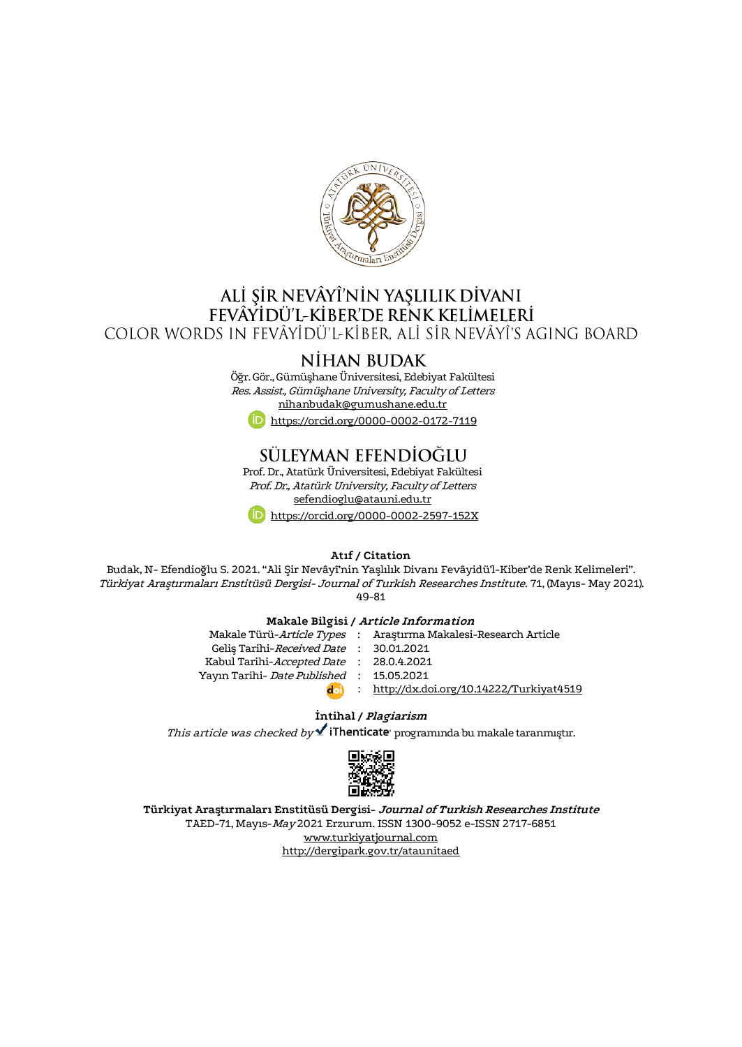

## ALİ ŞİR NEVÂYÎ'NİN YAŞLILIK DİVANI FEVÂYIDÜ'L-KIBER'DE RENK KELIMELERI COLOR WORDS IN FEVÂYÎDÜ'L-KÎBER, ALÎ SÎR NEVÂYÎ'S AGING BOARD

## **NIHAN BUDAK**

Öğr. Gör., Gümüşhane Üniversitesi, Edebiyat Fakültesi Res. Assist., Gümüşhane University, Faculty of Letters [nihanbudak@gumushane.edu.tr](mailto:nihanbudak@gumushane.edu.tr)



# SÜLEYMAN EFENDİOĞLU

Prof. Dr., Atatürk Üniversitesi, Edebiyat Fakültesi Prof. Dr., Atatürk University, Faculty of Letters [sefendioglu@atauni.edu.tr](mailto:sefendioglu@atauni.edu.tr) <https://orcid.org/0000-0002-2597-152X>

**Atıf / Citation**

Budak, N- Efendioğlu S. 2021. "Ali Şir Nevâyî'nin Yaşlılık Divanı Fevâyidü'l-Kiber'de Renk Kelimeleri". Türkiyat Araştırmaları Enstitüsü Dergisi- Journal of Turkish Researches Institute. 71, (Mayıs- May 2021). 49-81

#### **Makale Bilgisi / Article Information**

Makale Türü-Article Types Geliş Tarihi-*Received Date* Kabul Tarihi-*Accepted Date* : 28.0.4.2021 Yayın Tarihi- *Date Published* : 15.05.2021 : : : <http://dx.doi.org/10.14222/Turkiyat4519> Araştırma Makalesi-Research Article 30.01.2021

#### **İntihal / Plagiarism**

This article was checked by  $\blacktriangle$  iThenticate programinda bu makale taranmıştır.



**Türkiyat Araştırmaları Enstitüsü Dergisi- Journal of Turkish Researches Institute** TAED-71, Mayıs-May 2021 Erzurum. ISSN 1300-9052 e-ISSN 2717-6851 [www.turkiyatjournal.com](http://www.turkiyatjournal.com/) <http://dergipark.gov.tr/ataunitaed>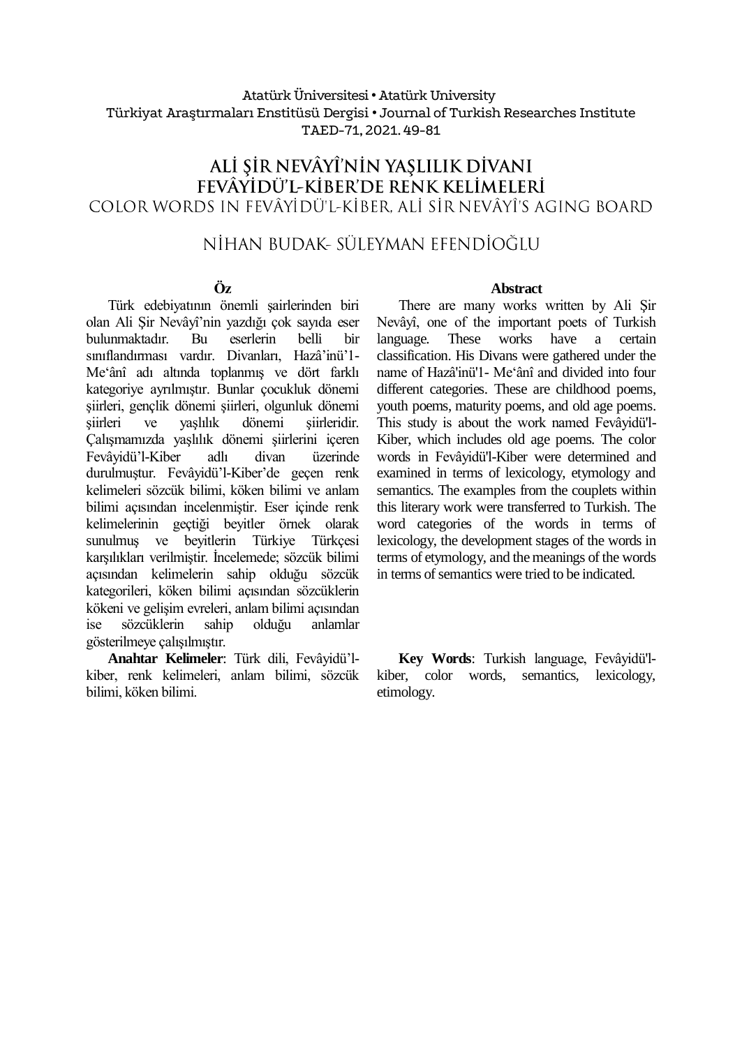### Atatürk Üniversitesi• Atatürk University Türkiyat Araştırmaları Enstitüsü Dergisi • Journal of Turkish Researches Institute TAED-71, 2021.49-81

## ALİ ŞİR NEVÂYÎ'NİN YAŞLILIK DİVANI FEVÂYİDÜ'L-KİBER'DE RENK KELİMELERİ COLOR WORDS IN FEVÂYÎDÛ'I-KÎBER, ALÎ SÎR NEVÂYÎ'S AGING BOARD

## NİHAN BUDAK- SÜLEYMAN EFENDİOĞLU

### **Öz**

Türk edebiyatının önemli şairlerinden biri olan Ali Şir Nevâyî'nin yazdığı çok sayıda eser bulunmaktadır. Bu eserlerin belli bir sınıflandırması vardır. Divanları, Hazâ'inü'1- Me'ânî adı altında toplanmış ve dört farklı kategoriye ayrılmıştır. Bunlar çocukluk dönemi şiirleri, gençlik dönemi şiirleri, olgunluk dönemi şiirleri ve yaşlılık dönemi şiirleridir. Çalışmamızda yaşlılık dönemi şiirlerini içeren Fevâyidü'l-Kiber adlı divan üzerinde durulmuştur. Fevâyidü'l-Kiber'de geçen renk kelimeleri sözcük bilimi, köken bilimi ve anlam bilimi açısından incelenmiştir. Eser içinde renk kelimelerinin geçtiği beyitler örnek olarak sunulmuş ve beyitlerin Türkiye Türkçesi karşılıkları verilmiştir. İncelemede; sözcük bilimi açısından kelimelerin sahip olduğu sözcük kategorileri, köken bilimi açısından sözcüklerin kökeni ve gelişim evreleri, anlam bilimi açısından ise sözcüklerin sahip olduğu anlamlar gösterilmeye çalışılmıştır.

**Anahtar Kelimeler**: Türk dili, Fevâyidü'lkiber, renk kelimeleri, anlam bilimi, sözcük bilimi, köken bilimi.

#### **Abstract**

There are many works written by Ali Şir Nevâyî, one of the important poets of Turkish language. These works have a certain classification. His Divans were gathered under the name of Hazâ'inü'1- Me'ânî and divided into four different categories. These are childhood poems, youth poems, maturity poems, and old age poems. This study is about the work named Fevâyidü'l-Kiber, which includes old age poems. The color words in Fevâyidü'l-Kiber were determined and examined in terms of lexicology, etymology and semantics. The examples from the couplets within this literary work were transferred to Turkish. The word categories of the words in terms of lexicology, the development stages of the words in terms of etymology, and the meanings of the words in terms of semantics were tried to be indicated.

**Key Words**: Turkish language, Fevâyidü'lkiber, color words, semantics, lexicology, etimology.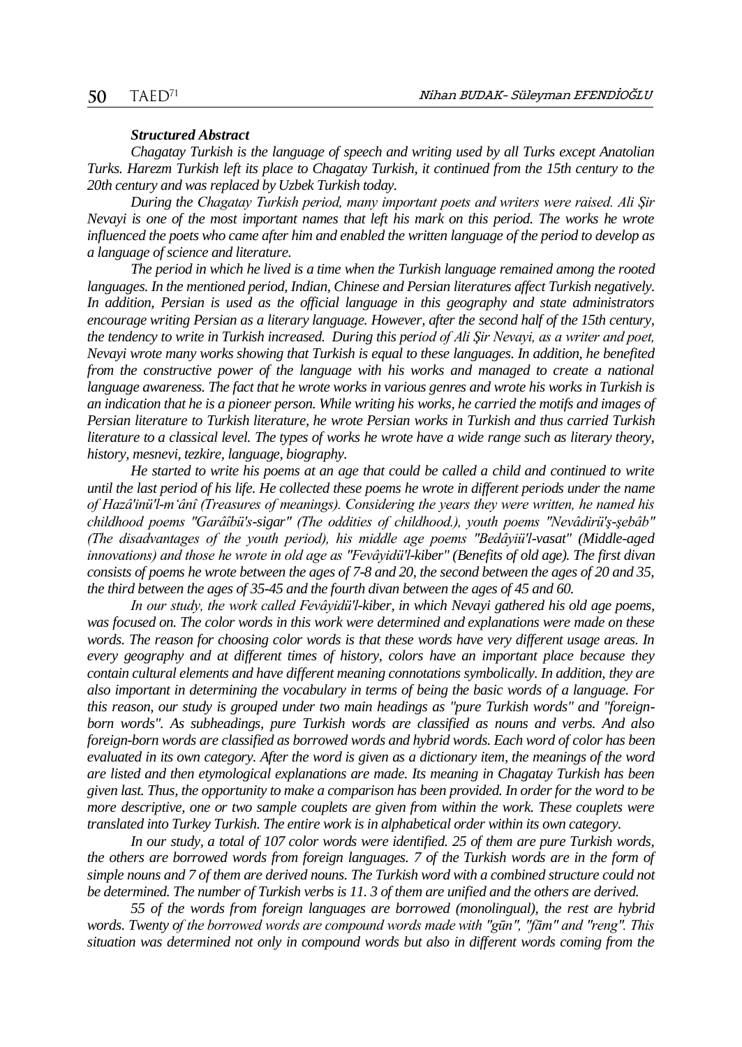#### *Structured Abstract*

*Chagatay Turkish is the language of speech and writing used by all Turks except Anatolian Turks. Harezm Turkish left its place to Chagatay Turkish, it continued from the 15th century to the 20th century and was replaced by Uzbek Turkish today.* 

*During the Chagatay Turkish period, many important poets and writers were raised. Ali Şir Nevayi is one of the most important names that left his mark on this period. The works he wrote influenced the poets who came after him and enabled the written language of the period to develop as a language of science and literature.* 

*The period in which he lived is a time when the Turkish language remained among the rooted languages. In the mentioned period, Indian, Chinese and Persian literatures affect Turkish negatively. In addition, Persian is used as the official language in this geography and state administrators encourage writing Persian as a literary language. However, after the second half of the 15th century, the tendency to write in Turkish increased. During this period of Ali Şir Nevayi, as a writer and poet, Nevayi wrote many works showing that Turkish is equal to these languages. In addition, he benefited from the constructive power of the language with his works and managed to create a national language awareness. The fact that he wrote works in various genres and wrote his works in Turkish is an indication that he is a pioneer person. While writing his works, he carried the motifs and images of Persian literature to Turkish literature, he wrote Persian works in Turkish and thus carried Turkish literature to a classical level. The types of works he wrote have a wide range such as literary theory, history, mesnevi, tezkire, language, biography.* 

*He started to write his poems at an age that could be called a child and continued to write until the last period of his life. He collected these poems he wrote in different periods under the name of Hazâ'inü'l-m'ânî (Treasures of meanings). Considering the years they were written, he named his childhood poems "Garâîbü's-sigar" (The oddities of childhood.), youth poems "Nevâdirü'ş-şebâb" (The disadvantages of the youth period), his middle age poems "Bedâyiü'l-vasat" (Middle-aged innovations) and those he wrote in old age as "Fevâyidü'l-kiber" (Benefits of old age). The first divan consists of poems he wrote between the ages of 7-8 and 20, the second between the ages of 20 and 35, the third between the ages of 35-45 and the fourth divan between the ages of 45 and 60.* 

*In our study, the work called Fevâyidü'l-kiber, in which Nevayi gathered his old age poems, was focused on. The color words in this work were determined and explanations were made on these words. The reason for choosing color words is that these words have very different usage areas. In every geography and at different times of history, colors have an important place because they contain cultural elements and have different meaning connotations symbolically. In addition, they are also important in determining the vocabulary in terms of being the basic words of a language. For this reason, our study is grouped under two main headings as "pure Turkish words" and "foreignborn words". As subheadings, pure Turkish words are classified as nouns and verbs. And also foreign-born words are classified as borrowed words and hybrid words. Each word of color has been evaluated in its own category. After the word is given as a dictionary item, the meanings of the word are listed and then etymological explanations are made. Its meaning in Chagatay Turkish has been given last. Thus, the opportunity to make a comparison has been provided. In order for the word to be more descriptive, one or two sample couplets are given from within the work. These couplets were translated into Turkey Turkish. The entire work is in alphabetical order within its own category.*

*In our study, a total of 107 color words were identified. 25 of them are pure Turkish words, the others are borrowed words from foreign languages. 7 of the Turkish words are in the form of simple nouns and 7 of them are derived nouns. The Turkish word with a combined structure could not be determined. The number of Turkish verbs is 11. 3 of them are unified and the others are derived.*

*55 of the words from foreign languages are borrowed (monolingual), the rest are hybrid words. Twenty of the borrowed words are compound words made with "gūn", "fām" and "reng". This situation was determined not only in compound words but also in different words coming from the*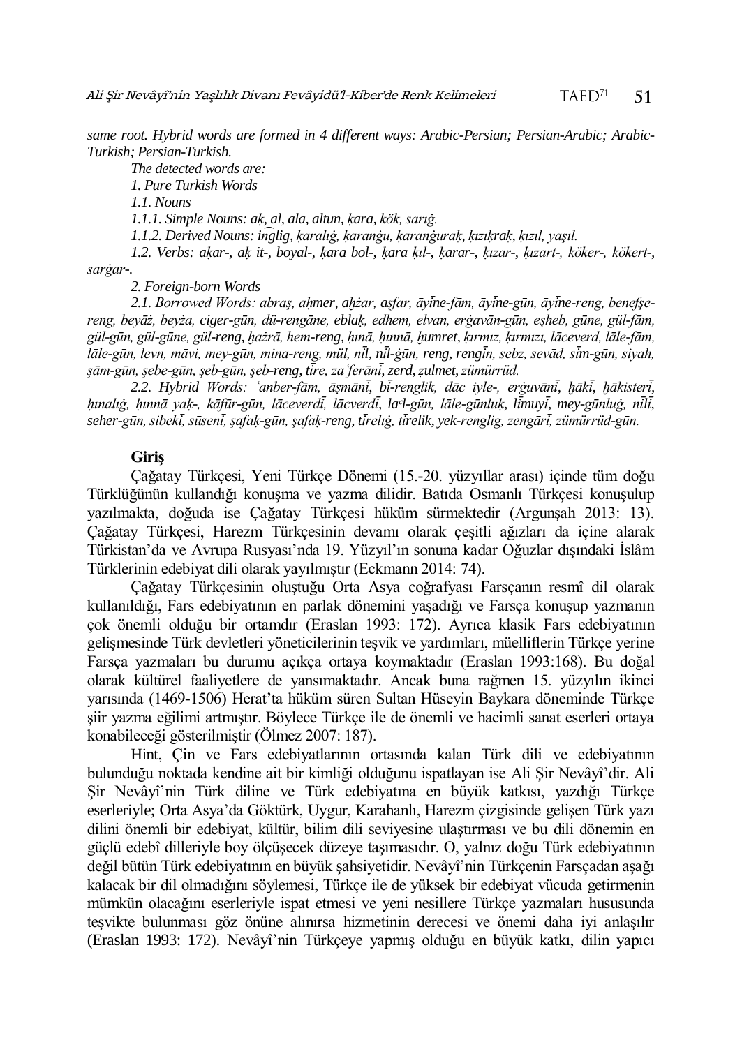*same root. Hybrid words are formed in 4 different ways: Arabic-Persian; Persian-Arabic; Arabic-Turkish; Persian-Turkish.*

*The detected words are:*

*1. Pure Turkish Words*

*1.1. Nouns*

*1.1.1. Simple Nouns: aḳ, al, ala, altun, ḳara, kök, sarıġ.*

*1.1.2. Derived Nouns: in͡glig, ḳaralıġ, ḳaranġu, ḳaranġuraḳ, ḳızıḳraḳ, ḳızıl, yaşıl.*

*1.2. Verbs: aḳar-, aḳ it-, boyal-, ḳara bol-, ḳara ḳıl-, ḳarar-, ḳızar-, ḳızart-, köker-, kökert-, sarġar-.*

*2. Foreign-born Words*

*2.1. Borrowed Words: abraş, aḥmer, aḫżar, aṣfar, āyı ̇̄ne-fām, āyı ̇̄ne-gūn, āyı ̇̄ne-reng, benefşereng, beyāż, beyża, ciger-gūn, dü-rengāne, eblaḳ, edhem, elvan, erġavān-gūn, eşheb, gūne, gül-fām, gül-gūn, gül-gūne, gül-reng, ḫażrā, hem-reng, ḥınā, ḥınnā, ḫumret, ḳırmız, ḳırmızı, lāceverd, lāle-fām, lāle-gūn, levn, māvi, mey-gūn, mina-reng, mül, nı ̇̄l, nı ̇̄l-ġūn, reng, rengı ̇̄n, sebz, sevād, sı ̇̄m-gūn, siyah, şām-gūn, şebe-gūn, şeb-gūn, şeb-reng, tı ̇̄re, zaʿferānı ̇̄, zerd, ẓulmet, zümürrüd.*

*2.2. Hybrid Words: ʿanber-fām, āṣmānı ̇̄, bı ̇̄-renglik, dāc iyle-, erġuvānı ̇̄, ḫākı ̇̄, ḫākisterı ̇̄, ḥınalıġ, ḥınnā yaḳ-, kāfūr-gūn, lāceverdı ̇̄, lācverdı ̇̄, laᶜl-gūn, lāle-gūnluḳ, lı ̇̄muyı ̇̄, mey-gūnluġ, nı ̇̄lı ̇̄, seher-gūn, sibekı ̇̄, sūsenı ̇̄, şafaḳ-gūn, şafaḳ-reng, tı ̇̄relıġ, tı ̇̄relik, yek-renglig, zengārı ̇̄, zümürrüd-gūn.*

#### **Giriş**

Çağatay Türkçesi, Yeni Türkçe Dönemi (15.-20. yüzyıllar arası) içinde tüm doğu Türklüğünün kullandığı konuşma ve yazma dilidir. Batıda Osmanlı Türkçesi konuşulup yazılmakta, doğuda ise Çağatay Türkçesi hüküm sürmektedir (Argunşah 2013: 13). Çağatay Türkçesi, Harezm Türkçesinin devamı olarak çeşitli ağızları da içine alarak Türkistan'da ve Avrupa Rusyası'nda 19. Yüzyıl'ın sonuna kadar Oğuzlar dışındaki İslâm Türklerinin edebiyat dili olarak yayılmıştır (Eckmann 2014: 74).

Çağatay Türkçesinin oluştuğu Orta Asya coğrafyası Farsçanın resmî dil olarak kullanıldığı, Fars edebiyatının en parlak dönemini yaşadığı ve Farsça konuşup yazmanın çok önemli olduğu bir ortamdır (Eraslan 1993: 172). Ayrıca klasik Fars edebiyatının gelişmesinde Türk devletleri yöneticilerinin teşvik ve yardımları, müelliflerin Türkçe yerine Farsça yazmaları bu durumu açıkça ortaya koymaktadır (Eraslan 1993:168). Bu doğal olarak kültürel faaliyetlere de yansımaktadır. Ancak buna rağmen 15. yüzyılın ikinci yarısında (1469-1506) Herat'ta hüküm süren Sultan Hüseyin Baykara döneminde Türkçe şiir yazma eğilimi artmıştır. Böylece Türkçe ile de önemli ve hacimli sanat eserleri ortaya konabileceği gösterilmiştir (Ölmez 2007: 187).

Hint, Çin ve Fars edebiyatlarının ortasında kalan Türk dili ve edebiyatının bulunduğu noktada kendine ait bir kimliği olduğunu ispatlayan ise Ali Şir Nevâyî'dir. Ali Şir Nevâyî'nin Türk diline ve Türk edebiyatına en büyük katkısı, yazdığı Türkçe eserleriyle; Orta Asya'da Göktürk, Uygur, Karahanlı, Harezm çizgisinde gelişen Türk yazı dilini önemli bir edebiyat, kültür, bilim dili seviyesine ulaştırması ve bu dili dönemin en güçlü edebî dilleriyle boy ölçüşecek düzeye taşımasıdır. O, yalnız doğu Türk edebiyatının değil bütün Türk edebiyatının en büyük şahsiyetidir. Nevâyî'nin Türkçenin Farsçadan aşağı kalacak bir dil olmadığını söylemesi, Türkçe ile de yüksek bir edebiyat vücuda getirmenin mümkün olacağını eserleriyle ispat etmesi ve yeni nesillere Türkçe yazmaları hususunda teşvikte bulunması göz önüne alınırsa hizmetinin derecesi ve önemi daha iyi anlaşılır (Eraslan 1993: 172). Nevâyî'nin Türkçeye yapmış olduğu en büyük katkı, dilin yapıcı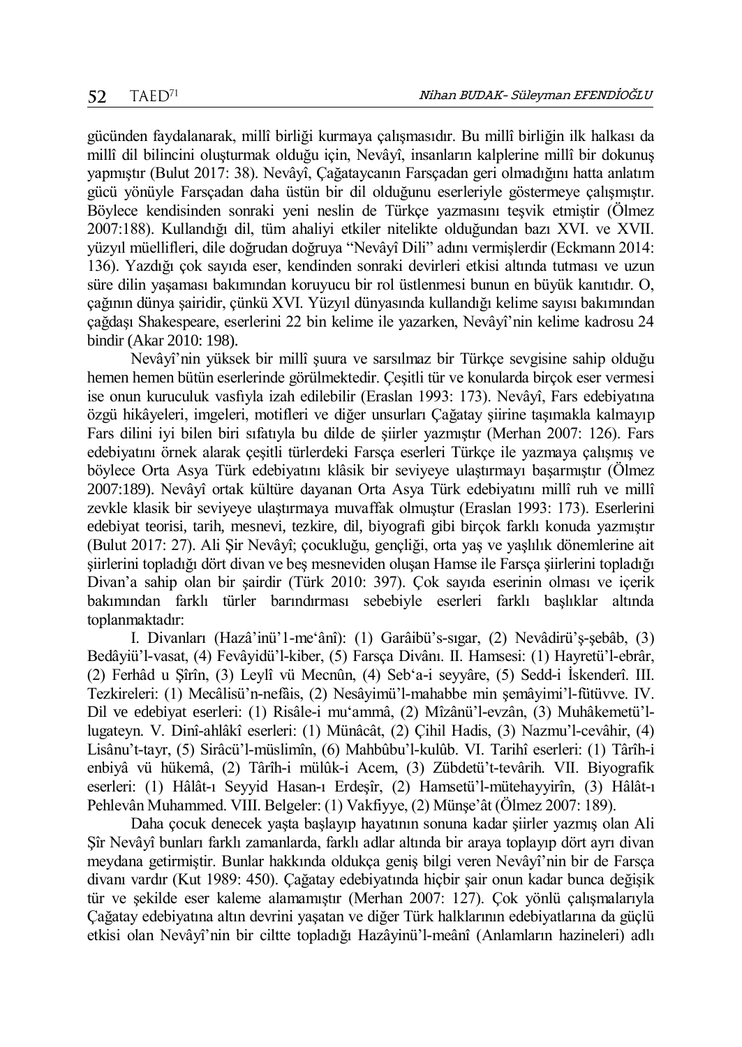gücünden faydalanarak, millî birliği kurmaya çalışmasıdır. Bu millî birliğin ilk halkası da millî dil bilincini oluşturmak olduğu için, Nevâyî, insanların kalplerine millî bir dokunuş yapmıştır (Bulut 2017: 38). Nevâyî, Çağataycanın Farsçadan geri olmadığını hatta anlatım gücü yönüyle Farsçadan daha üstün bir dil olduğunu eserleriyle göstermeye çalışmıştır. Böylece kendisinden sonraki yeni neslin de Türkçe yazmasını teşvik etmiştir (Ölmez 2007:188). Kullandığı dil, tüm ahaliyi etkiler nitelikte olduğundan bazı XVI. ve XVII. yüzyıl müellifleri, dile doğrudan doğruya "Nevâyî Dili" adını vermişlerdir (Eckmann 2014: 136). Yazdığı çok sayıda eser, kendinden sonraki devirleri etkisi altında tutması ve uzun süre dilin yaşaması bakımından koruyucu bir rol üstlenmesi bunun en büyük kanıtıdır. O, çağının dünya şairidir, çünkü XVI. Yüzyıl dünyasında kullandığı kelime sayısı bakımından çağdaşı Shakespeare, eserlerini 22 bin kelime ile yazarken, Nevâyî'nin kelime kadrosu 24 bindir (Akar 2010: 198).

Nevâyî'nin yüksek bir millî şuura ve sarsılmaz bir Türkçe sevgisine sahip olduğu hemen hemen bütün eserlerinde görülmektedir. Çeşitli tür ve konularda birçok eser vermesi ise onun kuruculuk vasfıyla izah edilebilir (Eraslan 1993: 173). Nevâyî, Fars edebiyatına özgü hikâyeleri, imgeleri, motifleri ve diğer unsurları Çağatay şiirine taşımakla kalmayıp Fars dilini iyi bilen biri sıfatıyla bu dilde de şiirler yazmıştır (Merhan 2007: 126). Fars edebiyatını örnek alarak çeşitli türlerdeki Farsça eserleri Türkçe ile yazmaya çalışmış ve böylece Orta Asya Türk edebiyatını klâsik bir seviyeye ulaştırmayı başarmıştır (Ölmez 2007:189). Nevâyî ortak kültüre dayanan Orta Asya Türk edebiyatını millî ruh ve millî zevkle klasik bir seviyeye ulaştırmaya muvaffak olmuştur (Eraslan 1993: 173). Eserlerini edebiyat teorisi, tarih, mesnevi, tezkire, dil, biyografi gibi birçok farklı konuda yazmıştır (Bulut 2017: 27). Ali Şir Nevâyî; çocukluğu, gençliği, orta yaş ve yaşlılık dönemlerine ait şiirlerini topladığı dört divan ve beş mesneviden oluşan Hamse ile Farsça şiirlerini topladığı Divan'a sahip olan bir şairdir (Türk 2010: 397). Çok sayıda eserinin olması ve içerik bakımından farklı türler barındırması sebebiyle eserleri farklı başlıklar altında toplanmaktadır:

I. Divanları (Hazâ'inü'1-me'ânî): (1) Garâibü's-sıgar, (2) Nevâdirü'ş-şebâb, (3) Bedâyiü'l-vasat, (4) Fevâyidü'l-kiber, (5) Farsça Divânı. II. Hamsesi: (1) Hayretü'l-ebrâr, (2) Ferhâd u Şîrîn, (3) Leylî vü Mecnûn, (4) Seb'a-i seyyâre, (5) Sedd-i İskenderî. III. Tezkireleri: (1) Mecâlisü'n-nefâis, (2) Nesâyimü'l-mahabbe min şemâyimi'l-fütüvve. IV. Dil ve edebiyat eserleri: (1) Risâle-i mu'ammâ, (2) Mîzânü'l-evzân, (3) Muhâkemetü'llugateyn. V. Dinî-ahlâkî eserleri: (1) Münâcât, (2) Çihil Hadis, (3) Nazmu'l-cevâhir, (4) Lisânu't-tayr, (5) Sirâcü'l-müslimîn, (6) Mahbûbu'l-kulûb. VI. Tarihî eserleri: (1) Târîh-i enbiyâ vü hükemâ, (2) Târîh-i mülûk-i Acem, (3) Zübdetü't-tevârih. VII. Biyografik eserleri: (1) Hâlât-ı Seyyid Hasan-ı Erdeşîr, (2) Hamsetü'l-mütehayyirîn, (3) Hâlât-ı Pehlevân Muhammed. VIII. Belgeler: (1) Vakfiyye, (2) Münşe'ât (Ölmez 2007: 189).

Daha çocuk denecek yaşta başlayıp hayatının sonuna kadar şiirler yazmış olan Ali Şîr Nevâyî bunları farklı zamanlarda, farklı adlar altında bir araya toplayıp dört ayrı divan meydana getirmiştir. Bunlar hakkında oldukça geniş bilgi veren Nevâyî'nin bir de Farsça divanı vardır (Kut 1989: 450). Çağatay edebiyatında hiçbir şair onun kadar bunca değişik tür ve şekilde eser kaleme alamamıştır (Merhan 2007: 127). Çok yönlü çalışmalarıyla Çağatay edebiyatına altın devrini yaşatan ve diğer Türk halklarının edebiyatlarına da güçlü etkisi olan Nevâyî'nin bir ciltte topladığı Hazâyinü'l-meânî (Anlamların hazineleri) adlı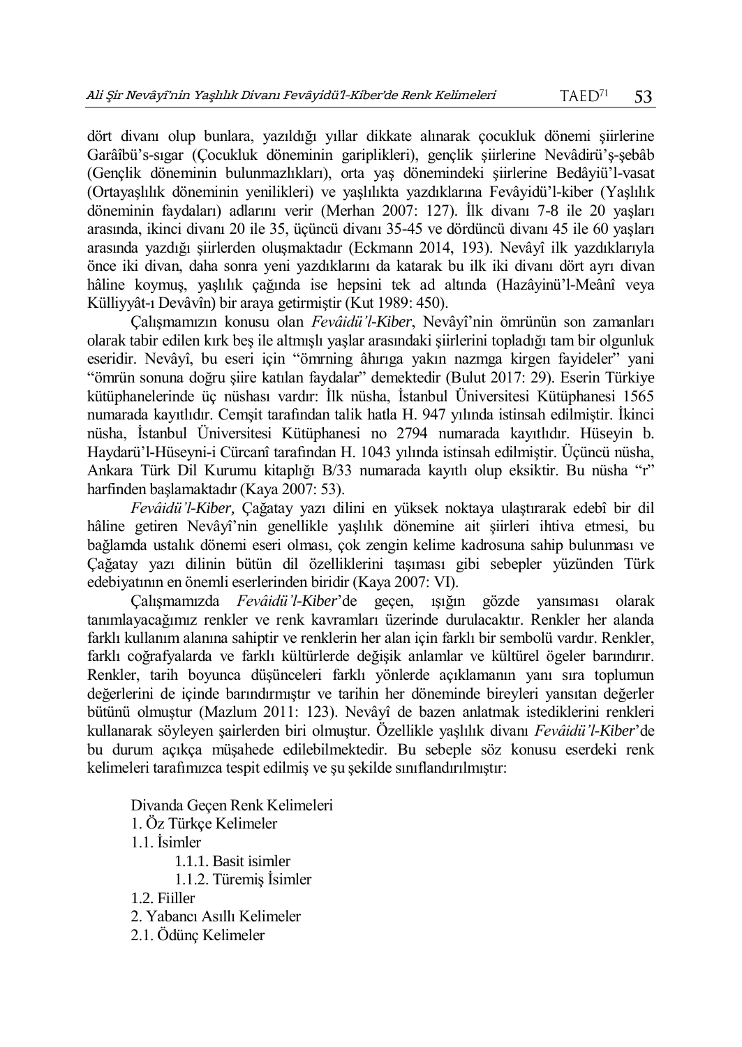dört divanı olup bunlara, yazıldığı yıllar dikkate alınarak çocukluk dönemi şiirlerine Garâîbü's-sıgar (Çocukluk döneminin gariplikleri), gençlik şiirlerine Nevâdirü'ş-şebâb (Gençlik döneminin bulunmazlıkları), orta yaş dönemindeki şiirlerine Bedâyiü'l-vasat (Ortayaşlılık döneminin yenilikleri) ve yaşlılıkta yazdıklarına Fevâyidü'l-kiber (Yaşlılık döneminin faydaları) adlarını verir (Merhan 2007: 127). İlk divanı 7-8 ile 20 yaşları arasında, ikinci divanı 20 ile 35, üçüncü divanı 35-45 ve dördüncü divanı 45 ile 60 yaşları arasında yazdığı şiirlerden oluşmaktadır (Eckmann 2014, 193). Nevâyî ilk yazdıklarıyla önce iki divan, daha sonra yeni yazdıklarını da katarak bu ilk iki divanı dört ayrı divan hâline koymuş, yaşlılık çağında ise hepsini tek ad altında (Hazâyinü'l-Meânî veya Külliyyât-ı Devâvîn) bir araya getirmiştir (Kut 1989: 450).

Çalışmamızın konusu olan *Fevâidü'l-Kiber*, Nevâyî'nin ömrünün son zamanları olarak tabir edilen kırk beş ile altmışlı yaşlar arasındaki şiirlerini topladığı tam bir olgunluk eseridir. Nevâyî, bu eseri için "ömrning âhırıga yakın nazmga kirgen fayideler" yani "ömrün sonuna doğru şiire katılan faydalar" demektedir (Bulut 2017: 29). Eserin Türkiye kütüphanelerinde üç nüshası vardır: İlk nüsha, İstanbul Üniversitesi Kütüphanesi 1565 numarada kayıtlıdır. Cemşit tarafından talik hatla H. 947 yılında istinsah edilmiştir. İkinci nüsha, İstanbul Üniversitesi Kütüphanesi no 2794 numarada kayıtlıdır. Hüseyin b. Haydarü'l-Hüseyni-i Cürcanî tarafından H. 1043 yılında istinsah edilmiştir. Üçüncü nüsha, Ankara Türk Dil Kurumu kitaplığı B/33 numarada kayıtlı olup eksiktir. Bu nüsha "r" harfinden başlamaktadır (Kaya 2007: 53).

*Fevâidü'l-Kiber,* Çağatay yazı dilini en yüksek noktaya ulaştırarak edebî bir dil hâline getiren Nevâyî'nin genellikle yaşlılık dönemine ait şiirleri ihtiva etmesi, bu bağlamda ustalık dönemi eseri olması, çok zengin kelime kadrosuna sahip bulunması ve Çağatay yazı dilinin bütün dil özelliklerini taşıması gibi sebepler yüzünden Türk edebiyatının en önemli eserlerinden biridir (Kaya 2007: VI).

Çalışmamızda *Fevâidü'l-Kiber*'de geçen, ışığın gözde yansıması olarak tanımlayacağımız renkler ve renk kavramları üzerinde durulacaktır. Renkler her alanda farklı kullanım alanına sahiptir ve renklerin her alan için farklı bir sembolü vardır. Renkler, farklı coğrafyalarda ve farklı kültürlerde değişik anlamlar ve kültürel ögeler barındırır. Renkler, tarih boyunca düşünceleri farklı yönlerde açıklamanın yanı sıra toplumun değerlerini de içinde barındırmıştır ve tarihin her döneminde bireyleri yansıtan değerler bütünü olmuştur (Mazlum 2011: 123). Nevâyî de bazen anlatmak istediklerini renkleri kullanarak söyleyen şairlerden biri olmuştur. Özellikle yaşlılık divanı *Fevâidü'l-Kiber*'de bu durum açıkça müşahede edilebilmektedir. Bu sebeple söz konusu eserdeki renk kelimeleri tarafımızca tespit edilmiş ve şu şekilde sınıflandırılmıştır:

Divanda Geçen Renk Kelimeleri 1. Öz Türkçe Kelimeler 1.1. İsimler 1.1.1. Basit isimler 1.1.2. Türemiş İsimler 1.2. Fiiller 2. Yabancı Asıllı Kelimeler 2.1. Ödünç Kelimeler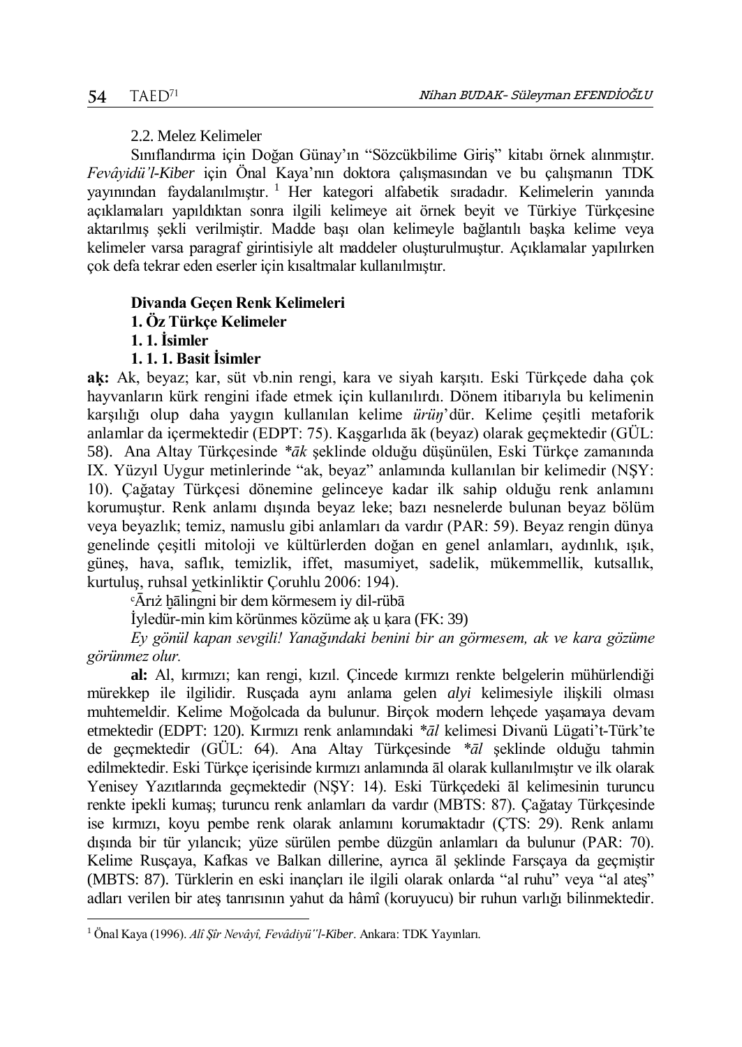## 2.2. Melez Kelimeler

Sınıflandırma için Doğan Günay'ın "Sözcükbilime Giriş" kitabı örnek alınmıştır. *Fevâyidü'l-Kiber* için Önal Kaya'nın doktora çalışmasından ve bu çalışmanın TDK yayınından faydalanılmıştır.<sup>1</sup> Her kategori alfabetik sıradadır. Kelimelerin yanında açıklamaları yapıldıktan sonra ilgili kelimeye ait örnek beyit ve Türkiye Türkçesine aktarılmış şekli verilmiştir. Madde başı olan kelimeyle bağlantılı başka kelime veya kelimeler varsa paragraf girintisiyle alt maddeler oluşturulmuştur. Açıklamalar yapılırken çok defa tekrar eden eserler için kısaltmalar kullanılmıştır.

## **Divanda Geçen Renk Kelimeleri**

## **1. Öz Türkçe Kelimeler**

**1. 1. İsimler**

 $\overline{a}$ 

## **1. 1. 1. Basit İsimler**

**aḳ:** Ak, beyaz; kar, süt vb.nin rengi, kara ve siyah karşıtı. Eski Türkçede daha çok hayvanların kürk rengini ifade etmek için kullanılırdı. Dönem itibarıyla bu kelimenin karşılığı olup daha yaygın kullanılan kelime *ürüŋ*'dür. Kelime çeşitli metaforik anlamlar da içermektedir (EDPT: 75). Kaşgarlıda āk (beyaz) olarak geçmektedir (GÜL: 58). Ana Altay Türkçesinde *\*āk* şeklinde olduğu düşünülen, Eski Türkçe zamanında IX. Yüzyıl Uygur metinlerinde "ak, beyaz" anlamında kullanılan bir kelimedir (NŞY: 10). Çağatay Türkçesi dönemine gelinceye kadar ilk sahip olduğu renk anlamını korumuştur. Renk anlamı dışında beyaz leke; bazı nesnelerde bulunan beyaz bölüm veya beyazlık; temiz, namuslu gibi anlamları da vardır (PAR: 59). Beyaz rengin dünya genelinde çeşitli mitoloji ve kültürlerden doğan en genel anlamları, aydınlık, ışık, güneş, hava, saflık, temizlik, iffet, masumiyet, sadelik, mükemmellik, kutsallık, kurtuluş, ruhsal yetkinliktir Çoruhlu 2006: 194).

 $\overline{A}$ rıż hālingni bir dem körmesem iy dil-rübā

İyledür-min kim körünmes közüme aḳ u ḳara (FK: 39)

*Ey gönül kapan sevgili! Yanağındaki benini bir an görmesem, ak ve kara gözüme görünmez olur.*

**al:** Al, kırmızı; kan rengi, kızıl. Çincede kırmızı renkte belgelerin mühürlendiği mürekkep ile ilgilidir. Rusçada aynı anlama gelen *alyi* kelimesiyle ilişkili olması muhtemeldir. Kelime Moğolcada da bulunur. Birçok modern lehçede yaşamaya devam etmektedir (EDPT: 120). Kırmızı renk anlamındaki *\*āl* kelimesi Divanü Lügati't-Türk'te de geçmektedir (GÜL: 64). Ana Altay Türkçesinde *\*āl* şeklinde olduğu tahmin edilmektedir. Eski Türkçe içerisinde kırmızı anlamında āl olarak kullanılmıştır ve ilk olarak Yenisey Yazıtlarında geçmektedir (NŞY: 14). Eski Türkçedeki āl kelimesinin turuncu renkte ipekli kumaş; turuncu renk anlamları da vardır (MBTS: 87). Çağatay Türkçesinde ise kırmızı, koyu pembe renk olarak anlamını korumaktadır (ÇTS: 29). Renk anlamı dışında bir tür yılancık; yüze sürülen pembe düzgün anlamları da bulunur (PAR: 70). Kelime Rusçaya, Kafkas ve Balkan dillerine, ayrıca āl şeklinde Farsçaya da geçmiştir (MBTS: 87). Türklerin en eski inançları ile ilgili olarak onlarda "al ruhu" veya "al ateş" adları verilen bir ateş tanrısının yahut da hâmî (koruyucu) bir ruhun varlığı bilinmektedir.

<sup>1</sup> Önal Kaya (1996). *Alî Şîr Nevâyî, Fevâdiyü"l-Kiber*. Ankara: TDK Yayınları.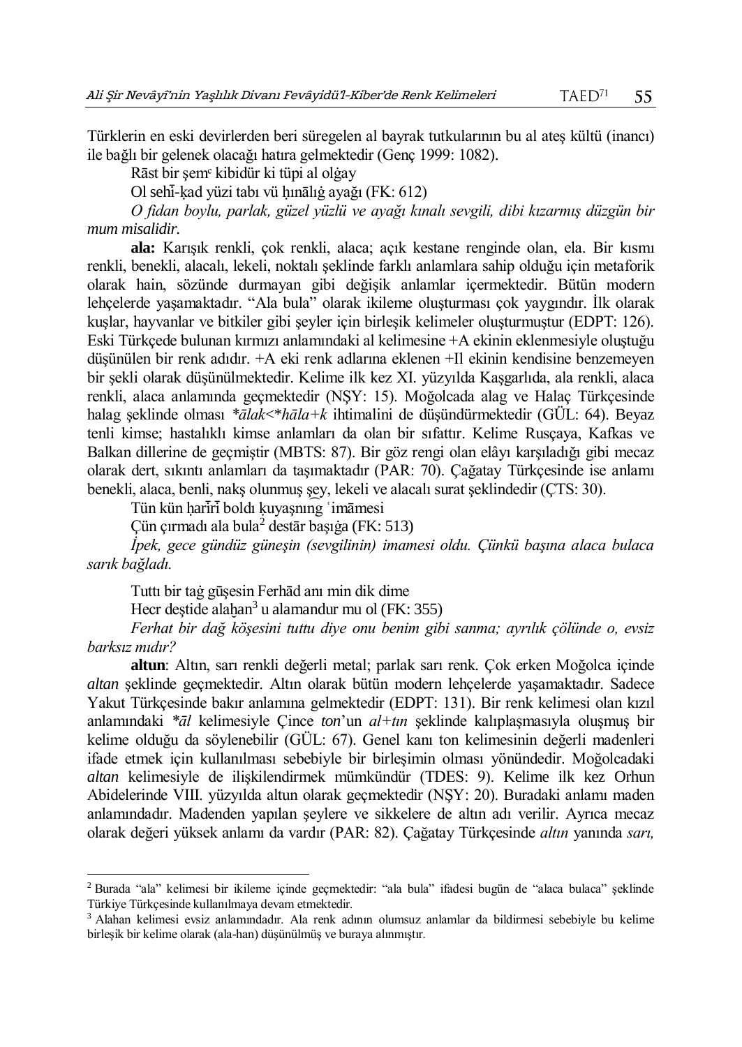Türklerin en eski devirlerden beri süregelen al bayrak tutkularının bu al ateş kültü (inancı) ile bağlı bir gelenek olacağı hatıra gelmektedir (Genç 1999: 1082).

Rāst bir şemᶜ kibidür ki tüpi al olġay

Ol sehi-kad yüzi tabı vü hınālığ ayağı (FK: 612)

*O fidan boylu, parlak, güzel yüzlü ve ayağı kınalı sevgili, dibi kızarmış düzgün bir mum misalidir.*

**ala:** Karışık renkli, çok renkli, alaca; açık kestane renginde olan, ela. Bir kısmı renkli, benekli, alacalı, lekeli, noktalı şeklinde farklı anlamlara sahip olduğu için metaforik olarak hain, sözünde durmayan gibi değişik anlamlar içermektedir. Bütün modern lehçelerde yaşamaktadır. "Ala bula" olarak ikileme oluşturması çok yaygındır. İlk olarak kuşlar, hayvanlar ve bitkiler gibi şeyler için birleşik kelimeler oluşturmuştur (EDPT: 126). Eski Türkçede bulunan kırmızı anlamındaki al kelimesine +A ekinin eklenmesiyle oluştuğu düşünülen bir renk adıdır. +A eki renk adlarına eklenen +Il ekinin kendisine benzemeyen bir şekli olarak düşünülmektedir. Kelime ilk kez XI. yüzyılda Kaşgarlıda, ala renkli, alaca renkli, alaca anlamında geçmektedir (NŞY: 15). Moğolcada alag ve Halaç Türkçesinde halag şeklinde olması *\*ālak*<\**hāla+k* ihtimalini de düşündürmektedir (GÜL: 64). Beyaz tenli kimse; hastalıklı kimse anlamları da olan bir sıfattır. Kelime Rusçaya, Kafkas ve Balkan dillerine de geçmiştir (MBTS: 87). Bir göz rengi olan elâyı karşıladığı gibi mecaz olarak dert, sıkıntı anlamları da taşımaktadır (PAR: 70). Çağatay Türkçesinde ise anlamı benekli, alaca, benli, nakş olunmuş şey, lekeli ve alacalı surat şeklindedir (ÇTS: 30).

Tün kün hariri boldı kuyaşnını *imāmesi* 

Çün çırmadı ala bula<sup>2</sup> destār başıġa (FK: 513)

*İpek, gece gündüz güneşin (sevgilinin) imamesi oldu. Çünkü başına alaca bulaca sarık bağladı.*

Tuttı bir taġ gūşesin Ferhād anı min dik dime

 $\overline{a}$ 

Hecr deștide alaḫan<sup>3</sup> u alamandur mu ol (FK: 355)

*Ferhat bir dağ köşesini tuttu diye onu benim gibi sanma; ayrılık çölünde o, evsiz barksız mıdır?* 

**altun**: Altın, sarı renkli değerli metal; parlak sarı renk. Çok erken Moğolca içinde *altan* şeklinde geçmektedir. Altın olarak bütün modern lehçelerde yaşamaktadır. Sadece Yakut Türkçesinde bakır anlamına gelmektedir (EDPT: 131). Bir renk kelimesi olan kızıl anlamındaki *\*āl* kelimesiyle Çince *ton*'un *al+tın* şeklinde kalıplaşmasıyla oluşmuş bir kelime olduğu da söylenebilir (GÜL: 67). Genel kanı ton kelimesinin değerli madenleri ifade etmek için kullanılması sebebiyle bir birleşimin olması yönündedir. Moğolcadaki *altan* kelimesiyle de ilişkilendirmek mümkündür (TDES: 9). Kelime ilk kez Orhun Abidelerinde VIII. yüzyılda altun olarak geçmektedir (NŞY: 20). Buradaki anlamı maden anlamındadır. Madenden yapılan şeylere ve sikkelere de altın adı verilir. Ayrıca mecaz olarak değeri yüksek anlamı da vardır (PAR: 82). Çağatay Türkçesinde *altın* yanında *sarı,* 

<sup>2</sup> Burada "ala" kelimesi bir ikileme içinde geçmektedir: "ala bula" ifadesi bugün de "alaca bulaca" şeklinde Türkiye Türkçesinde kullanılmaya devam etmektedir.

<sup>3</sup> Alahan kelimesi evsiz anlamındadır. Ala renk adının olumsuz anlamlar da bildirmesi sebebiyle bu kelime birleşik bir kelime olarak (ala-han) düşünülmüş ve buraya alınmıştır.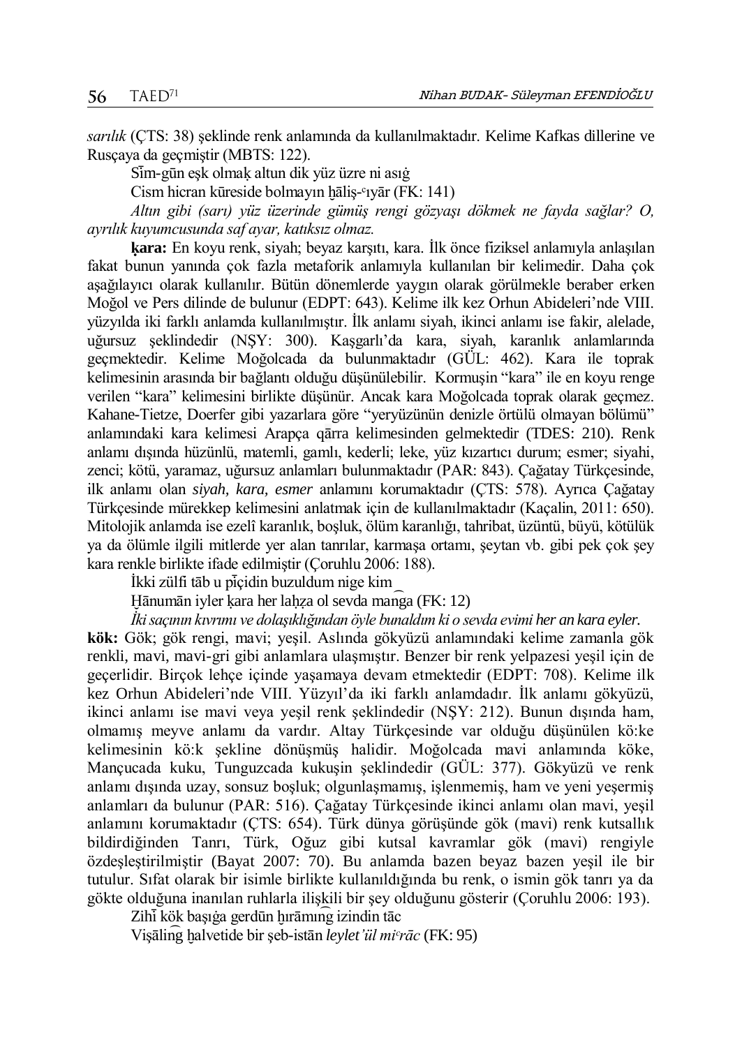*sarılık* (ÇTS: 38) şeklinde renk anlamında da kullanılmaktadır. Kelime Kafkas dillerine ve Rusçaya da geçmiştir (MBTS: 122).

Sim-gūn eşk olmak altun dik yüz üzre ni asığ

Cism hicran kūreside bolmayın hāliş-<sup>c</sup>ıyār (FK: 141)

*Altın gibi (sarı) yüz üzerinde gümüş rengi gözyaşı dökmek ne fayda sağlar? O, ayrılık kuyumcusunda saf ayar, katıksız olmaz.*

**ḳara:** En koyu renk, siyah; beyaz karşıtı, kara. İlk önce fiziksel anlamıyla anlaşılan fakat bunun yanında çok fazla metaforik anlamıyla kullanılan bir kelimedir. Daha çok aşağılayıcı olarak kullanılır. Bütün dönemlerde yaygın olarak görülmekle beraber erken Moğol ve Pers dilinde de bulunur (EDPT: 643). Kelime ilk kez Orhun Abideleri'nde VIII. yüzyılda iki farklı anlamda kullanılmıştır. İlk anlamı siyah, ikinci anlamı ise fakir, alelade, uğursuz şeklindedir (NŞY: 300). Kaşgarlı'da kara, siyah, karanlık anlamlarında geçmektedir. Kelime Moğolcada da bulunmaktadır (GÜL: 462). Kara ile toprak kelimesinin arasında bir bağlantı olduğu düşünülebilir. Kormuşin "kara" ile en koyu renge verilen "kara" kelimesini birlikte düşünür. Ancak kara Moğolcada toprak olarak geçmez. Kahane-Tietze, Doerfer gibi yazarlara göre "yeryüzünün denizle örtülü olmayan bölümü" anlamındaki kara kelimesi Arapça qārra kelimesinden gelmektedir (TDES: 210). Renk anlamı dışında hüzünlü, matemli, gamlı, kederli; leke, yüz kızartıcı durum; esmer; siyahi, zenci; kötü, yaramaz, uğursuz anlamları bulunmaktadır (PAR: 843). Çağatay Türkçesinde, ilk anlamı olan *siyah, kara, esmer* anlamını korumaktadır (ÇTS: 578). Ayrıca Çağatay Türkçesinde mürekkep kelimesini anlatmak için de kullanılmaktadır (Kaçalin, 2011: 650). Mitolojik anlamda ise ezelî karanlık, boşluk, ölüm karanlığı, tahribat, üzüntü, büyü, kötülük ya da ölümle ilgili mitlerde yer alan tanrılar, karmaşa ortamı, şeytan vb. gibi pek çok şey kara renkle birlikte ifade edilmiştir (Çoruhlu 2006: 188).

İkki zülfi tāb u piçidin buzuldum nige kim

Hānumān iyler kara her lahza ol sevda manga (FK: 12)

*İki saçının kıvrımı ve dolaşıklığından öyle bunaldım ki o sevda evimi her an kara eyler.*

**kök:** Gök; gök rengi, mavi; yeşil. Aslında gökyüzü anlamındaki kelime zamanla gök renkli, mavi, mavi-gri gibi anlamlara ulaşmıştır. Benzer bir renk yelpazesi yeşil için de geçerlidir. Birçok lehçe içinde yaşamaya devam etmektedir (EDPT: 708). Kelime ilk kez Orhun Abideleri'nde VIII. Yüzyıl'da iki farklı anlamdadır. İlk anlamı gökyüzü, ikinci anlamı ise mavi veya yeşil renk şeklindedir (NŞY: 212). Bunun dışında ham, olmamış meyve anlamı da vardır. Altay Türkçesinde var olduğu düşünülen kö:ke kelimesinin kö:k şekline dönüşmüş halidir. Moğolcada mavi anlamında köke, Mançucada kuku, Tunguzcada kukuşin şeklindedir (GÜL: 377). Gökyüzü ve renk anlamı dışında uzay, sonsuz boşluk; olgunlaşmamış, işlenmemiş, ham ve yeni yeşermiş anlamları da bulunur (PAR: 516). Çağatay Türkçesinde ikinci anlamı olan mavi, yeşil anlamını korumaktadır (ÇTS: 654). Türk dünya görüşünde gök (mavi) renk kutsallık bildirdiğinden Tanrı, Türk, Oğuz gibi kutsal kavramlar gök (mavi) rengiyle özdeşleştirilmiştir (Bayat 2007: 70). Bu anlamda bazen beyaz bazen yeşil ile bir tutulur. Sıfat olarak bir isimle birlikte kullanıldığında bu renk, o ismin gök tanrı ya da gökte olduğuna inanılan ruhlarla ilişkili bir şey olduğunu gösterir (Çoruhlu 2006: 193).

Zihi kök başığa gerdūn hırāmıng izindin tāc

Vişāling halvetide bir şeb-istān *leylet'ül mi<sup>c</sup>rāc* (FK: 95)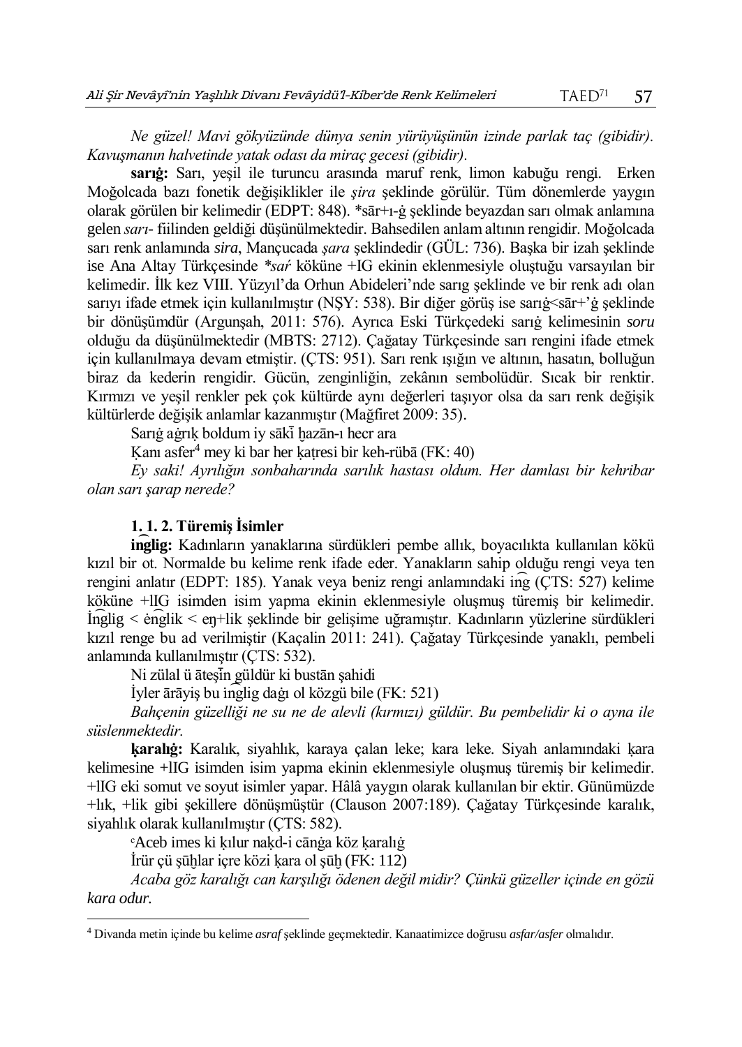*Ne güzel! Mavi gökyüzünde dünya senin yürüyüşünün izinde parlak taç (gibidir). Kavuşmanın halvetinde yatak odası da miraç gecesi (gibidir).*

**sarıġ:** Sarı, yeşil ile turuncu arasında maruf renk, limon kabuğu rengi. Erken Moğolcada bazı fonetik değişiklikler ile *şira* şeklinde görülür. Tüm dönemlerde yaygın olarak görülen bir kelimedir (EDPT: 848). \*sār+ı-ġ şeklinde beyazdan sarı olmak anlamına gelen *sarı-* fiilinden geldiği düşünülmektedir. Bahsedilen anlam altının rengidir. Moğolcada sarı renk anlamında *sira*, Mançucada *şara* şeklindedir (GÜL: 736). Başka bir izah şeklinde ise Ana Altay Türkçesinde *\*saŕ* köküne +IG ekinin eklenmesiyle oluştuğu varsayılan bir kelimedir. İlk kez VIII. Yüzyıl'da Orhun Abideleri'nde sarıg şeklinde ve bir renk adı olan sarıyı ifade etmek için kullanılmıştır (NŞY: 538). Bir diğer görüş ise sarıġ<sār+'ġ şeklinde bir dönüşümdür (Argunşah, 2011: 576). Ayrıca Eski Türkçedeki sarıġ kelimesinin *soru* olduğu da düşünülmektedir (MBTS: 2712). Çağatay Türkçesinde sarı rengini ifade etmek için kullanılmaya devam etmiştir. (ÇTS: 951). Sarı renk ışığın ve altının, hasatın, bolluğun biraz da kederin rengidir. Gücün, zenginliğin, zekânın sembolüdür. Sıcak bir renktir. Kırmızı ve yeşil renkler pek çok kültürde aynı değerleri taşıyor olsa da sarı renk değişik kültürlerde değişik anlamlar kazanmıştır (Mağfiret 2009: 35).

Sarığ ağrık boldum iy sākī hazān-ı hecr ara

Kanı asfer<sup>4</sup> mey ki bar her katresi bir keh-rübā (FK: 40)

*Ey saki! Ayrılığın sonbaharında sarılık hastası oldum. Her damlası bir kehribar olan sarı şarap nerede?* 

## **1. 1. 2. Türemiş İsimler**

**in͡glig:** Kadınların yanaklarına sürdükleri pembe allık, boyacılıkta kullanılan kökü kızıl bir ot. Normalde bu kelime renk ifade eder. Yanakların sahip olduğu rengi veya ten rengini anlatır (EDPT: 185). Yanak veya beniz rengi anlamındaki in͡g (ÇTS: 527) kelime köküne +lIG isimden isim yapma ekinin eklenmesiyle oluşmuş türemiş bir kelimedir. İn͡glig < ėn͡glik < eŋ+lik şeklinde bir gelişime uğramıştır. Kadınların yüzlerine sürdükleri kızıl renge bu ad verilmiştir (Kaçalin 2011: 241). Çağatay Türkçesinde yanaklı, pembeli anlamında kullanılmıştır (ÇTS: 532).

Ni zülal ü āteşin güldür ki bustān şahidi

İyler ārāyiş bu ı n͡glig daġı ol közgü bile (FK: 521)

*Bahçenin güzelliği ne su ne de alevli (kırmızı) güldür. Bu pembelidir ki o ayna ile süslenmektedir.*

**ḳaralıġ:** Karalık, siyahlık, karaya çalan leke; kara leke. Siyah anlamındaki ḳara kelimesine +lIG isimden isim yapma ekinin eklenmesiyle oluşmuş türemiş bir kelimedir. +lIG eki somut ve soyut isimler yapar. Hâlâ yaygın olarak kullanılan bir ektir. Günümüzde +lık, +lik gibi şekillere dönüşmüştür (Clauson 2007:189). Çağatay Türkçesinde karalık, siyahlık olarak kullanılmıştır (ÇTS: 582).

ᶜAceb imes ki ḳılur naḳd-i cānġa köz ḳaralıġ

İrür çü şūḫlar içre közi ḳara ol şūḫ (FK: 112)

 $\overline{a}$ 

*Acaba göz karalığı can karşılığı ödenen değil midir? Çünkü güzeller içinde en gözü kara odur.* 

<sup>4</sup> Divanda metin içinde bu kelime *asraf* şeklinde geçmektedir. Kanaatimizce doğrusu *asfar/asfer* olmalıdır.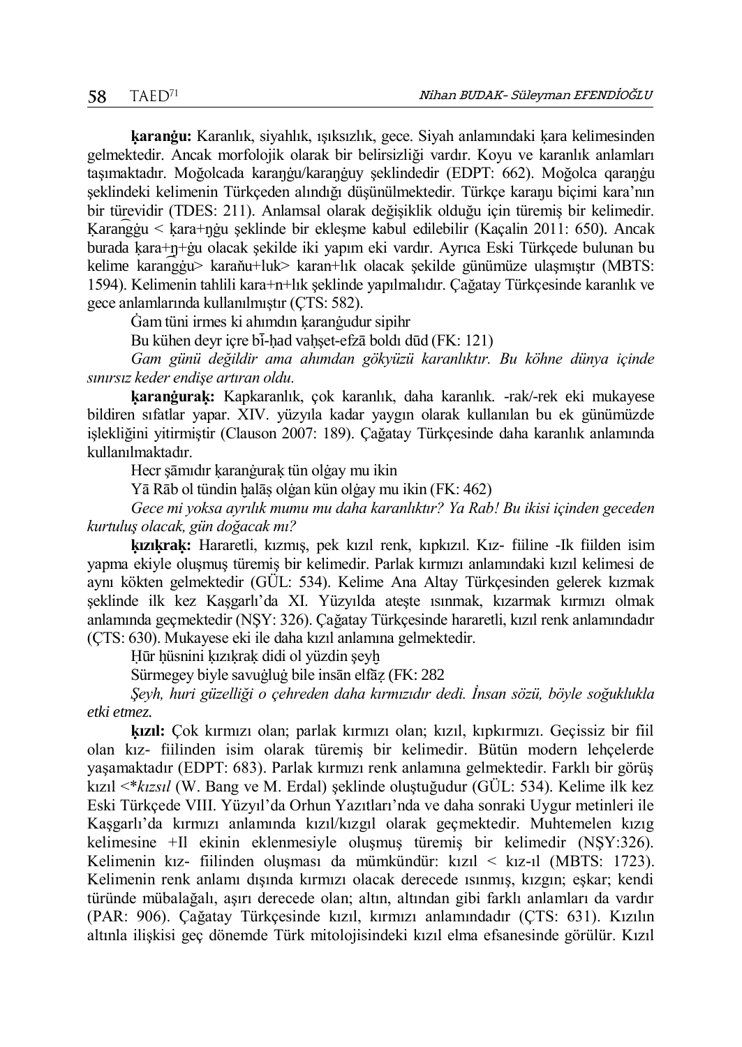**ḳaranġu:** Karanlık, siyahlık, ışıksızlık, gece. Siyah anlamındaki ḳara kelimesinden gelmektedir. Ancak morfolojik olarak bir belirsizliği vardır. Koyu ve karanlık anlamları taşımaktadır. Moğolcada karaŋġu/karaŋġuy şeklindedir (EDPT: 662). Moğolca qaraŋġu şeklindeki kelimenin Türkçeden alındığı düşünülmektedir. Türkçe karaŋu biçimi kara'nın bir türevidir (TDES: 211). Anlamsal olarak değişiklik olduğu için türemiş bir kelimedir. Ḳaran͡gġu < ḳara+ŋġu şeklinde bir ekleşme kabul edilebilir (Kaçalin 2011: 650). Ancak burada ḳara+ŋ+ġu olacak şekilde iki yapım eki vardır. Ayrıca Eski Türkçede bulunan bu kelime karan͡gġu> karaňu+luk> karan+lık olacak şekilde günümüze ulaşmıştır (MBTS: 1594). Kelimenin tahlili kara+n+lık şeklinde yapılmalıdır. Çağatay Türkçesinde karanlık ve gece anlamlarında kullanılmıştır (ÇTS: 582).

Ġam tüni irmes ki ahımdın ḳaranġudur sipihr

Bu kühen deyr içre bi-had vahşet-efzā boldı dūd (FK: 121)

*Gam günü değildir ama ahımdan gökyüzü karanlıktır. Bu köhne dünya içinde sınırsız keder endişe artıran oldu.*

**ḳaranġuraḳ:** Kapkaranlık, çok karanlık, daha karanlık. -rak/-rek eki mukayese bildiren sıfatlar yapar. XIV. yüzyıla kadar yaygın olarak kullanılan bu ek günümüzde işlekliğini yitirmiştir (Clauson 2007: 189). Çağatay Türkçesinde daha karanlık anlamında kullanılmaktadır.

Hecr şāmıdır ḳaranġuraḳ tün olġay mu ikin

Yā Rāb ol tündin ḫalāṣ olġan kün olġay mu ikin (FK: 462)

*Gece mi yoksa ayrılık mumu mu daha karanlıktır? Ya Rab! Bu ikisi içinden geceden kurtuluş olacak, gün doğacak mı?*

**ḳızıḳraḳ:** Hararetli, kızmış, pek kızıl renk, kıpkızıl. Kız- fiiline -Ik fiilden isim yapma ekiyle oluşmuş türemiş bir kelimedir. Parlak kırmızı anlamındaki kızıl kelimesi de aynı kökten gelmektedir (GÜL: 534). Kelime Ana Altay Türkçesinden gelerek kızmak şeklinde ilk kez Kaşgarlı'da XI. Yüzyılda ateşte ısınmak, kızarmak kırmızı olmak anlamında geçmektedir (NŞY: 326). Çağatay Türkçesinde hararetli, kızıl renk anlamındadır (ÇTS: 630). Mukayese eki ile daha kızıl anlamına gelmektedir.

Hūr hüsnini kızıkrak didi ol yüzdin şeyh

Sürmegey biyle savuġluġ bile insān elfāẓ (FK: 282

*Şeyh, huri güzelliği o çehreden daha kırmızıdır dedi. İnsan sözü, böyle soğuklukla etki etmez.*

**ḳızıl:** Çok kırmızı olan; parlak kırmızı olan; kızıl, kıpkırmızı. Geçissiz bir fiil olan kız- fiilinden isim olarak türemiş bir kelimedir. Bütün modern lehçelerde yaşamaktadır (EDPT: 683). Parlak kırmızı renk anlamına gelmektedir. Farklı bir görüş kızıl <\**kızsıl* (W. Bang ve M. Erdal) şeklinde oluştuğudur (GÜL: 534). Kelime ilk kez Eski Türkçede VIII. Yüzyıl'da Orhun Yazıtları'nda ve daha sonraki Uygur metinleri ile Kaşgarlı'da kırmızı anlamında kızıl/kızgıl olarak geçmektedir. Muhtemelen kızıg kelimesine +Il ekinin eklenmesiyle oluşmuş türemiş bir kelimedir (NŞY:326). Kelimenin kız- fiilinden oluşması da mümkündür: kızıl < kız-ıl (MBTS: 1723). Kelimenin renk anlamı dışında kırmızı olacak derecede ısınmış, kızgın; eşkar; kendi türünde mübalağalı, aşırı derecede olan; altın, altından gibi farklı anlamları da vardır (PAR: 906). Çağatay Türkçesinde kızıl, kırmızı anlamındadır (ÇTS: 631). Kızılın altınla ilişkisi geç dönemde Türk mitolojisindeki kızıl elma efsanesinde görülür. Kızıl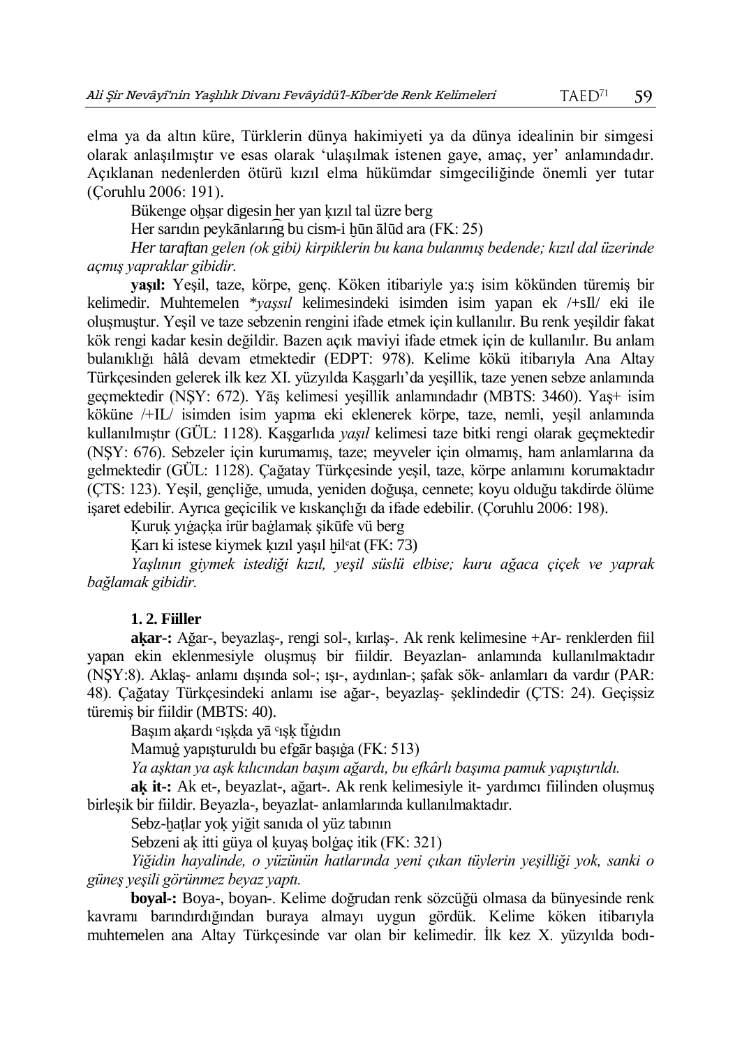elma ya da altın küre, Türklerin dünya hakimiyeti ya da dünya idealinin bir simgesi olarak anlaşılmıştır ve esas olarak 'ulaşılmak istenen gaye, amaç, yer' anlamındadır. Açıklanan nedenlerden ötürü kızıl elma hükümdar simgeciliğinde önemli yer tutar (Çoruhlu 2006: 191).

Bükenge ohsar digesin her yan kızıl tal üzre berg

Her sarıdın peykānların $\overline{q}$  bu cism-i hūn ālūd ara (FK: 25)

*Her taraftan gelen (ok gibi) kirpiklerin bu kana bulanmış bedende; kızıl dal üzerinde açmış yapraklar gibidir.* 

**yaşıl:** Yeşil, taze, körpe, genç. Köken itibariyle ya:ş isim kökünden türemiş bir kelimedir. Muhtemelen \**yaşsıl* kelimesindeki isimden isim yapan ek /+sIl/ eki ile oluşmuştur. Yeşil ve taze sebzenin rengini ifade etmek için kullanılır. Bu renk yeşildir fakat kök rengi kadar kesin değildir. Bazen açık maviyi ifade etmek için de kullanılır. Bu anlam bulanıklığı hâlâ devam etmektedir (EDPT: 978). Kelime kökü itibarıyla Ana Altay Türkçesinden gelerek ilk kez XI. yüzyılda Kaşgarlı'da yeşillik, taze yenen sebze anlamında geçmektedir (NŞY: 672). Yāş kelimesi yeşillik anlamındadır (MBTS: 3460). Yaş+ isim köküne /+IL/ isimden isim yapma eki eklenerek körpe, taze, nemli, yeşil anlamında kullanılmıştır (GÜL: 1128). Kaşgarlıda *yaşıl* kelimesi taze bitki rengi olarak geçmektedir (NŞY: 676). Sebzeler için kurumamış, taze; meyveler için olmamış, ham anlamlarına da gelmektedir (GÜL: 1128). Çağatay Türkçesinde yeşil, taze, körpe anlamını korumaktadır (ÇTS: 123). Yeşil, gençliğe, umuda, yeniden doğuşa, cennete; koyu olduğu takdirde ölüme işaret edebilir. Ayrıca geçicilik ve kıskançlığı da ifade edebilir. (Çoruhlu 2006: 198).

Ḳuruḳ yıġaçḳa irür baġlamaḳ şikūfe vü berg

Karı ki istese kiymek kızıl yaşıl hil<sup>c</sup>at (FK: 73)

*Yaşlının giymek istediği kızıl, yeşil süslü elbise; kuru ağaca çiçek ve yaprak bağlamak gibidir.* 

#### **1. 2. Fiiller**

**aḳar-:** Ağar-, beyazlaş-, rengi sol-, kırlaş-. Ak renk kelimesine +Ar- renklerden fiil yapan ekin eklenmesiyle oluşmuş bir fiildir. Beyazlan- anlamında kullanılmaktadır (NŞY:8). Aklaş- anlamı dışında sol-; ışı-, aydınlan-; şafak sök- anlamları da vardır (PAR: 48). Çağatay Türkçesindeki anlamı ise ağar-, beyazlaş- şeklindedir (ÇTS: 24). Geçişsiz türemiş bir fiildir (MBTS: 40).

Başım akardı °ışkda yā °ışk tiğıdın

Mamuġ yapışturuldı bu efgār başıġa (FK: 513)

*Ya aşktan ya aşk kılıcından başım ağardı, bu efkârlı başıma pamuk yapıştırıldı.*

**aḳ it-:** Ak et-, beyazlat-, ağart-. Ak renk kelimesiyle it- yardımcı fiilinden oluşmuş birleşik bir fiildir. Beyazla-, beyazlat- anlamlarında kullanılmaktadır.

Sebz-hatlar yok yiğit sanıda ol yüz tabının

Sebzeni ak itti güya ol kuyaş bolgaç itik (FK: 321)

*Yiğidin hayalinde, o yüzünün hatlarında yeni çıkan tüylerin yeşilliği yok, sanki o güneş yeşili görünmez beyaz yaptı.* 

**boyal-:** Boya-, boyan-. Kelime doğrudan renk sözcüğü olmasa da bünyesinde renk kavramı barındırdığından buraya almayı uygun gördük. Kelime köken itibarıyla muhtemelen ana Altay Türkçesinde var olan bir kelimedir. İlk kez X. yüzyılda bodı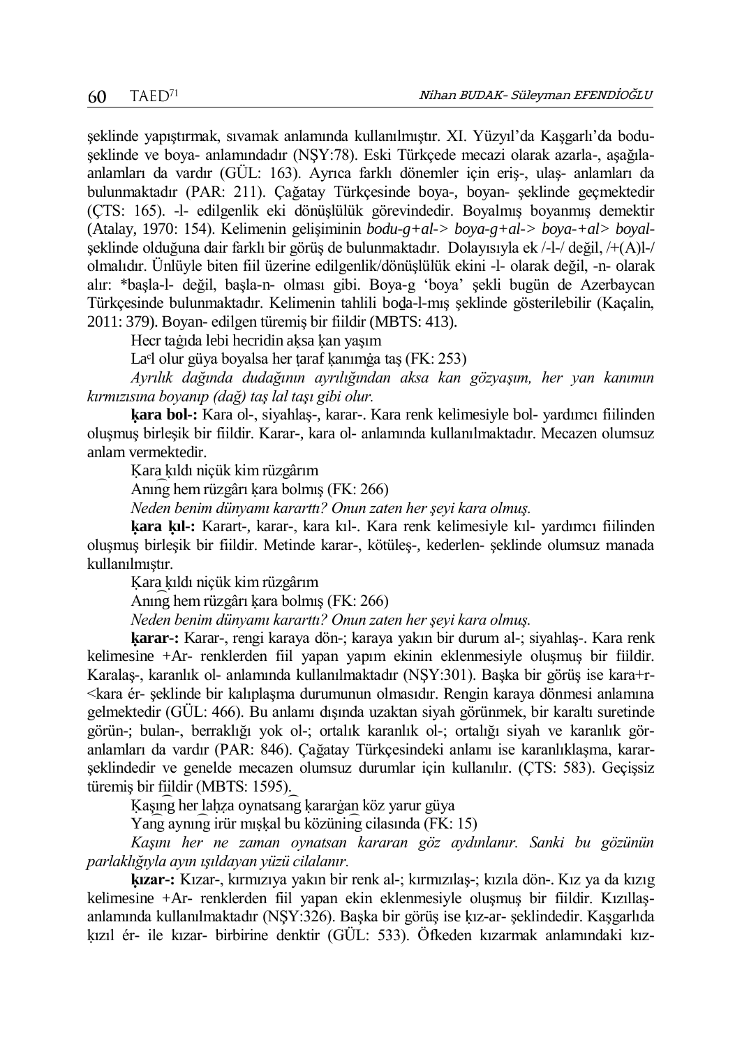şeklinde yapıştırmak, sıvamak anlamında kullanılmıştır. XI. Yüzyıl'da Kaşgarlı'da boduşeklinde ve boya- anlamındadır (NŞY:78). Eski Türkçede mecazi olarak azarla-, aşağılaanlamları da vardır (GÜL: 163). Ayrıca farklı dönemler için eriş-, ulaş- anlamları da bulunmaktadır (PAR: 211). Çağatay Türkçesinde boya-, boyan- şeklinde geçmektedir (ÇTS: 165). -l- edilgenlik eki dönüşlülük görevindedir. Boyalmış boyanmış demektir (Atalay, 1970: 154). Kelimenin gelişiminin *bodu-g+al-> boya-g+al-> boya-+al> boyal*şeklinde olduğuna dair farklı bir görüş de bulunmaktadır. Dolayısıyla ek /-l-/ değil, /+(A)l-/ olmalıdır. Ünlüyle biten fiil üzerine edilgenlik/dönüşlülük ekini -l- olarak değil, -n- olarak alır: \*başla-l- değil, başla-n- olması gibi. Boya-g 'boya' şekli bugün de Azerbaycan Türkçesinde bulunmaktadır. Kelimenin tahlili boḏa-l-mış şeklinde gösterilebilir (Kaçalin, 2011: 379). Boyan- edilgen türemiş bir fiildir (MBTS: 413).

Hecr taġıda lebi hecridin aḳsa ḳan yaşım

La<sup>c</sup>l olur güya boyalsa her taraf kanımga taş (FK: 253)

*Ayrılık dağında dudağının ayrılığından aksa kan gözyaşım, her yan kanımın kırmızısına boyanıp (dağ) taş lal taşı gibi olur.*

**ḳara bol-:** Kara ol-, siyahlaş-, karar-. Kara renk kelimesiyle bol- yardımcı fiilinden oluşmuş birleşik bir fiildir. Karar-, kara ol- anlamında kullanılmaktadır. Mecazen olumsuz anlam vermektedir.

Ḳara ḳıldı niçük kim rüzgârım

Anın͡g hem rüzgârı ḳara bolmış (FK: 266)

*Neden benim dünyamı kararttı? Onun zaten her şeyi kara olmuş.*

**ḳara ḳıl-:** Karart-, karar-, kara kıl-. Kara renk kelimesiyle kıl- yardımcı fiilinden oluşmuş birleşik bir fiildir. Metinde karar-, kötüleş-, kederlen- şeklinde olumsuz manada kullanılmıştır.

Ḳara ḳıldı niçük kim rüzgârım

Anın͡g hem rüzgârı ḳara bolmış (FK: 266)

*Neden benim dünyamı kararttı? Onun zaten her şeyi kara olmuş.*

**ḳarar-:** Karar-, rengi karaya dön-; karaya yakın bir durum al-; siyahlaş-. Kara renk kelimesine +Ar- renklerden fiil yapan yapım ekinin eklenmesiyle oluşmuş bir fiildir. Karalaş-, karanlık ol- anlamında kullanılmaktadır (NŞY:301). Başka bir görüş ise kara+r- <kara ér- şeklinde bir kalıplaşma durumunun olmasıdır. Rengin karaya dönmesi anlamına gelmektedir (GÜL: 466). Bu anlamı dışında uzaktan siyah görünmek, bir karaltı suretinde görün-; bulan-, berraklığı yok ol-; ortalık karanlık ol-; ortalığı siyah ve karanlık göranlamları da vardır (PAR: 846). Çağatay Türkçesindeki anlamı ise karanlıklaşma, kararşeklindedir ve genelde mecazen olumsuz durumlar için kullanılır. (ÇTS: 583). Geçişsiz türemiş bir fiildir (MBTS: 1595).

Kaşıng her lahza oynatsang karargan köz yarur güya

Yang aynıng irür mışkal bu közüning cilasında (FK: 15)

*Kaşını her ne zaman oynatsan kararan göz aydınlanır. Sanki bu gözünün parlaklığıyla ayın ışıldayan yüzü cilalanır.*

**ḳızar-:** Kızar-, kırmızıya yakın bir renk al-; kırmızılaş-; kızıla dön-. Kız ya da kızıg kelimesine +Ar- renklerden fiil yapan ekin eklenmesiyle oluşmuş bir fiildir. Kızıllaşanlamında kullanılmaktadır (NŞY:326). Başka bir görüş ise ḳız-ar- şeklindedir. Kaşgarlıda ḳızıl ér- ile kızar- birbirine denktir (GÜL: 533). Öfkeden kızarmak anlamındaki kız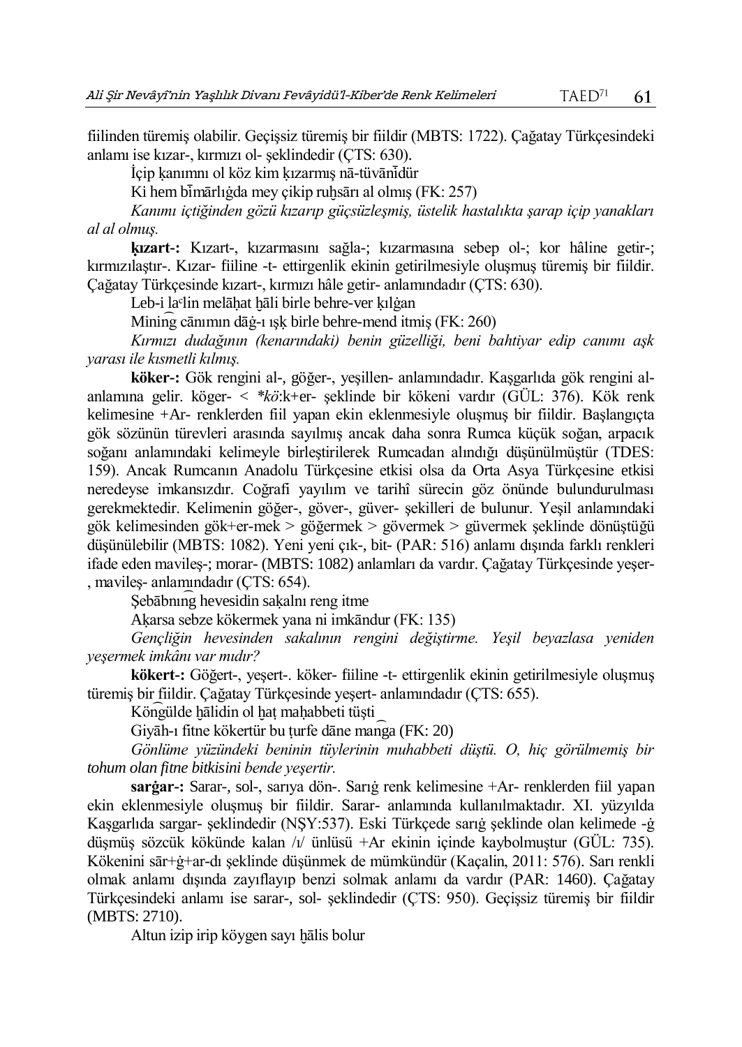fiilinden türemiş olabilir. Geçişsiz türemiş bir fiildir (MBTS: 1722). Çağatay Türkçesindeki anlamı ise kızar-, kırmızı ol- şeklindedir (ÇTS: 630).

İçip ḳanımnı ol köz kim ḳızarmış nā-tüvānı ̇̄dür

Ki hem bi mārlığda mey çikip ruhsārı al olmış (FK: 257)

*Kanımı içtiğinden gözü kızarıp güçsüzleşmiş, üstelik hastalıkta şarap içip yanakları al al olmuş.*

**ḳızart-:** Kızart-, kızarmasını sağla-; kızarmasına sebep ol-; kor hâline getir-; kırmızılaştır-. Kızar- fiiline -t- ettirgenlik ekinin getirilmesiyle oluşmuş türemiş bir fiildir. Çağatay Türkçesinde kızart-, kırmızı hâle getir- anlamındadır (ÇTS: 630).

Leb-i la<sup>c</sup>lin melāhat hāli birle behre-ver kılgan

Minin͡g cānımın dāġ-ı ışḳ birle behre-mend itmiş (FK: 260)

*Kırmızı dudağının (kenarındaki) benin güzelliği, beni bahtiyar edip canımı aşk yarası ile kısmetli kılmış.*

**köker-:** Gök rengini al-, göğer-, yeşillen- anlamındadır. Kaşgarlıda gök rengini alanlamına gelir. köger- < *\*kö*:k+er- şeklinde bir kökeni vardır (GÜL: 376). Kök renk kelimesine +Ar- renklerden fiil yapan ekin eklenmesiyle oluşmuş bir fiildir. Başlangıçta gök sözünün türevleri arasında sayılmış ancak daha sonra Rumca küçük soğan, arpacık soğanı anlamındaki kelimeyle birleştirilerek Rumcadan alındığı düşünülmüştür (TDES: 159). Ancak Rumcanın Anadolu Türkçesine etkisi olsa da Orta Asya Türkçesine etkisi neredeyse imkansızdır. Coğrafi yayılım ve tarihî sürecin göz önünde bulundurulması gerekmektedir. Kelimenin göğer-, göver-, güver- şekilleri de bulunur. Yeşil anlamındaki gök kelimesinden gök+er-mek > göğermek > gövermek > güvermek şeklinde dönüştüğü düşünülebilir (MBTS: 1082). Yeni yeni çık-, bit- (PAR: 516) anlamı dışında farklı renkleri ifade eden mavileş-; morar- (MBTS: 1082) anlamları da vardır. Çağatay Türkçesinde yeşer- , mavileş- anlamındadır (ÇTS: 654).

Sebābning hevesidin sakalnı reng itme

Aḳarsa sebze kökermek yana ni imkāndur (FK: 135)

*Gençliğin hevesinden sakalının rengini değiştirme. Yeşil beyazlasa yeniden yeşermek imkânı var mıdır?*

**kökert-:** Göğert-, yeşert-. köker- fiiline -t- ettirgenlik ekinin getirilmesiyle oluşmuş türemiş bir fiildir. Çağatay Türkçesinde yeşert- anlamındadır (ÇTS: 655).

Köngülde hālidin ol hat mahabbeti tüşti

Giyāh-ı fitne kökertür bu ṭurfe dāne man͡ga (FK: 20)

*Gönlüme yüzündeki beninin tüylerinin muhabbeti düştü. O, hiç görülmemiş bir tohum olan fitne bitkisini bende yeşertir.*

**sarġar-:** Sarar-, sol-, sarıya dön-. Sarıġ renk kelimesine +Ar- renklerden fiil yapan ekin eklenmesiyle oluşmuş bir fiildir. Sarar- anlamında kullanılmaktadır. XI. yüzyılda Kaşgarlıda sargar- şeklindedir (NŞY:537). Eski Türkçede sarıġ şeklinde olan kelimede -ġ düşmüş sözcük kökünde kalan /ı/ ünlüsü +Ar ekinin içinde kaybolmuştur (GÜL: 735). Kökenini sār+ġ+ar-dı şeklinde düşünmek de mümkündür (Kaçalin, 2011: 576). Sarı renkli olmak anlamı dışında zayıflayıp benzi solmak anlamı da vardır (PAR: 1460). Çağatay Türkçesindeki anlamı ise sarar-, sol- şeklindedir (ÇTS: 950). Geçişsiz türemiş bir fiildir (MBTS: 2710).

Altun izip irip köygen sayı hālis bolur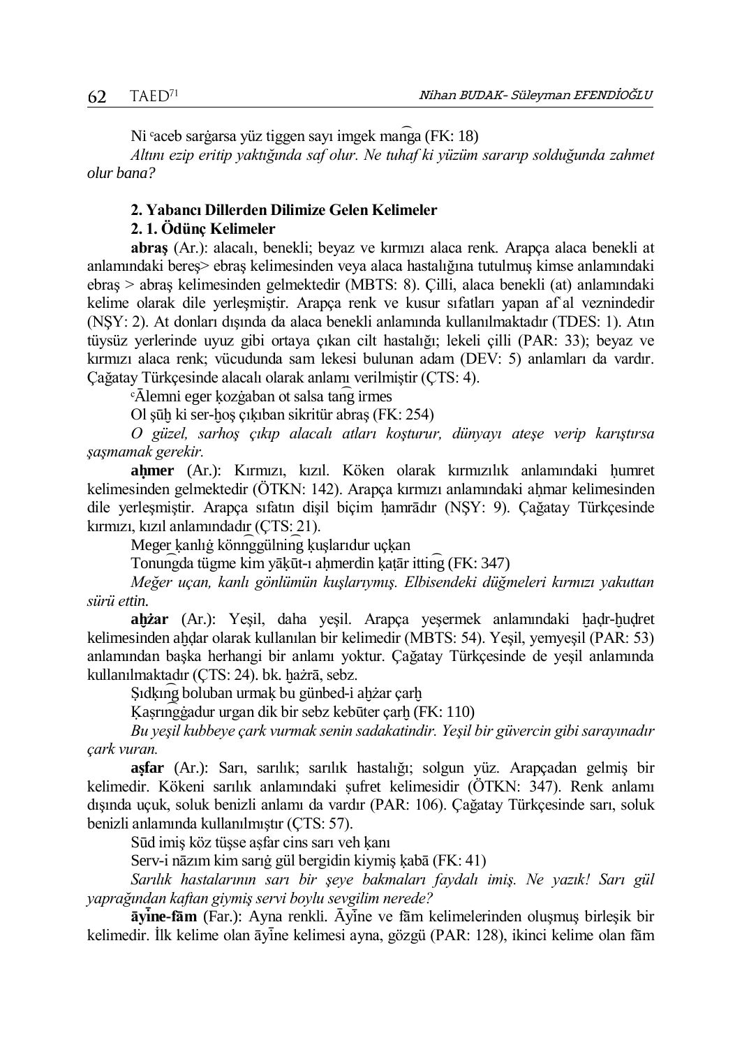Ni <sup>c</sup>aceb sargarsa yüz tiggen sayı imgek manga (FK: 18)

*Altını ezip eritip yaktığında saf olur. Ne tuhaf ki yüzüm sararıp solduğunda zahmet olur bana?*

#### **2. Yabancı Dillerden Dilimize Gelen Kelimeler**

### **2. 1. Ödünç Kelimeler**

**abraş** (Ar.): alacalı, benekli; beyaz ve kırmızı alaca renk. Arapça alaca benekli at anlamındaki bereş> ebraş kelimesinden veya alaca hastalığına tutulmuş kimse anlamındaki ebraş > abraş kelimesinden gelmektedir (MBTS: 8). Çilli, alaca benekli (at) anlamındaki kelime olarak dile yerleşmiştir. Arapça renk ve kusur sıfatları yapan afʿal veznindedir (NŞY: 2). At donları dışında da alaca benekli anlamında kullanılmaktadır (TDES: 1). Atın tüysüz yerlerinde uyuz gibi ortaya çıkan cilt hastalığı; lekeli çilli (PAR: 33); beyaz ve kırmızı alaca renk; vücudunda sam lekesi bulunan adam (DEV: 5) anlamları da vardır. Çağatay Türkçesinde alacalı olarak anlamı verilmiştir (ÇTS: 4).

ᶜᾹlemni eger ḳozġaban ot salsa tan͡g irmes

Ol sūh ki ser-hos çıkıban sikritür abras (FK: 254)

*O güzel, sarhoş çıkıp alacalı atları koşturur, dünyayı ateşe verip karıştırsa şaşmamak gerekir.* 

**aḥmer** (Ar.): Kırmızı, kızıl. Köken olarak kırmızılık anlamındaki ḥumret kelimesinden gelmektedir (ÖTKN: 142). Arapça kırmızı anlamındaki ahmar kelimesinden dile yerleşmiştir. Arapça sıfatın dişil biçim ḥamrādır (NŞY: 9). Çağatay Türkçesinde kırmızı, kızıl anlamındadır (ÇTS: 21).

Meger ḳanlıġ könn͡ggülnin͡g ḳuşlarıdur uçḳan

Tonun͡gda tügme kim yāḳūt-ı aḥmerdin ḳaṭār ittin͡g (FK: 347)

*Meğer uçan, kanlı gönlümün kuşlarıymış. Elbisendeki düğmeleri kırmızı yakuttan sürü ettin.*

**aḫżar** (Ar.): Yeşil, daha yeşil. Arapça yeşermek anlamındaki ḫaḍr-ḫuḍret kelimesinden aḫḍar olarak kullanılan bir kelimedir (MBTS: 54). Yeşil, yemyeşil (PAR: 53) anlamından başka herhangi bir anlamı yoktur. Çağatay Türkçesinde de yeşil anlamında kullanılmaktadır (ÇTS: 24). bk. hażrā, sebz.

Sıdkıng boluban urmak bu günbed-i ahżar çarh

Kasrın ggadur urgan dik bir sebz kebūter çarh (FK: 110)

*Bu yeşil kubbeye çark vurmak senin sadakatindir. Yeşil bir güvercin gibi sarayınadır çark vuran.*

**aṣfar** (Ar.): Sarı, sarılık; sarılık hastalığı; solgun yüz. Arapçadan gelmiş bir kelimedir. Kökeni sarılık anlamındaki ṣufret kelimesidir (ÖTKN: 347). Renk anlamı dışında uçuk, soluk benizli anlamı da vardır (PAR: 106). Çağatay Türkçesinde sarı, soluk benizli anlamında kullanılmıştır (ÇTS: 57).

Sūd imiş köz tüşse aṣfar cins sarı veh ḳanı

Serv-i nāzım kim sarıġ gül bergidin kiymiş ḳabā (FK: 41)

*Sarılık hastalarının sarı bir şeye bakmaları faydalı imiş. Ne yazık! Sarı gül yaprağından kaftan giymiş servi boylu sevgilim nerede?* 

 $\bar{a}$ yine-fam (Far.): Ayna renkli. Āyine ve fām kelimelerinden oluşmuş birleşik bir kelimedir. İlk kelime olan āyine kelimesi ayna, gözgü (PAR: 128), ikinci kelime olan fām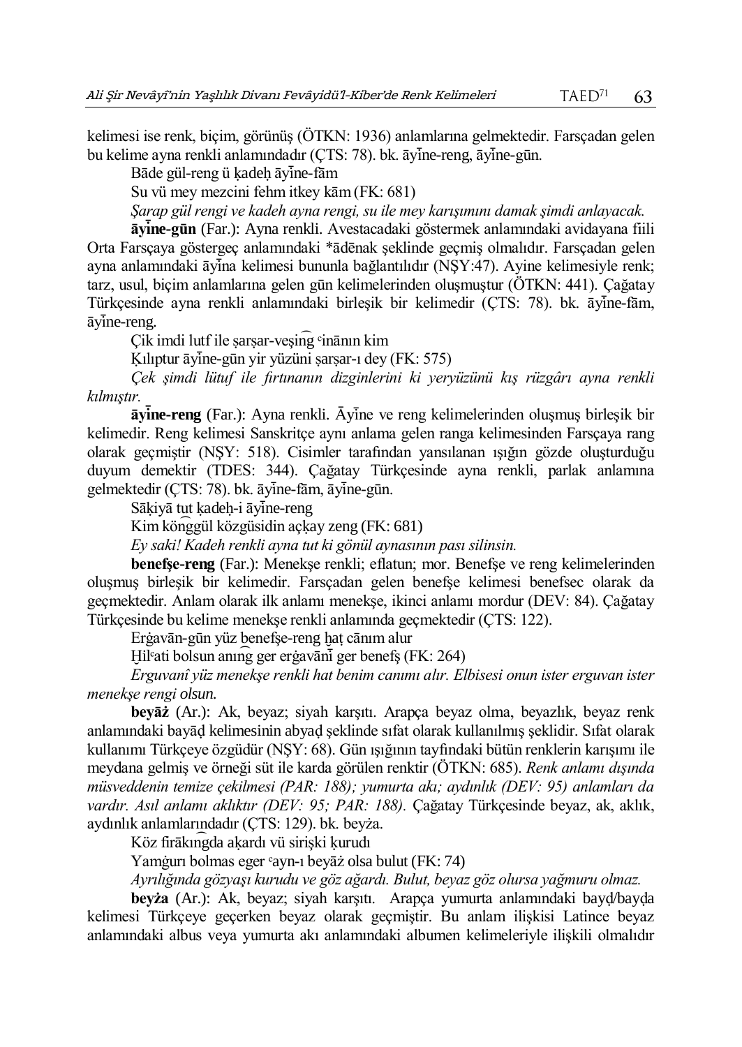kelimesi ise renk, biçim, görünüş (ÖTKN: 1936) anlamlarına gelmektedir. Farsçadan gelen bu kelime ayna renkli anlamındadır (ÇTS: 78). bk. āyine-reng, āyine-gūn.

Bāde gül-reng ü kadeh āvine-fām

Su vü mey mezcini fehm itkey kām (FK: 681)

*Şarap gül rengi ve kadeh ayna rengi, su ile mey karışımını damak şimdi anlayacak.*

**āyı ̇̄ne-gūn** (Far.): Ayna renkli. Avestacadaki göstermek anlamındaki avidayana fiili Orta Farsçaya göstergeç anlamındaki \*ādēnak şeklinde geçmiş olmalıdır. Farsçadan gelen ayna anlamındaki āyina kelimesi bununla bağlantılıdır (NSY:47). Ayine kelimesiyle renk; tarz, usul, biçim anlamlarına gelen gūn kelimelerinden oluşmuştur (ÖTKN: 441). Çağatay Türkcesinde ayna renkli anlamındaki birleşik bir kelimedir (ÇTS: 78). bk. āyine-fām,  $\bar{a}$ vine-reng.

Çik imdi lutf ile sarsar-veşing <sup>c</sup>inānın kim

Kılıptur āyine-gūn yir yüzüni sarsar-ı dey (FK: 575)

*Çek şimdi lütuf ile fırtınanın dizginlerini ki yeryüzünü kış rüzgârı ayna renkli kılmıştır.* 

 $\bar{a}$ yine-reng (Far.): Ayna renkli. Āyine ve reng kelimelerinden oluşmuş birleşik bir kelimedir. Reng kelimesi Sanskritçe aynı anlama gelen ranga kelimesinden Farsçaya rang olarak geçmiştir (NŞY: 518). Cisimler tarafından yansılanan ışığın gözde oluşturduğu duyum demektir (TDES: 344). Çağatay Türkçesinde ayna renkli, parlak anlamına gelmektedir (ÇTS: 78). bk. āyīne-fām, āyīne-gūn.

Sākiyā tut kadeh-i āyine-reng

Kim kön͡ggül közgüsidin açḳay zeng (FK: 681)

*Ey saki! Kadeh renkli ayna tut ki gönül aynasının pası silinsin.*

**benefşe-reng** (Far.): Menekşe renkli; eflatun; mor. Benefşe ve reng kelimelerinden oluşmuş birleşik bir kelimedir. Farsçadan gelen benefşe kelimesi benefsec olarak da geçmektedir. Anlam olarak ilk anlamı menekşe, ikinci anlamı mordur (DEV: 84). Çağatay Türkçesinde bu kelime menekşe renkli anlamında geçmektedir (ÇTS: 122).

Erġavān-gūn yüz benefşe-reng ḫaṭ cānım alur

Hil<sup>c</sup>ati bolsun anıng ger ergavāni ger benefs (FK: 264)

*Erguvanî yüz menekşe renkli hat benim canımı alır. Elbisesi onun ister erguvan ister menekşe rengi olsun.*

**beyāż** (Ar.): Ak, beyaz; siyah karşıtı. Arapça beyaz olma, beyazlık, beyaz renk anlamındaki bayāḍ kelimesinin abyaḍ şeklinde sıfat olarak kullanılmış şeklidir. Sıfat olarak kullanımı Türkçeye özgüdür (NŞY: 68). Gün ışığının tayfındaki bütün renklerin karışımı ile meydana gelmiş ve örneği süt ile karda görülen renktir (ÖTKN: 685). *Renk anlamı dışında müsveddenin temize çekilmesi (PAR: 188); yumurta akı; aydınlık (DEV: 95) anlamları da vardır. Asıl anlamı aklıktır (DEV: 95; PAR: 188).* Çağatay Türkçesinde beyaz, ak, aklık, aydınlık anlamlarındadır (ÇTS: 129). bk. beyża.

Köz firākın͡gda aḳardı vü sirişki ḳurudı

Yamġurı bolmas eger ᶜayn-ı beyāż olsa bulut (FK: 74)

*Ayrılığında gözyaşı kurudu ve göz ağardı. Bulut, beyaz göz olursa yağmuru olmaz.*

**beyża** (Ar.): Ak, beyaz; siyah karşıtı. Arapça yumurta anlamındaki bayḍ/bayḍa kelimesi Türkçeye geçerken beyaz olarak geçmiştir. Bu anlam ilişkisi Latince beyaz anlamındaki albus veya yumurta akı anlamındaki albumen kelimeleriyle ilişkili olmalıdır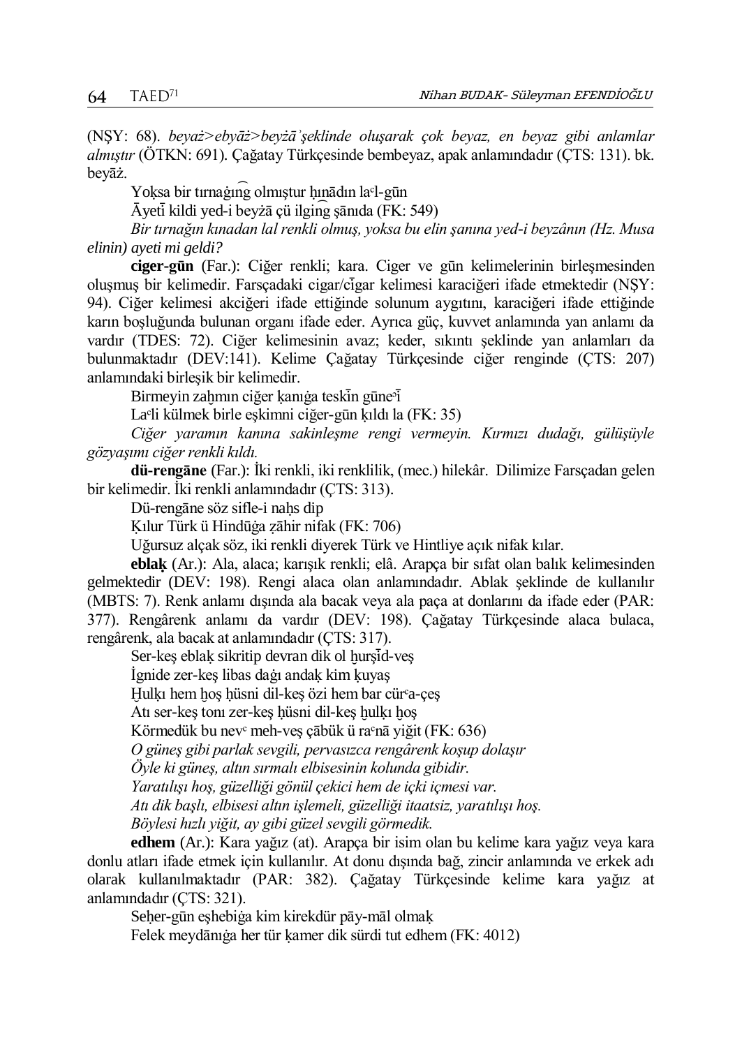(NŞY: 68). *beyaż>ebyāż>beyżāʾşeklinde oluşarak çok beyaz, en beyaz gibi anlamlar almıştır* (ÖTKN: 691)*.* Çağatay Türkçesinde bembeyaz, apak anlamındadır (ÇTS: 131). bk. beyāż.

Yoksa bir tırnağıng olmıştur hınādın la<sup>c</sup>l-gūn

Ᾱyetı ̇̄kildi yed-i beyżā çü ilgin͡g şānıda (FK: 549)

*Bir tırnağın kınadan lal renkli olmuş, yoksa bu elin şanına yed-i beyzânın (Hz. Musa elinin) ayeti mi geldi?*

**ciger-gūn** (Far.): Ciğer renkli; kara. Ciger ve gūn kelimelerinin birleşmesinden oluşmuş bir kelimedir. Farsçadaki cigar/cigar kelimesi karaciğeri ifade etmektedir (NŞY: 94). Ciğer kelimesi akciğeri ifade ettiğinde solunum aygıtını, karaciğeri ifade ettiğinde karın boşluğunda bulunan organı ifade eder. Ayrıca güç, kuvvet anlamında yan anlamı da vardır (TDES: 72). Ciğer kelimesinin avaz; keder, sıkıntı şeklinde yan anlamları da bulunmaktadır (DEV:141). Kelime Çağatay Türkçesinde ciğer renginde (ÇTS: 207) anlamındaki birleşik bir kelimedir.

Birmeyin zahmın ciğer kanığa teskin güne<sup>3</sup>i

La<sup>c</sup>li külmek birle eşkimni ciğer-gūn kıldı la (FK: 35)

*Ciğer yaramın kanına sakinleşme rengi vermeyin. Kırmızı dudağı, gülüşüyle gözyaşımı ciğer renkli kıldı.*

**dü-rengāne** (Far.): İki renkli, iki renklilik, (mec.) hilekâr. Dilimize Farsçadan gelen bir kelimedir. İki renkli anlamındadır (ÇTS: 313).

Dü-rengāne söz sifle-i nahs dip

Ḳılur Türk ü Hindūġa ẓāhir nifak (FK: 706)

Uğursuz alçak söz, iki renkli diyerek Türk ve Hintliye açık nifak kılar.

**eblaḳ** (Ar.): Ala, alaca; karışık renkli; elâ. Arapça bir sıfat olan balık kelimesinden gelmektedir (DEV: 198). Rengi alaca olan anlamındadır. Ablak şeklinde de kullanılır (MBTS: 7). Renk anlamı dışında ala bacak veya ala paça at donlarını da ifade eder (PAR: 377). Rengârenk anlamı da vardır (DEV: 198). Çağatay Türkçesinde alaca bulaca, rengârenk, ala bacak at anlamındadır (ÇTS: 317).

Ser-keş eblak sikritip devran dik ol hurşid-veş

İgnide zer-keş libas daġı andaḳ kim ḳuyaş

Hulkı hem hos hüsni dil-kes özi hem bar cür<sup>a-ces</sup>

Atı ser-keş tonı zer-keş ḥüsni dil-keş ḫulḳı ḫoş

Körmedük bu nev<sup>c</sup> meh-veş çābük ü ra<sup>c</sup>nā yiğit (FK: 636)

*O güneş gibi parlak sevgili, pervasızca rengârenk koşup dolaşır*

*Öyle ki güneş, altın sırmalı elbisesinin kolunda gibidir.*

*Yaratılışı hoş, güzelliği gönül çekici hem de içki içmesi var.*

*Atı dik başlı, elbisesi altın işlemeli, güzelliği itaatsiz, yaratılışı hoş.*

*Böylesi hızlı yiğit, ay gibi güzel sevgili görmedik.*

**edhem** (Ar.): Kara yağız (at). Arapça bir isim olan bu kelime kara yağız veya kara donlu atları ifade etmek için kullanılır. At donu dışında bağ, zincir anlamında ve erkek adı olarak kullanılmaktadır (PAR: 382). Çağatay Türkçesinde kelime kara yağız at anlamındadır (ÇTS: 321).

Seḥer-gūn eşhebiġa kim kirekdür pāy-māl olmaḳ

Felek meydānıġa her tür ḳamer dik sürdi tut edhem (FK: 4012)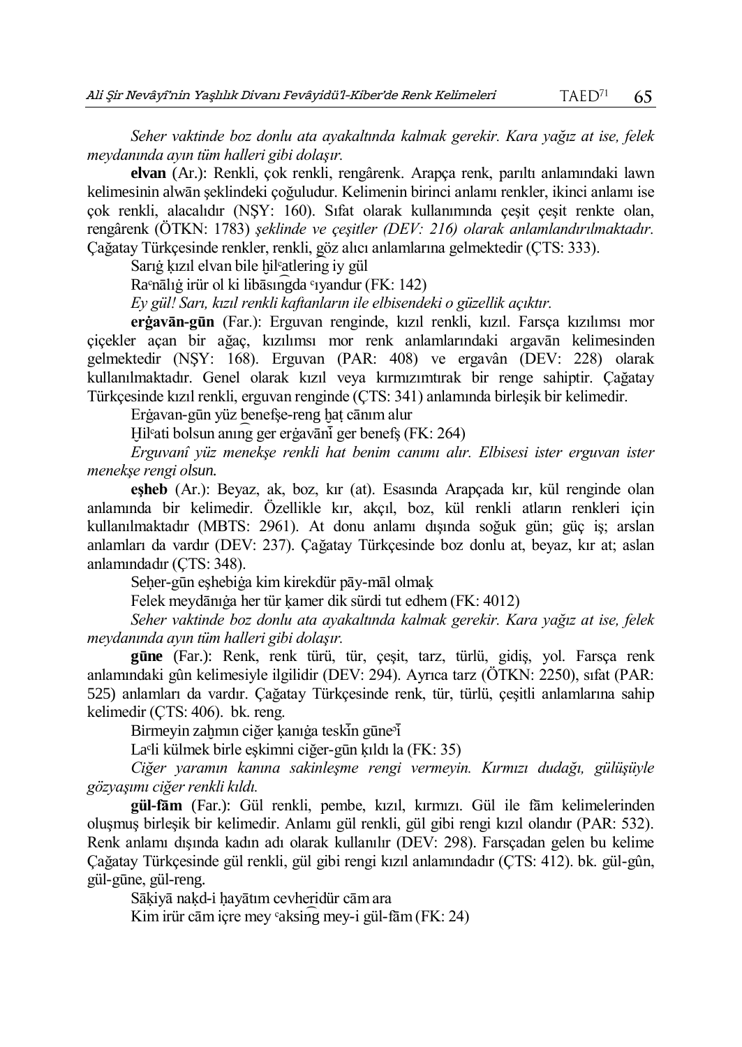*Seher vaktinde boz donlu ata ayakaltında kalmak gerekir. Kara yağız at ise, felek meydanında ayın tüm halleri gibi dolaşır.*

**elvan** (Ar.): Renkli, çok renkli, rengârenk. Arapça renk, parıltı anlamındaki lawn kelimesinin alwān şeklindeki çoğuludur. Kelimenin birinci anlamı renkler, ikinci anlamı ise çok renkli, alacalıdır (NŞY: 160). Sıfat olarak kullanımında çeşit çeşit renkte olan, rengârenk (ÖTKN: 1783) *şeklinde ve çeşitler (DEV: 216) olarak anlamlandırılmaktadır.* Çağatay Türkçesinde renkler, renkli, göz alıcı anlamlarına gelmektedir (ÇTS: 333).

Sarığ kızıl elvan bile hil<sup>c</sup>atlering iy gül

Raᶜnālıġ irür ol ki libāsın͡gda ᶜıyandur (FK: 142)

*Ey gül! Sarı, kızıl renkli kaftanların ile elbisendeki o güzellik açıktır.*

**erġavān-gūn** (Far.): Erguvan renginde, kızıl renkli, kızıl. Farsça kızılımsı mor çiçekler açan bir ağaç, kızılımsı mor renk anlamlarındaki argavān kelimesinden gelmektedir (NŞY: 168). Erguvan (PAR: 408) ve ergavân (DEV: 228) olarak kullanılmaktadır. Genel olarak kızıl veya kırmızımtırak bir renge sahiptir. Çağatay Türkçesinde kızıl renkli, erguvan renginde (ÇTS: 341) anlamında birleşik bir kelimedir.

Erġavan-gūn yüz benefşe-reng ḫaṭ cānım alur

Hil<sup>c</sup>ati bolsun anıng ger ergavāni ger benefs (FK: 264)

*Erguvanî yüz menekşe renkli hat benim canımı alır. Elbisesi ister erguvan ister menekşe rengi olsun.*

**eşheb** (Ar.): Beyaz, ak, boz, kır (at). Esasında Arapçada kır, kül renginde olan anlamında bir kelimedir. Özellikle kır, akçıl, boz, kül renkli atların renkleri için kullanılmaktadır (MBTS: 2961). At donu anlamı dışında soğuk gün; güç iş; arslan anlamları da vardır (DEV: 237). Çağatay Türkçesinde boz donlu at, beyaz, kır at; aslan anlamındadır (ÇTS: 348).

Seher-gūn eshebiġa kim kirekdür pāy-māl olmak

Felek meydānıġa her tür ḳamer dik sürdi tut edhem (FK: 4012)

*Seher vaktinde boz donlu ata ayakaltında kalmak gerekir. Kara yağız at ise, felek meydanında ayın tüm halleri gibi dolaşır.* 

**gūne** (Far.): Renk, renk türü, tür, çeşit, tarz, türlü, gidiş, yol. Farsça renk anlamındaki gûn kelimesiyle ilgilidir (DEV: 294). Ayrıca tarz (ÖTKN: 2250), sıfat (PAR: 525) anlamları da vardır. Çağatay Türkçesinde renk, tür, türlü, çeşitli anlamlarına sahip kelimedir (ÇTS: 406). bk. reng.

Birmeyin zahmın ciğer kanığa teskin güne<sup>3</sup>

Laᶜli külmek birle eşkimni ciğer-gūn ḳıldı la (FK: 35)

*Ciğer yaramın kanına sakinleşme rengi vermeyin. Kırmızı dudağı, gülüşüyle gözyaşımı ciğer renkli kıldı.*

**gül-fām** (Far.): Gül renkli, pembe, kızıl, kırmızı. Gül ile fām kelimelerinden oluşmuş birleşik bir kelimedir. Anlamı gül renkli, gül gibi rengi kızıl olandır (PAR: 532). Renk anlamı dışında kadın adı olarak kullanılır (DEV: 298). Farsçadan gelen bu kelime Çağatay Türkçesinde gül renkli, gül gibi rengi kızıl anlamındadır (ÇTS: 412). bk. gül-gûn, gül-gūne, gül-reng.

Sākiyā nakd-i hayātım cevheridür cām ara

Kim irür cām içre mey  $\alpha$ ksing mey-i gül-fām (FK: 24)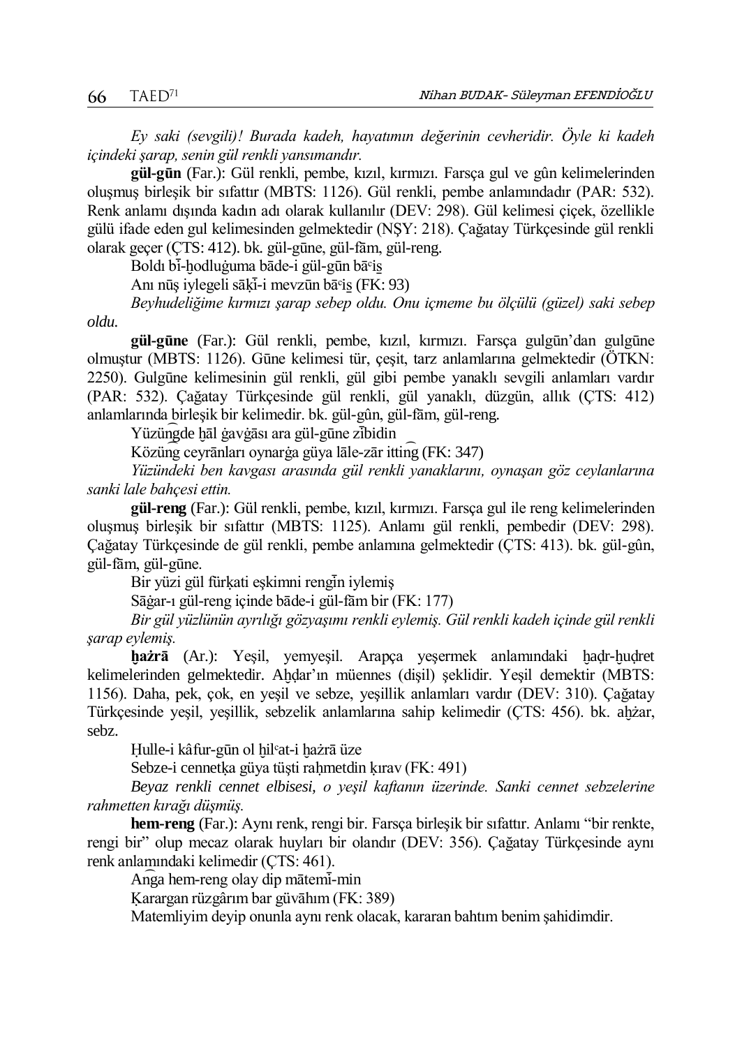*Ey saki (sevgili)! Burada kadeh, hayatımın değerinin cevheridir. Öyle ki kadeh içindeki şarap, senin gül renkli yansımandır.*

**gül-gūn** (Far.): Gül renkli, pembe, kızıl, kırmızı. Farsça gul ve gûn kelimelerinden oluşmuş birleşik bir sıfattır (MBTS: 1126). Gül renkli, pembe anlamındadır (PAR: 532). Renk anlamı dışında kadın adı olarak kullanılır (DEV: 298). Gül kelimesi çiçek, özellikle gülü ifade eden gul kelimesinden gelmektedir (NŞY: 218). Çağatay Türkçesinde gül renkli olarak geçer (ÇTS: 412). bk. gül-gūne, gül-fām, gül-reng.

Boldı bi-hodluğuma bāde-i gül-gūn bā°is

Anı nūs iylegeli sāki-i meyzūn bā°is (FK: 93)

*Beyhudeliğime kırmızı şarap sebep oldu. Onu içmeme bu ölçülü (güzel) saki sebep oldu.*

**gül-gūne** (Far.): Gül renkli, pembe, kızıl, kırmızı. Farsça gulgūn'dan gulgūne olmuştur (MBTS: 1126). Gūne kelimesi tür, çeşit, tarz anlamlarına gelmektedir (ÖTKN: 2250). Gulgūne kelimesinin gül renkli, gül gibi pembe yanaklı sevgili anlamları vardır (PAR: 532). Çağatay Türkçesinde gül renkli, gül yanaklı, düzgün, allık (ÇTS: 412) anlamlarında birleşik bir kelimedir. bk. gül-gûn, gül-fām, gül-reng.

Yüzüngde hāl ġavġāsı ara gül-gūne zibidin

Közün͡g ceyrānları oynarġa güya lāle-zār ittin͡g (FK: 347)

*Yüzündeki ben kavgası arasında gül renkli yanaklarını, oynaşan göz ceylanlarına sanki lale bahçesi ettin.*

**gül-reng** (Far.): Gül renkli, pembe, kızıl, kırmızı. Farsça gul ile reng kelimelerinden oluşmuş birleşik bir sıfattır (MBTS: 1125). Anlamı gül renkli, pembedir (DEV: 298). Çağatay Türkçesinde de gül renkli, pembe anlamına gelmektedir (ÇTS: 413). bk. gül-gûn, gül-fām, gül-gūne.

Bir yüzi gül fürkati eskimni rengin iylemiş

Sāġar-ı gül-reng içinde bāde-i gül-fām bir (FK: 177)

*Bir gül yüzlünün ayrılığı gözyaşımı renkli eylemiş. Gül renkli kadeh içinde gül renkli şarap eylemiş.*

hażrā (Ar.): Yeşil, yemyeşil. Arapça yeşermek anlamındaki hadr-hudret kelimelerinden gelmektedir. Ahdar'ın müennes (dişil) şeklidir. Yeşil demektir (MBTS: 1156). Daha, pek, çok, en yeşil ve sebze, yeşillik anlamları vardır (DEV: 310). Çağatay Türkçesinde yeşil, yeşillik, sebzelik anlamlarına sahip kelimedir (ÇTS: 456). bk. aḫżar, sebz.

Ḥulle-i kâfur-gūn ol ḫilᶜat-i ḫażrā üze

Sebze-i cennetka güya tüşti rahmetdin kırav (FK: 491)

*Beyaz renkli cennet elbisesi, o yeşil kaftanın üzerinde. Sanki cennet sebzelerine rahmetten kırağı düşmüş.*

**hem-reng** (Far.): Aynı renk, rengi bir. Farsça birleşik bir sıfattır. Anlamı "bir renkte, rengi bir" olup mecaz olarak huyları bir olandır (DEV: 356). Çağatay Türkçesinde aynı renk anlamındaki kelimedir (ÇTS: 461).

Anga hem-reng olay dip mātemi-min

Ḳarargan rüzgârım bar güvāhım (FK: 389)

Matemliyim deyip onunla aynı renk olacak, kararan bahtım benim şahidimdir.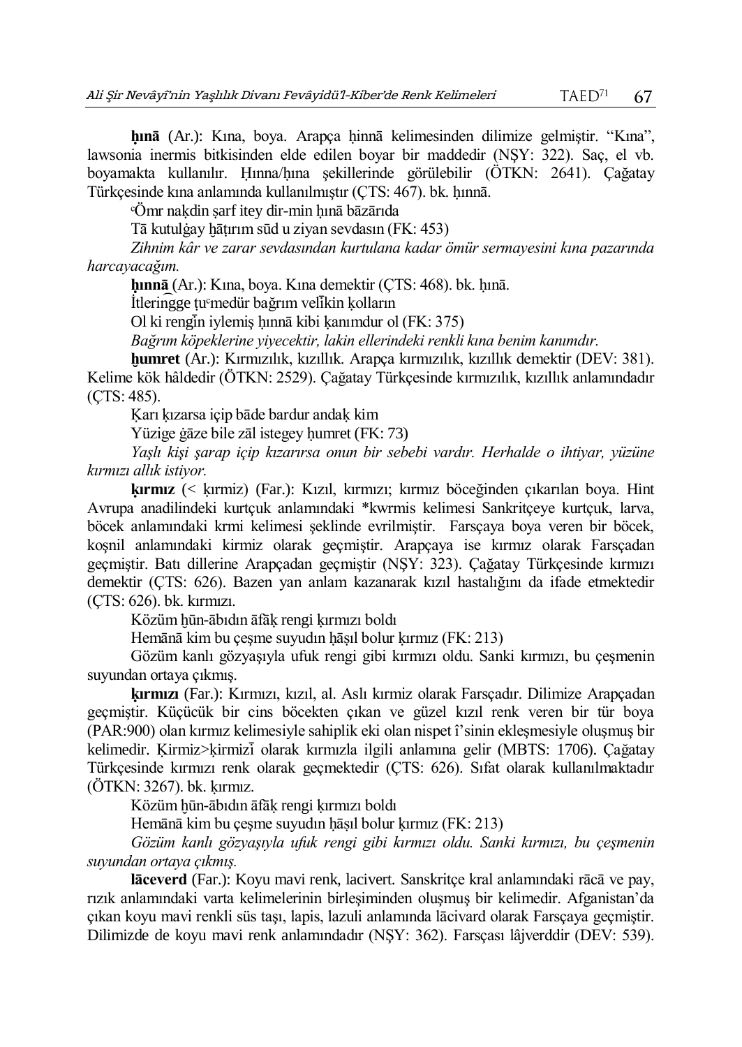**ḥınā** (Ar.): Kına, boya. Arapça ḥinnā kelimesinden dilimize gelmiştir. "Kına", lawsonia inermis bitkisinden elde edilen boyar bir maddedir (NŞY: 322). Saç, el vb. boyamakta kullanılır. Ḥınna/ḥına şekillerinde görülebilir (ÖTKN: 2641). Çağatay Türkçesinde kına anlamında kullanılmıştır (ÇTS: 467). bk. ḥınnā.

ᶜÖmr naḳdin ṣarf itey dir-min ḥınā bāzārıda

Tā kutulġay ḫāṭırım sūd u ziyan sevdasın (FK: 453)

*Zihnim kâr ve zarar sevdasından kurtulana kadar ömür sermayesini kına pazarında harcayacağım.* 

**ḥınnā** (Ar.): Kına, boya. Kına demektir (ÇTS: 468). bk. ḥınā.

İtleringge tu°medür bağrım velikin kolların

Ol ki rengin iylemiş hınnā kibi kanımdur ol (FK: 375)

*Bağrım köpeklerine yiyecektir, lakin ellerindeki renkli kına benim kanımdır.* 

**ḫumret** (Ar.): Kırmızılık, kızıllık. Arapça kırmızılık, kızıllık demektir (DEV: 381).

Kelime kök hâldedir (ÖTKN: 2529). Çağatay Türkçesinde kırmızılık, kızıllık anlamındadır (ÇTS: 485).

Ḳarı ḳızarsa içip bāde bardur andaḳ kim

Yüzige ġāze bile zāl istegey ḥumret (FK: 73)

*Yaşlı kişi şarap içip kızarırsa onun bir sebebi vardır. Herhalde o ihtiyar, yüzüne kırmızı allık istiyor.*

**ḳırmız** (< ḳırmiz) (Far.): Kızıl, kırmızı; kırmız böceğinden çıkarılan boya. Hint Avrupa anadilindeki kurtçuk anlamındaki \*kwrmis kelimesi Sankritçeye kurtçuk, larva, böcek anlamındaki krmi kelimesi şeklinde evrilmiştir. Farsçaya boya veren bir böcek, koşnil anlamındaki kirmiz olarak geçmiştir. Arapçaya ise kırmız olarak Farsçadan geçmiştir. Batı dillerine Arapçadan geçmiştir (NŞY: 323). Çağatay Türkçesinde kırmızı demektir (ÇTS: 626). Bazen yan anlam kazanarak kızıl hastalığını da ifade etmektedir (ÇTS: 626). bk. kırmızı.

Közüm ḫūn-ābıdın āfāḳ rengi ḳırmızı boldı

Hemānā kim bu çeşme suyudın hāsıl bolur kırmız (FK: 213)

Gözüm kanlı gözyaşıyla ufuk rengi gibi kırmızı oldu. Sanki kırmızı, bu çeşmenin suyundan ortaya çıkmış.

**ḳırmızı** (Far.): Kırmızı, kızıl, al. Aslı kırmiz olarak Farsçadır. Dilimize Arapçadan geçmiştir. Küçücük bir cins böcekten çıkan ve güzel kızıl renk veren bir tür boya (PAR:900) olan kırmız kelimesiyle sahiplik eki olan nispet î'sinin ekleşmesiyle oluşmuş bir kelimedir. Ḳirmiz>ḳirmizı ̇̄ olarak kırmızla ilgili anlamına gelir (MBTS: 1706). Çağatay Türkçesinde kırmızı renk olarak geçmektedir (ÇTS: 626). Sıfat olarak kullanılmaktadır (ÖTKN: 3267). bk. ḳırmız.

Közüm ḫūn-ābıdın āfāḳ rengi ḳırmızı boldı

Hemānā kim bu çeşme suyudın hāsıl bolur kırmız (FK: 213)

*Gözüm kanlı gözyaşıyla ufuk rengi gibi kırmızı oldu. Sanki kırmızı, bu çeşmenin suyundan ortaya çıkmış.* 

**lāceverd** (Far.): Koyu mavi renk, lacivert. Sanskritçe kral anlamındaki rācā ve pay, rızık anlamındaki varta kelimelerinin birleşiminden oluşmuş bir kelimedir. Afganistan'da çıkan koyu mavi renkli süs taşı, lapis, lazuli anlamında lācivard olarak Farsçaya geçmiştir. Dilimizde de koyu mavi renk anlamındadır (NŞY: 362). Farsçası lâjverddir (DEV: 539).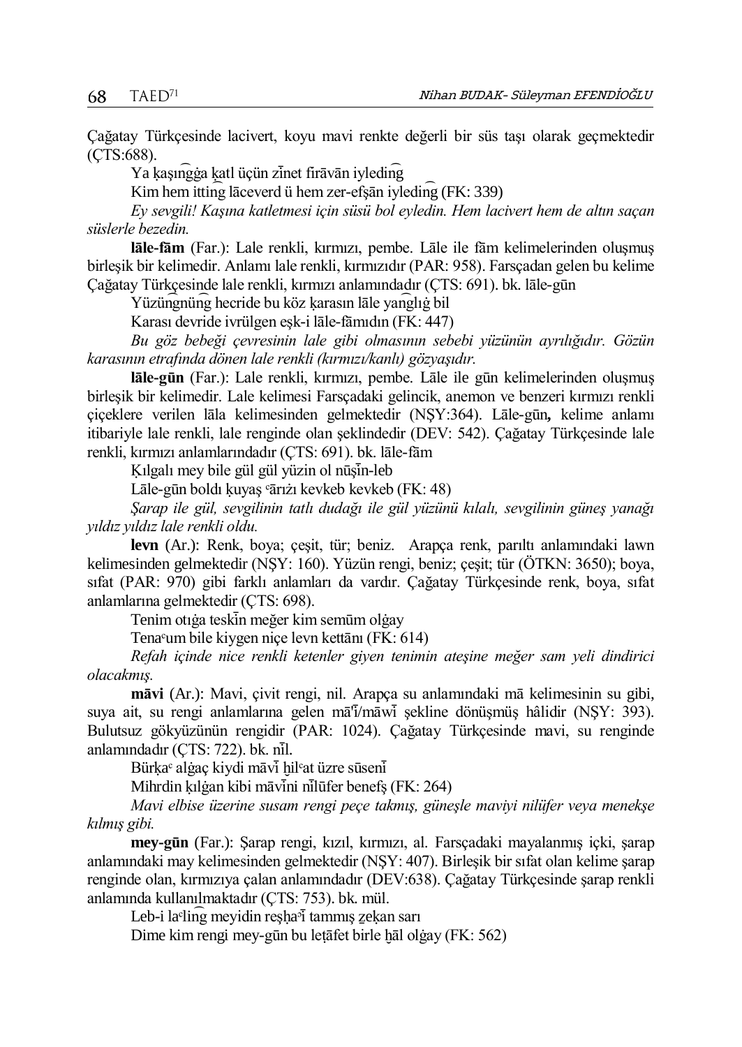Çağatay Türkçesinde lacivert, koyu mavi renkte değerli bir süs taşı olarak geçmektedir (ÇTS:688).

Ya kaşın $\widehat{g}$ ga katl üçün zinet firāvān iyleding

Kim hem ittin͡g lāceverd ü hem zer-efşān iyledin͡g (FK: 339)

*Ey sevgili! Kaşına katletmesi için süsü bol eyledin. Hem lacivert hem de altın saçan süslerle bezedin.* 

**lāle-fām** (Far.): Lale renkli, kırmızı, pembe. Lāle ile fām kelimelerinden oluşmuş birleşik bir kelimedir. Anlamı lale renkli, kırmızıdır (PAR: 958). Farsçadan gelen bu kelime Çağatay Türkçesinde lale renkli, kırmızı anlamındadır (ÇTS: 691). bk. lāle-gūn

Yüzüngnüng hecride bu köz karasın lāle yanglığ bil

Karası devride ivrülgen eşk-i lāle-fāmıdın (FK: 447)

*Bu göz bebeği çevresinin lale gibi olmasının sebebi yüzünün ayrılığıdır. Gözün karasının etrafında dönen lale renkli (kırmızı/kanlı) gözyaşıdır.*

**lāle-gūn** (Far.): Lale renkli, kırmızı, pembe. Lāle ile gūn kelimelerinden oluşmuş birleşik bir kelimedir. Lale kelimesi Farsçadaki gelincik, anemon ve benzeri kırmızı renkli çiçeklere verilen lāla kelimesinden gelmektedir (NŞY:364). Lāle-gūn**,** kelime anlamı itibariyle lale renkli, lale renginde olan şeklindedir (DEV: 542). Çağatay Türkçesinde lale renkli, kırmızı anlamlarındadır (ÇTS: 691). bk. lāle-fām

Kılgalı mey bile gül gül yüzin ol nüşin-leb

Lāle-gūn boldı kuyaş <sup>c</sup>ārıżı kevkeb kevkeb (FK: 48)

*Şarap ile gül, sevgilinin tatlı dudağı ile gül yüzünü kılalı, sevgilinin güneş yanağı yıldız yıldız lale renkli oldu.*

**levn** (Ar.): Renk, boya; çeşit, tür; beniz. Arapça renk, parıltı anlamındaki lawn kelimesinden gelmektedir (NŞY: 160). Yüzün rengi, beniz; çeşit; tür (ÖTKN: 3650); boya, sıfat (PAR: 970) gibi farklı anlamları da vardır. Çağatay Türkçesinde renk, boya, sıfat anlamlarına gelmektedir (ÇTS: 698).

Tenim otığa teskin meğer kim semüm olgay

Tenaᶜum bile kiygen niçe levn kettānı (FK: 614)

*Refah içinde nice renkli ketenler giyen tenimin ateşine meğer sam yeli dindirici olacakmış.*

**māvi** (Ar.): Mavi, çivit rengi, nil. Arapça su anlamındaki mā kelimesinin su gibi, suya ait, su rengi anlamlarına gelen mā<sup>r</sup>ī/māwi sekline dönüşmüş hâlidir (NSY: 393). Bulutsuz gökyüzünün rengidir (PAR: 1024). Çağatay Türkçesinde mavi, su renginde anlamındadır (ÇTS: 722). bk. nil.

Bürķa<sup>c</sup> alġaç kiydi māvi hil<sup>c</sup>at üzre sūseni

Mihrdin kılgan kibi māvini nilūfer benefş (FK: 264)

*Mavi elbise üzerine susam rengi peçe takmış, güneşle maviyi nilüfer veya menekşe kılmış gibi.*

**mey-gūn** (Far.): Şarap rengi, kızıl, kırmızı, al. Farsçadaki mayalanmış içki, şarap anlamındaki may kelimesinden gelmektedir (NŞY: 407). Birleşik bir sıfat olan kelime şarap renginde olan, kırmızıya çalan anlamındadır (DEV:638). Çağatay Türkçesinde şarap renkli anlamında kullanılmaktadır (ÇTS: 753). bk. mül.

Leb-i la<sup>c</sup>ling meyidin reşha<sup>ş</sup>ı tammış zekan sarı

Dime kim rengi mey-gūn bu leṭāfet birle ḫāl olġay (FK: 562)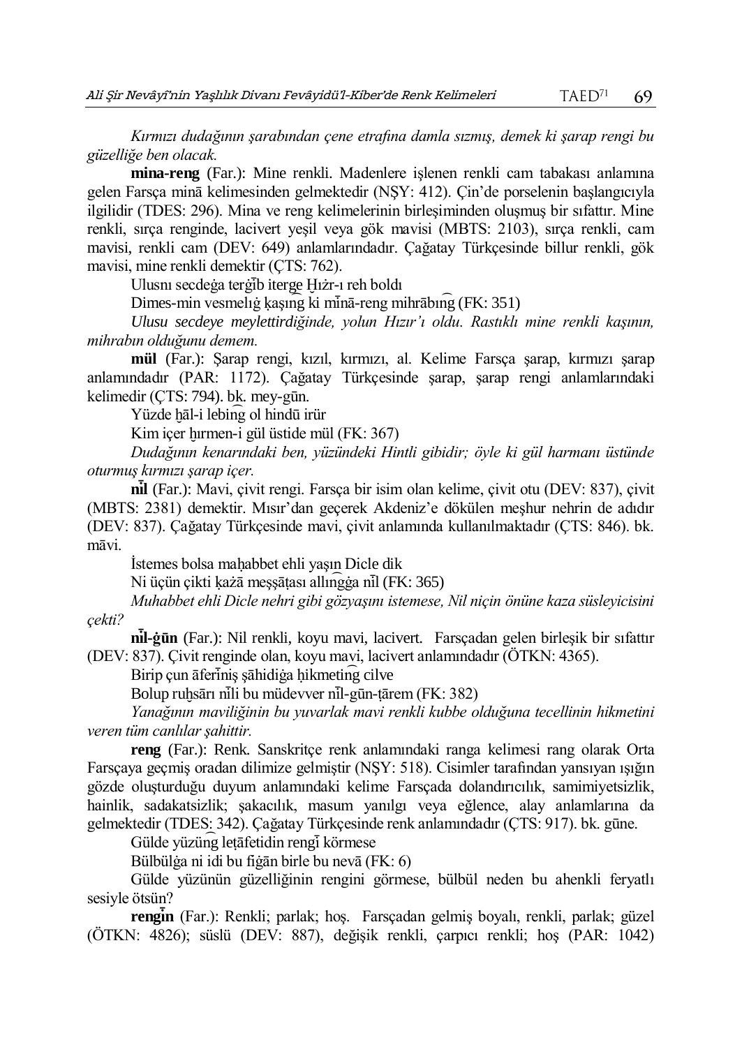*Kırmızı dudağının şarabından çene etrafına damla sızmış, demek ki şarap rengi bu güzelliğe ben olacak.*

**mina-reng** (Far.): Mine renkli. Madenlere işlenen renkli cam tabakası anlamına gelen Farsça minā kelimesinden gelmektedir (NŞY: 412). Çin'de porselenin başlangıcıyla ilgilidir (TDES: 296). Mina ve reng kelimelerinin birleşiminden oluşmuş bir sıfattır. Mine renkli, sırça renginde, lacivert yeşil veya gök mavisi (MBTS: 2103), sırça renkli, cam mavisi, renkli cam (DEV: 649) anlamlarındadır. Çağatay Türkçesinde billur renkli, gök mavisi, mine renkli demektir (ÇTS: 762).

Ulusnı secdeğa tergib iterge Hıżr-ı reh boldı

Dimes-min vesmelığ kaşıng ki minā-reng mihrābing (FK: 351)

*Ulusu secdeye meylettirdiğinde, yolun Hızır'ı oldu. Rastıklı mine renkli kaşının, mihrabın olduğunu demem.*

**mül** (Far.): Şarap rengi, kızıl, kırmızı, al. Kelime Farsça şarap, kırmızı şarap anlamındadır (PAR: 1172). Çağatay Türkçesinde şarap, şarap rengi anlamlarındaki kelimedir (ÇTS: 794). bk. mey-gūn.

Yüzde ḫāl-i lebin͡g ol hindū irür

Kim içer hırmen-i gül üstide mül (FK: 367)

*Dudağının kenarındaki ben, yüzündeki Hintli gibidir; öyle ki gül harmanı üstünde oturmuş kırmızı şarap içer.*

**nı ̇̄ l** (Far.): Mavi, çivit rengi. Farsça bir isim olan kelime, çivit otu (DEV: 837), çivit (MBTS: 2381) demektir. Mısır'dan geçerek Akdeniz'e dökülen meşhur nehrin de adıdır (DEV: 837). Çağatay Türkçesinde mavi, çivit anlamında kullanılmaktadır (ÇTS: 846). bk. māvi.

İstemes bolsa maḥabbet ehli yaşın Dicle dik

Ni üçün çikti kazā messātası allın $\widehat{q}$ ga nil (FK: 365)

*Muhabbet ehli Dicle nehri gibi gözyaşını istemese, Nil niçin önüne kaza süsleyicisini çekti?*

**nı ̇̄ l-ġūn** (Far.): Nil renkli, koyu mavi, lacivert.Farsçadan gelen birleşik bir sıfattır (DEV: 837). Çivit renginde olan, koyu mavi, lacivert anlamındadır (ÖTKN: 4365).

Birip çun āferiniş şāhidiga hikmeting cilve

Bolup ruhsārı nili bu müdevver nil-gūn-tārem (FK: 382)

*Yanağının maviliğinin bu yuvarlak mavi renkli kubbe olduğuna tecellinin hikmetini veren tüm canlılar şahittir.*

**reng** (Far.): Renk. Sanskritçe renk anlamındaki ranga kelimesi rang olarak Orta Farsçaya geçmiş oradan dilimize gelmiştir (NŞY: 518). Cisimler tarafından yansıyan ışığın gözde oluşturduğu duyum anlamındaki kelime Farsçada dolandırıcılık, samimiyetsizlik, hainlik, sadakatsizlik; şakacılık, masum yanılgı veya eğlence, alay anlamlarına da gelmektedir (TDES: 342). Çağatay Türkçesinde renk anlamındadır (ÇTS: 917). bk. gūne.

Gülde yüzüng letāfetidin rengi körmese

Bülbülġa ni idi bu fiġān birle bu nevā (FK: 6)

Gülde yüzünün güzelliğinin rengini görmese, bülbül neden bu ahenkli feryatlı sesiyle ötsün?

rengin (Far.): Renkli; parlak; hoş. Farsçadan gelmiş boyalı, renkli, parlak; güzel (ÖTKN: 4826); süslü (DEV: 887), değişik renkli, çarpıcı renkli; hoş (PAR: 1042)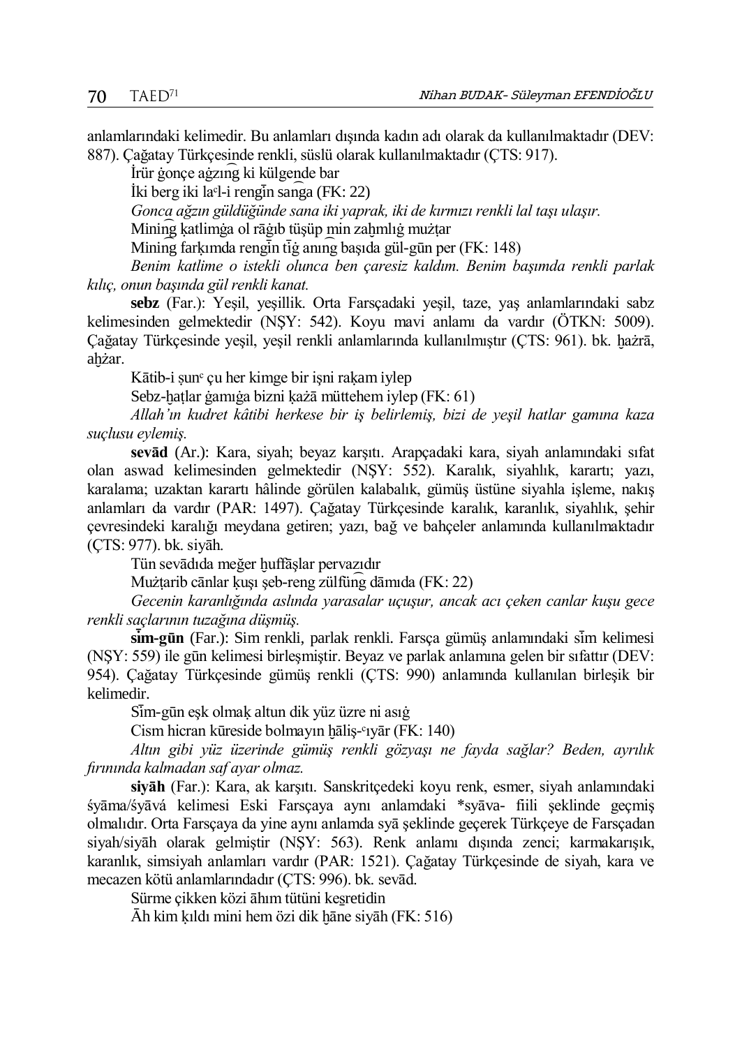anlamlarındaki kelimedir. Bu anlamları dışında kadın adı olarak da kullanılmaktadır (DEV: 887). Çağatay Türkçesinde renkli, süslü olarak kullanılmaktadır (ÇTS: 917).

İrür ġonçe aġzın͡g ki külgende bar

 $\hat{I}$ ki berg iki la $\hat{I}$ -i rengin san $\hat{I}$ ga (FK: 22)

*Gonca ağzın güldüğünde sana iki yaprak, iki de kırmızı renkli lal taşı ulaşır.*

Mining katlimga ol rāģib tüşüp min zahmlığ mużtar

 $\text{Mining farkımda rengin tış annış basıda gül-gün per (FK: 148)}$ 

*Benim katlime o istekli olunca ben çaresiz kaldım. Benim başımda renkli parlak kılıç, onun başında gül renkli kanat.*

**sebz** (Far.): Yeşil, yeşillik. Orta Farsçadaki yeşil, taze, yaş anlamlarındaki sabz kelimesinden gelmektedir (NŞY: 542). Koyu mavi anlamı da vardır (ÖTKN: 5009). Çağatay Türkçesinde yeşil, yeşil renkli anlamlarında kullanılmıştır (ÇTS: 961). bk. ḫażrā, ahżar.

Kātib-i sun<sup>c</sup> çu her kimge bir isni rakam iylep

Sebz-hatlar ġamıġa bizni każā müttehem iylep (FK: 61)

*Allah'ın kudret kâtibi herkese bir iş belirlemiş, bizi de yeşil hatlar gamına kaza suçlusu eylemiş.*

**sevād** (Ar.): Kara, siyah; beyaz karşıtı. Arapçadaki kara, siyah anlamındaki sıfat olan aswad kelimesinden gelmektedir (NŞY: 552). Karalık, siyahlık, karartı; yazı, karalama; uzaktan karartı hâlinde görülen kalabalık, gümüş üstüne siyahla işleme, nakış anlamları da vardır (PAR: 1497). Çağatay Türkçesinde karalık, karanlık, siyahlık, şehir çevresindeki karalığı meydana getiren; yazı, bağ ve bahçeler anlamında kullanılmaktadır (ÇTS: 977). bk. siyāh.

Tün sevādıda meğer ḫuffāşlar pervazıdır

Mużṭarib cānlar ḳuşı şeb-reng zülfün͡g dāmıda (FK: 22)

*Gecenin karanlığında aslında yarasalar uçuşur, ancak acı çeken canlar kuşu gece renkli saçlarının tuzağına düşmüş.*

 $\sin$ -gūn (Far.): Sim renkli, parlak renkli. Farsça gümüş anlamındaki sim kelimesi (NŞY: 559) ile gūn kelimesi birleşmiştir. Beyaz ve parlak anlamına gelen bir sıfattır (DEV: 954). Çağatay Türkçesinde gümüş renkli (ÇTS: 990) anlamında kullanılan birleşik bir kelimedir.

Sim-gūn esk olmak altun dik yüz üzre ni asığ

Cism hicran kūreside bolmayın hāliş-<sup>c</sup>ıyār (FK: 140)

*Altın gibi yüz üzerinde gümüş renkli gözyaşı ne fayda sağlar? Beden, ayrılık fırınında kalmadan saf ayar olmaz.*

**siyāh** (Far.): Kara, ak karşıtı. Sanskritçedeki koyu renk, esmer, siyah anlamındaki śyāma/śyāvá kelimesi Eski Farsçaya aynı anlamdaki \*syāva- fiili şeklinde geçmiş olmalıdır. Orta Farsçaya da yine aynı anlamda syā şeklinde geçerek Türkçeye de Farsçadan siyah/siyāh olarak gelmiştir (NŞY: 563). Renk anlamı dışında zenci; karmakarışık, karanlık, simsiyah anlamları vardır (PAR: 1521). Çağatay Türkçesinde de siyah, kara ve mecazen kötü anlamlarındadır (ÇTS: 996). bk. sevād.

Sürme çikken közi āhım tütüni kesretidin

Ᾱh kim ḳıldı mini hem özi dik ḫāne siyāh (FK: 516)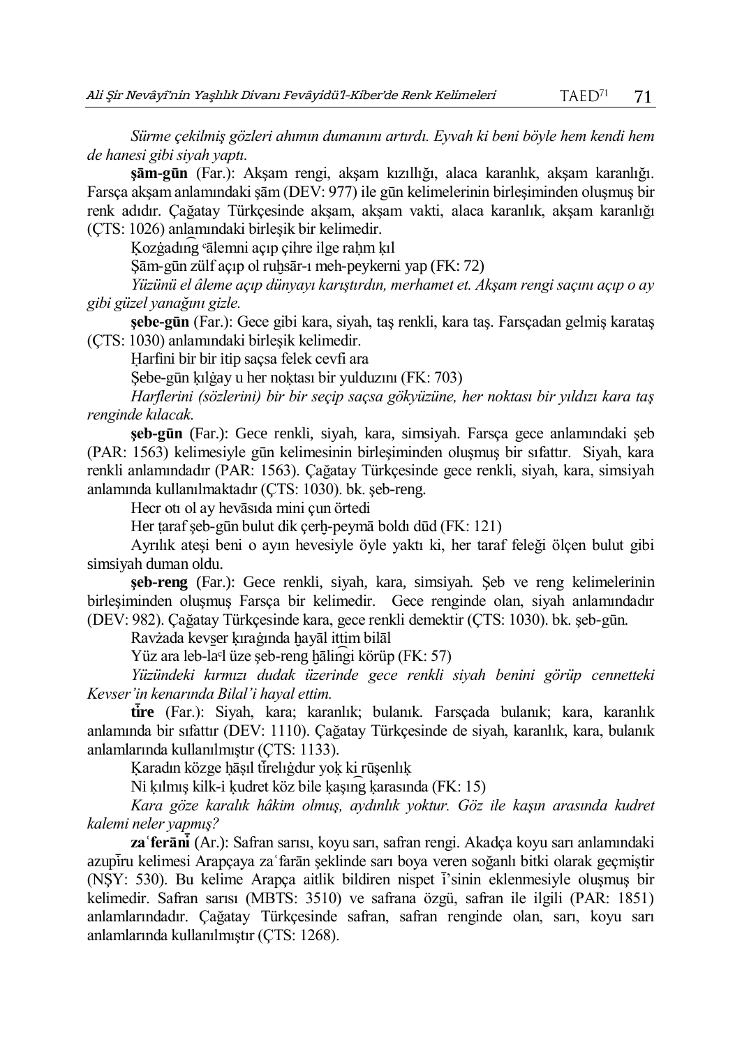*Sürme çekilmiş gözleri ahımın dumanını artırdı. Eyvah ki beni böyle hem kendi hem de hanesi gibi siyah yaptı.*

**şām-gūn** (Far.): Akşam rengi, akşam kızıllığı, alaca karanlık, akşam karanlığı. Farsça akşam anlamındaki şām (DEV: 977) ile gūn kelimelerinin birleşiminden oluşmuş bir renk adıdır. Çağatay Türkçesinde akşam, akşam vakti, alaca karanlık, akşam karanlığı (ÇTS: 1026) anlamındaki birleşik bir kelimedir.

Kozġadıng <sup>c</sup>ālemni açıp çihre ilge rahm kıl

Sām-gūn zülf açıp ol ruhsār-ı meh-peykerni yap (FK: 72)

*Yüzünü el âleme açıp dünyayı karıştırdın, merhamet et. Akşam rengi saçını açıp o ay gibi güzel yanağını gizle.*

**şebe-gūn** (Far.): Gece gibi kara, siyah, taş renkli, kara taş. Farsçadan gelmiş karataş (ÇTS: 1030) anlamındaki birleşik kelimedir.

Ḥarfini bir bir itip saçsa felek cevfi ara

Sebe-gūn kılgay u her noktası bir yulduzını (FK: 703)

*Harflerini (sözlerini) bir bir seçip saçsa gökyüzüne, her noktası bir yıldızı kara taş renginde kılacak.*

**şeb-gūn** (Far.): Gece renkli, siyah, kara, simsiyah. Farsça gece anlamındaki şeb (PAR: 1563) kelimesiyle gūn kelimesinin birleşiminden oluşmuş bir sıfattır. Siyah, kara renkli anlamındadır (PAR: 1563). Çağatay Türkçesinde gece renkli, siyah, kara, simsiyah anlamında kullanılmaktadır (ÇTS: 1030). bk. şeb-reng.

Hecr otı ol ay hevāsıda mini çun örtedi

Her taraf seb-gūn bulut dik çerh-peymā boldı dūd (FK: 121)

Ayrılık ateşi beni o ayın hevesiyle öyle yaktı ki, her taraf feleği ölçen bulut gibi simsiyah duman oldu.

**şeb-reng** (Far.): Gece renkli, siyah, kara, simsiyah. Şeb ve reng kelimelerinin birleşiminden oluşmuş Farsça bir kelimedir. Gece renginde olan, siyah anlamındadır (DEV: 982). Çağatay Türkçesinde kara, gece renkli demektir (ÇTS: 1030). bk. şeb-gūn.

Ravżada kevs̱er ḳıraġında ḫayāl ittim bilāl

Yüz ara leb-la<sup>c</sup>l üze şeb-reng hālingi körüp (FK: 57)

*Yüzündeki kırmızı dudak üzerinde gece renkli siyah benini görüp cennetteki Kevser'in kenarında Bilal'i hayal ettim.* 

**tire** (Far.): Siyah, kara; karanlık; bulanık. Farsçada bulanık; kara, karanlık anlamında bir sıfattır (DEV: 1110). Çağatay Türkçesinde de siyah, karanlık, kara, bulanık anlamlarında kullanılmıştır (ÇTS: 1133).

Karadın közge ḥāṣıl tirelıġdur yok ki rūşenlık

Ni ḳılmış kilk-i ḳudret köz bile ḳaşın͡g ḳarasında (FK: 15)

*Kara göze karalık hâkim olmuş, aydınlık yoktur. Göz ile kaşın arasında kudret kalemi neler yapmış?*

**zaʿferānı ̇̄** (Ar.): Safran sarısı, koyu sarı, safran rengi. Akadça koyu sarı anlamındaki azupiru kelimesi Arapçaya za farān şeklinde sarı boya veren soğanlı bitki olarak geçmiştir (NSY: 530). Bu kelime Arapca aitlik bildiren nispet i'sinin eklenmesiyle oluşmuş bir kelimedir. Safran sarısı (MBTS: 3510) ve safrana özgü, safran ile ilgili (PAR: 1851) anlamlarındadır. Çağatay Türkçesinde safran, safran renginde olan, sarı, koyu sarı anlamlarında kullanılmıştır (ÇTS: 1268).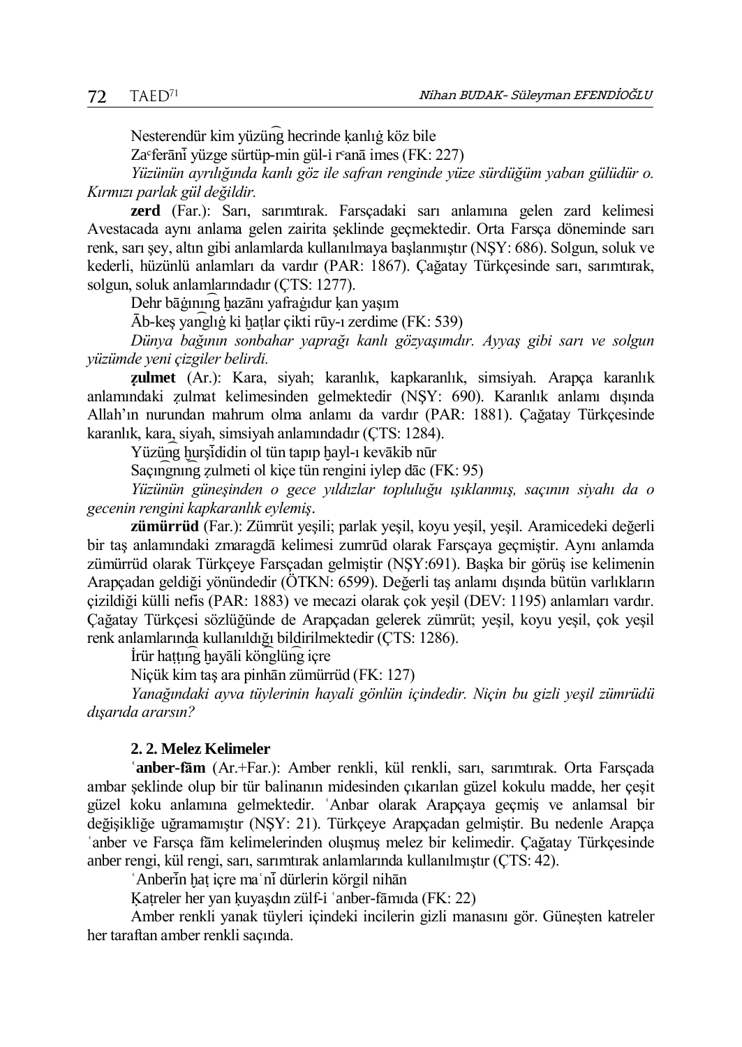Nesterendür kim yüzün͡g hecrinde ḳanlıġ köz bile

Za $\text{``ferānī yüzge sürtüp-min gül-i r~anā imes (FK: 227)}$ 

*Yüzünün ayrılığında kanlı göz ile safran renginde yüze sürdüğüm yaban gülüdür o. Kırmızı parlak gül değildir.*

**zerd** (Far.): Sarı, sarımtırak. Farsçadaki sarı anlamına gelen zard kelimesi Avestacada aynı anlama gelen zairita şeklinde geçmektedir. Orta Farsça döneminde sarı renk, sarı şey, altın gibi anlamlarda kullanılmaya başlanmıştır (NŞY: 686). Solgun, soluk ve kederli, hüzünlü anlamları da vardır (PAR: 1867). Çağatay Türkçesinde sarı, sarımtırak, solgun, soluk anlamlarındadır (ÇTS: 1277).

Dehr bāġının͡g ḫazānı yafraġıdur ḳan yaşım

Ᾱb-keş yan͡glıġ ki ḫaṭlar çikti rūy-ı zerdime (FK: 539)

*Dünya bağının sonbahar yaprağı kanlı gözyaşımdır. Ayyaş gibi sarı ve solgun yüzümde yeni çizgiler belirdi.*

**ẓulmet** (Ar.): Kara, siyah; karanlık, kapkaranlık, simsiyah. Arapça karanlık anlamındaki ẓulmat kelimesinden gelmektedir (NŞY: 690). Karanlık anlamı dışında Allah'ın nurundan mahrum olma anlamı da vardır (PAR: 1881). Çağatay Türkçesinde karanlık, kara, siyah, simsiyah anlamındadır (ÇTS: 1284).

Yüzüng hurşi didin ol tün tapıp hayl-ı kevākib nūr

Saçıngning zulmeti ol kiçe tün rengini iylep dāc (FK: 95)

*Yüzünün güneşinden o gece yıldızlar topluluğu ışıklanmış, saçının siyahı da o gecenin rengini kapkaranlık eylemiş*.

**zümürrüd** (Far.): Zümrüt yeşili; parlak yeşil, koyu yeşil, yeşil. Aramicedeki değerli bir taş anlamındaki zmaragdā kelimesi zumrūd olarak Farsçaya geçmiştir. Aynı anlamda zümürrüd olarak Türkçeye Farsçadan gelmiştir (NŞY:691). Başka bir görüş ise kelimenin Arapçadan geldiği yönündedir (ÖTKN: 6599). Değerli taş anlamı dışında bütün varlıkların çizildiği külli nefis (PAR: 1883) ve mecazi olarak çok yeşil (DEV: 1195) anlamları vardır. Çağatay Türkçesi sözlüğünde de Arapçadan gelerek zümrüt; yeşil, koyu yeşil, çok yeşil renk anlamlarında kullanıldığı bildirilmektedir (ÇTS: 1286).

İrür haṭṭın͡g ḫayāli kön͡glün͡g içre

Niçük kim taş ara pinhān zümürrüd (FK: 127)

*Yanağındaki ayva tüylerinin hayali gönlün içindedir. Niçin bu gizli yeşil zümrüdü dışarıda ararsın?*

### **2. 2. Melez Kelimeler**

**ʿanber-fām** (Ar.+Far.): Amber renkli, kül renkli, sarı, sarımtırak. Orta Farsçada ambar şeklinde olup bir tür balinanın midesinden çıkarılan güzel kokulu madde, her çeşit güzel koku anlamına gelmektedir. ʿAnbar olarak Arapçaya geçmiş ve anlamsal bir değişikliğe uğramamıştır (NŞY: 21). Türkçeye Arapçadan gelmiştir. Bu nedenle Arapça ʿanber ve Farsça fām kelimelerinden oluşmuş melez bir kelimedir. Çağatay Türkçesinde anber rengi, kül rengi, sarı, sarımtırak anlamlarında kullanılmıştır (ÇTS: 42).

`Anberin hat içre ma`ni dürlerin körgil nihān

Katreler her yan kuyaşdın zülf-i 'anber-fāmıda (FK: 22)

Amber renkli yanak tüyleri içindeki incilerin gizli manasını gör. Güneşten katreler her taraftan amber renkli saçında.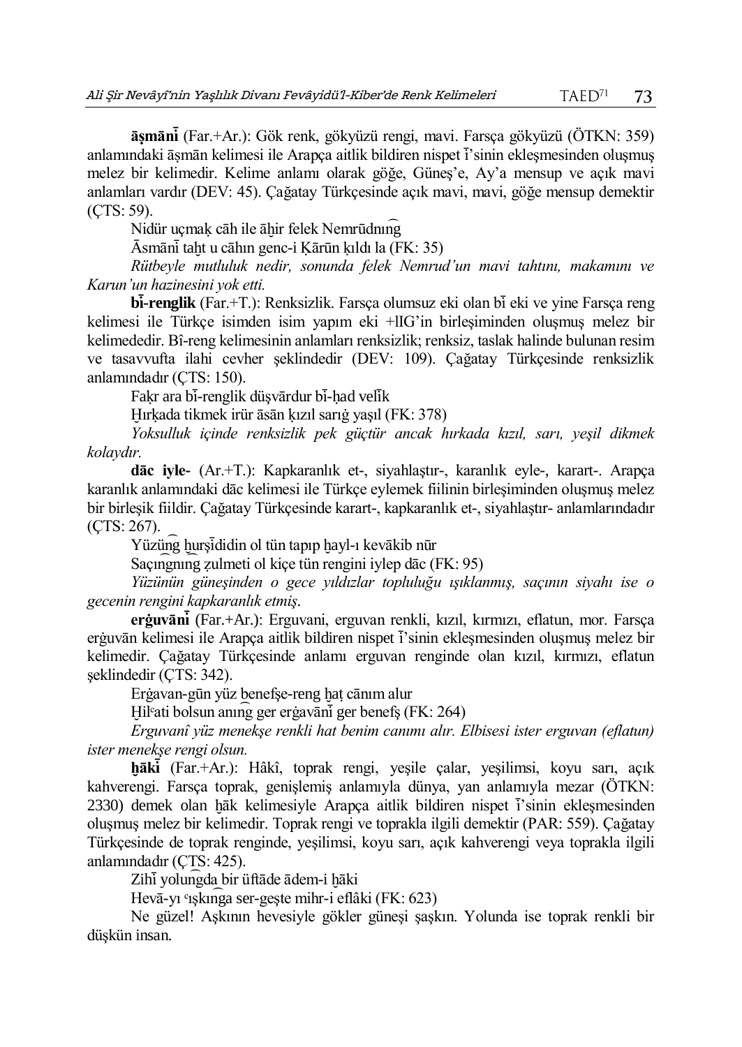**āṣmānı ̇̄** (Far.+Ar.): Gök renk, gökyüzü rengi, mavi. Farsça gökyüzü (ÖTKN: 359) anlamındaki āsmān kelimesi ile Arapça aitlik bildiren nispet i'sinin ekleşmesinden oluşmuş melez bir kelimedir. Kelime anlamı olarak göğe, Güneş'e, Ay'a mensup ve açık mavi anlamları vardır (DEV: 45). Çağatay Türkçesinde açık mavi, mavi, göğe mensup demektir (ÇTS: 59).

Nidür uçmak cāh ile āhir felek Nemrūdning

Ᾱsmānı ̇̄taḫt u cāhın genc-i Ḳārūn ḳıldı la (FK: 35)

*Rütbeyle mutluluk nedir, sonunda felek Nemrud'un mavi tahtını, makamını ve Karun'un hazinesini yok etti.* 

**bı ̇̄ -renglik** (Far.+T.): Renksizlik. Farsça olumsuz eki olan bı ̇̄eki ve yine Farsça reng kelimesi ile Türkçe isimden isim yapım eki +lIG'in birleşiminden oluşmuş melez bir kelimededir. Bî-reng kelimesinin anlamları renksizlik; renksiz, taslak halinde bulunan resim ve tasavvufta ilahi cevher şeklindedir (DEV: 109). Çağatay Türkçesinde renksizlik anlamındadır (ÇTS: 150).

Fakr ara bi-renglik düşvārdur bi-had velik

Ḫırḳada tikmek irür āsān ḳızıl sarıġ yaşıl (FK: 378)

*Yoksulluk içinde renksizlik pek güçtür ancak hırkada kızıl, sarı, yeşil dikmek kolaydır.*

**dāc iyle-** (Ar.+T.): Kapkaranlık et-, siyahlaştır-, karanlık eyle-, karart-. Arapça karanlık anlamındaki dāc kelimesi ile Türkçe eylemek fiilinin birleşiminden oluşmuş melez bir birleşik fiildir. Çağatay Türkçesinde karart-, kapkaranlık et-, siyahlaştır- anlamlarındadır (ÇTS: 267).

Yüzüng hursididin ol tün tapıp hayl-ı kevākib nūr

Saçın <u>emili zulmeti ol kiçe tün rengini iylep dāc</u> (FK: 95)

*Yüzünün güneşinden o gece yıldızlar topluluğu ışıklanmış, saçının siyahı ise o gecenin rengini kapkaranlık etmiş.*

**erġuvānı ̇̄** (Far.+Ar.): Erguvani, erguvan renkli, kızıl, kırmızı, eflatun, mor. Farsça erġuvān kelimesi ile Arapça aitlik bildiren nispet i sinin ekleşmesinden oluşmuş melez bir kelimedir. Çağatay Türkçesinde anlamı erguvan renginde olan kızıl, kırmızı, eflatun şeklindedir (ÇTS: 342).

Erġavan-gūn yüz benefşe-reng ḫaṭ cānım alur

Hil<sup>c</sup>ati bolsun anının ger ergavāni ger benefs (FK: 264)

*Erguvanî yüz menekşe renkli hat benim canımı alır. Elbisesi ister erguvan (eflatun) ister menekşe rengi olsun.*

**ḫākı ̇̄** (Far.+Ar.): Hâkî, toprak rengi, yeşile çalar, yeşilimsi, koyu sarı, açık kahverengi. Farsça toprak, genişlemiş anlamıyla dünya, yan anlamıyla mezar (ÖTKN:  $2330$ ) demek olan hāk kelimesiyle Arapça aitlik bildiren nispet  $\overline{i}$ 'sinin ekleşmesinden oluşmuş melez bir kelimedir. Toprak rengi ve toprakla ilgili demektir (PAR: 559). Çağatay Türkçesinde de toprak renginde, yeşilimsi, koyu sarı, açık kahverengi veya toprakla ilgili anlamındadır (ÇTS: 425).

Zihi yolungda bir üftāde ādem-i hāki

Hevā-yı °ışkını ga ser-geşte mihr-i eflâki (FK: 623)

Ne güzel! Aşkının hevesiyle gökler güneşi şaşkın. Yolunda ise toprak renkli bir düşkün insan.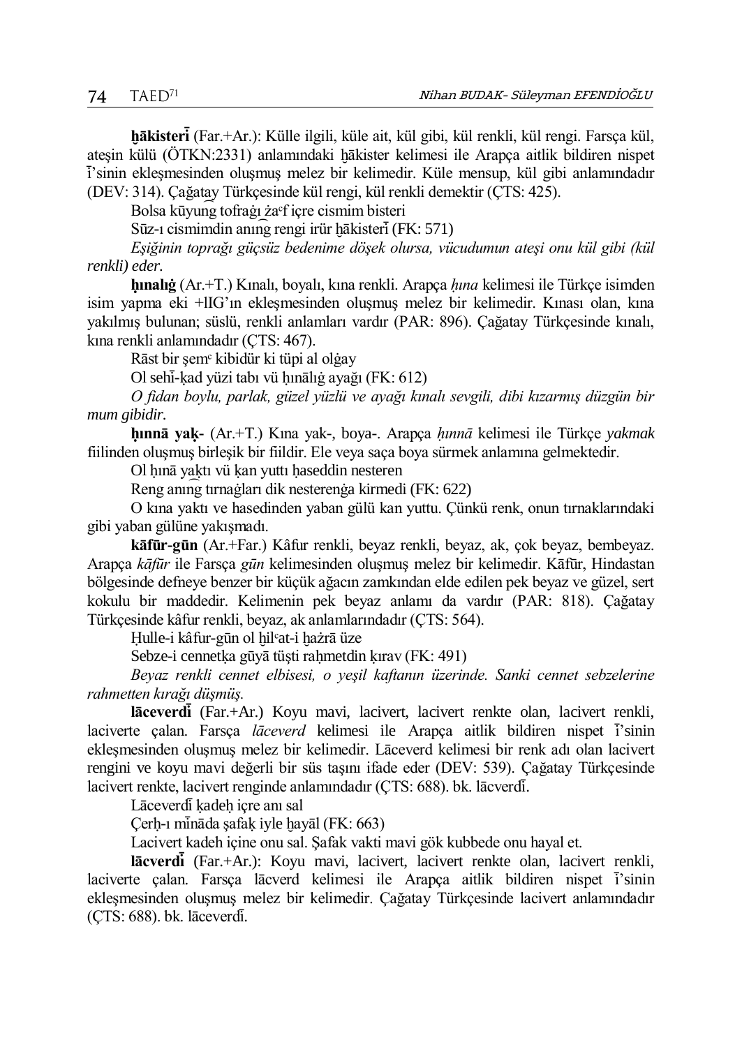**ḫākisterı ̇̄** (Far.+Ar.): Külle ilgili, küle ait, kül gibi, kül renkli, kül rengi. Farsça kül, ateşin külü (ÖTKN:2331) anlamındaki hākister kelimesi ile Arapça aitlik bildiren nispet ı ̇̄'sinin ekleşmesinden oluşmuş melez bir kelimedir. Küle mensup, kül gibi anlamındadır (DEV: 314). Çağatay Türkçesinde kül rengi, kül renkli demektir (ÇTS: 425).

Bolsa kūyun͡g tofraġı żaᶜf içre cismim bisteri

 $Sūz-1$  cismimdin anınını rengi irür hākisteri (FK: 571)

*Eşiğinin toprağı güçsüz bedenime döşek olursa, vücudumun ateşi onu kül gibi (kül renkli) eder.*

**ḥınalıġ** (Ar.+T.) Kınalı, boyalı, kına renkli. Arapça *ḥına* kelimesi ile Türkçe isimden isim yapma eki +lIG'ın ekleşmesinden oluşmuş melez bir kelimedir. Kınası olan, kına yakılmış bulunan; süslü, renkli anlamları vardır (PAR: 896). Çağatay Türkçesinde kınalı, kına renkli anlamındadır (ÇTS: 467).

Rāst bir şemᶜ kibidür ki tüpi al olġay

Ol sehi-kad yüzi tabı vü hınālığ ayağı (FK: 612)

*O fidan boylu, parlak, güzel yüzlü ve ayağı kınalı sevgili, dibi kızarmış düzgün bir mum gibidir.*

**ḥınnā yaḳ-** (Ar.+T.) Kına yak-, boya-. Arapça *ḥınnā* kelimesi ile Türkçe *yakmak* fiilinden oluşmuş birleşik bir fiildir. Ele veya saça boya sürmek anlamına gelmektedir.

Ol hınā yaktı vü kan yuttı haseddin nesteren

Reng anın͡g tırnaġları dik nesterenġa kirmedi (FK: 622)

O kına yaktı ve hasedinden yaban gülü kan yuttu. Çünkü renk, onun tırnaklarındaki gibi yaban gülüne yakışmadı.

**kāfūr-gūn** (Ar.+Far.) Kâfur renkli, beyaz renkli, beyaz, ak, çok beyaz, bembeyaz. Arapça *kāfūr* ile Farsça *gūn* kelimesinden oluşmuş melez bir kelimedir. Kāfūr, Hindastan bölgesinde defneye benzer bir küçük ağacın zamkından elde edilen pek beyaz ve güzel, sert kokulu bir maddedir. Kelimenin pek beyaz anlamı da vardır (PAR: 818). Çağatay Türkçesinde kâfur renkli, beyaz, ak anlamlarındadır (ÇTS: 564).

Hulle-i kâfur-gūn ol hil<sup>c</sup>at-i hażrā üze

Sebze-i cennetka gūyā tüşti rahmetdin kırav (FK: 491)

*Beyaz renkli cennet elbisesi, o yeşil kaftanın üzerinde. Sanki cennet sebzelerine rahmetten kırağı düşmüş.*

**lāceverdı ̇̄** (Far.+Ar.) Koyu mavi, lacivert, lacivert renkte olan, lacivert renkli, laciverte çalan. Farsça *lāceverd* kelimesi ile Arapça aitlik bildiren nispet i'sinin ekleşmesinden oluşmuş melez bir kelimedir. Lāceverd kelimesi bir renk adı olan lacivert rengini ve koyu mavi değerli bir süs taşını ifade eder (DEV: 539). Çağatay Türkçesinde lacivert renkte, lacivert renginde anlamındadır (ÇTS: 688). bk. lācverdī.

Lāceverdī kadeh içre anı sal

Çerh-ı mināda şafak iyle hayāl (FK: 663)

Lacivert kadeh içine onu sal. Şafak vakti mavi gök kubbede onu hayal et.

**lācverdı ̇̄** (Far.+Ar.): Koyu mavi, lacivert, lacivert renkte olan, lacivert renkli, laciverte çalan. Farsça lācverd kelimesi ile Arapça aitlik bildiren nispet i'sinin ekleşmesinden oluşmuş melez bir kelimedir. Çağatay Türkçesinde lacivert anlamındadır (CTS: 688). bk. lāceverdi.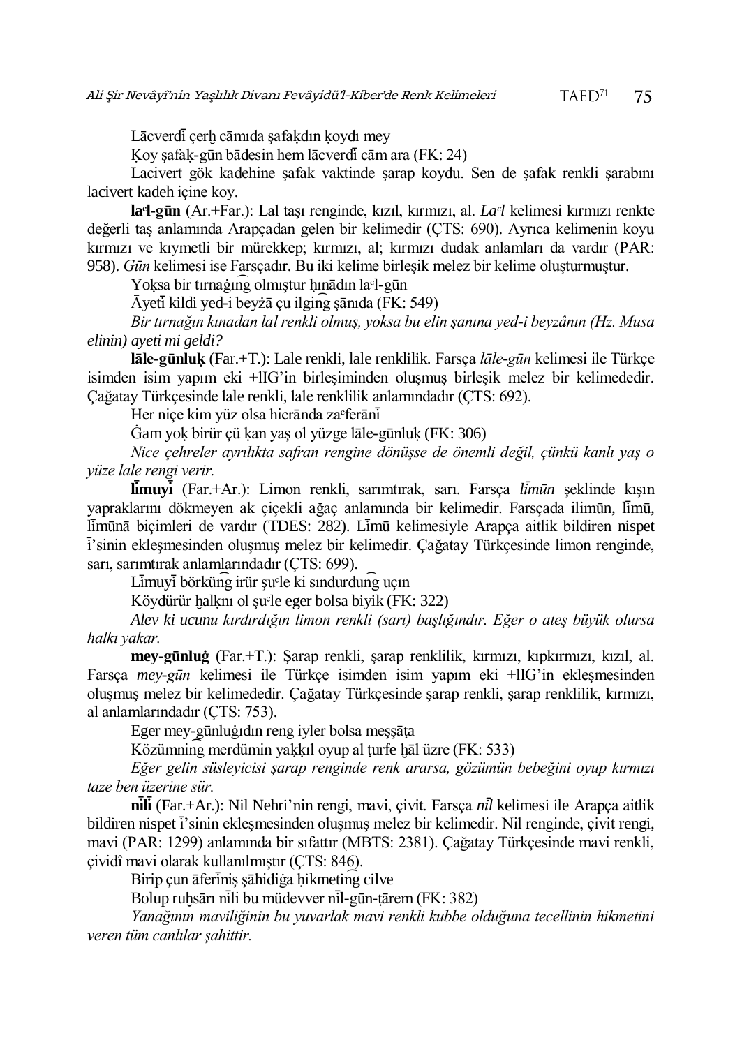Lācverdī çerh cāmıda şafakdın koydı mey

Ḳoy şafaḳ-gūn bādesin hem lācverdı ̇̄cām ara (FK: 24)

Lacivert gök kadehine şafak vaktinde şarap koydu. Sen de şafak renkli şarabını lacivert kadeh içine koy.

**laᶜl-gūn** (Ar.+Far.): Lal taşı renginde, kızıl, kırmızı, al. *Laᶜl* kelimesi kırmızı renkte değerli taş anlamında Arapçadan gelen bir kelimedir (ÇTS: 690). Ayrıca kelimenin koyu kırmızı ve kıymetli bir mürekkep; kırmızı, al; kırmızı dudak anlamları da vardır (PAR: 958). *Gūn* kelimesi ise Farsçadır. Bu iki kelime birleşik melez bir kelime oluşturmuştur.

Yoksa bir tırnağıng olmıştur hınādın la<sup>c</sup>l-gūn

Ᾱyetı ̇̄kildi yed-i beyżā çu ilgin͡g şānıda (FK: 549)

*Bir tırnağın kınadan lal renkli olmuş, yoksa bu elin şanına yed-i beyzânın (Hz. Musa elinin) ayeti mi geldi?*

**lāle-gūnluḳ** (Far.+T.): Lale renkli, lale renklilik. Farsça *lāle-gūn* kelimesi ile Türkçe isimden isim yapım eki +lIG'in birleşiminden oluşmuş birleşik melez bir kelimededir. Çağatay Türkçesinde lale renkli, lale renklilik anlamındadır (ÇTS: 692).

Her niçe kim yüz olsa hicrānda za ferānī

Ġam yoḳ birür çü ḳan yaş ol yüzge lāle-gūnluḳ (FK: 306)

*Nice çehreler ayrılıkta safran rengine dönüşse de önemli değil, çünkü kanlı yaş o yüze lale rengi verir.*

**limuyi** (Far.+Ar.): Limon renkli, sarımtırak, sarı. Farsça *limün* şeklinde kışın yapraklarını dökmeyen ak çiçekli ağaç anlamında bir kelimedir. Farsçada ilimūn, limū, limūnā biçimleri de vardır (TDES: 282). Limū kelimesiyle Arapça aitlik bildiren nispet ı ̇̄'sinin ekleşmesinden oluşmuş melez bir kelimedir. Çağatay Türkçesinde limon renginde, sarı, sarımtırak anlamlarındadır (ÇTS: 699).

 $L\bar{\text{im}}$ uv $\bar{\text{i}}$  börkün $\bar{\text{g}}$  irür su $\bar{\text{e}}$ le ki sındurdun $\bar{\text{g}}$  uçın

Köydürür halknı ol şu<sup>ç</sup>le eger bolsa biyik (FK: 322)

*Alev ki ucunu kırdırdığın limon renkli (sarı) başlığındır. Eğer o ateş büyük olursa halkı yakar.*

**mey-gūnluġ** (Far.+T.): Şarap renkli, şarap renklilik, kırmızı, kıpkırmızı, kızıl, al. Farsça *mey-gūn* kelimesi ile Türkçe isimden isim yapım eki +lIG'in ekleşmesinden oluşmuş melez bir kelimededir. Çağatay Türkçesinde şarap renkli, şarap renklilik, kırmızı, al anlamlarındadır (ÇTS: 753).

Eger mey-gūnluġıdın reng iyler bolsa meşşāṭa

Közümning merdümin yakkıl oyup al turfe hāl üzre (FK: 533)

*Eğer gelin süsleyicisi şarap renginde renk ararsa, gözümün bebeğini oyup kırmızı taze ben üzerine sür.*

**nı ̇̄ lı ̇̄** (Far.+Ar.): Nil Nehri'nin rengi, mavi, çivit. Farsça *nı ̇̄l* kelimesi ile Arapça aitlik bildiren nispet i'sinin ekleşmesinden oluşmuş melez bir kelimedir. Nil renginde, çivit rengi, mavi (PAR: 1299) anlamında bir sıfattır (MBTS: 2381). Çağatay Türkçesinde mavi renkli, çividî mavi olarak kullanılmıştır (ÇTS: 846).

Birip çun āferinis sāhidiģa hikmeting cilve

Bolup ruhsārı nili bu müdevver nil-gūn-tārem (FK: 382)

*Yanağının maviliğinin bu yuvarlak mavi renkli kubbe olduğuna tecellinin hikmetini veren tüm canlılar şahittir.*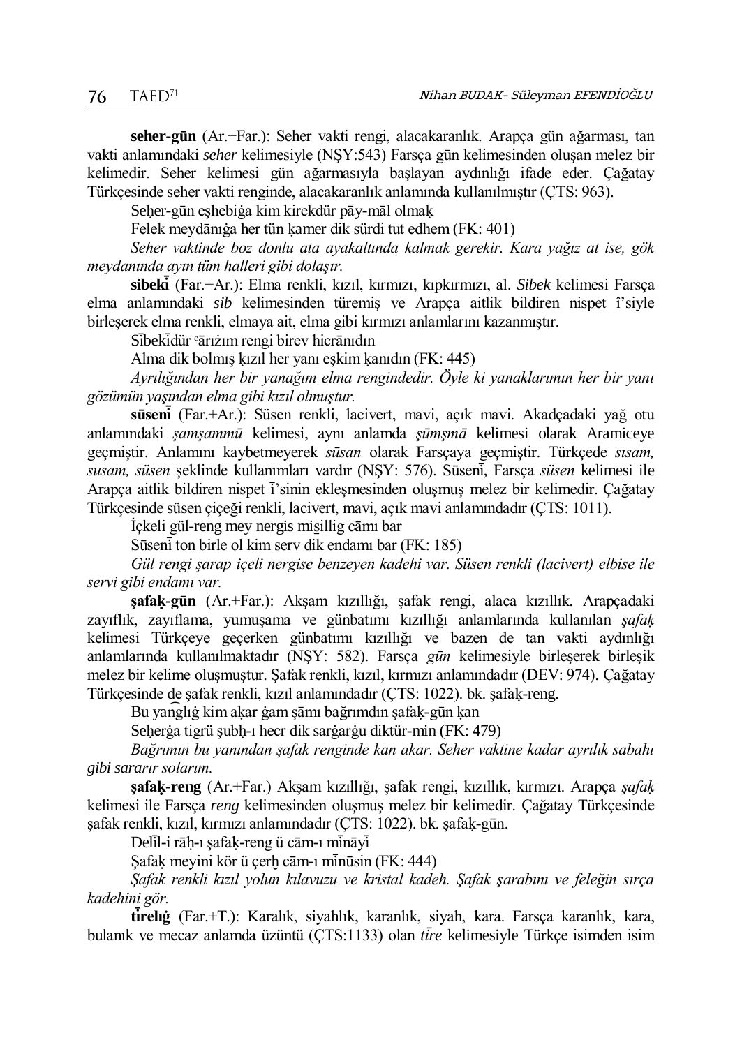**seher-gūn** (Ar.+Far.): Seher vakti rengi, alacakaranlık. Arapça gün ağarması, tan vakti anlamındaki *seher* kelimesiyle (NŞY:543) Farsça gūn kelimesinden oluşan melez bir kelimedir. Seher kelimesi gün ağarmasıyla başlayan aydınlığı ifade eder. Çağatay Türkçesinde seher vakti renginde, alacakaranlık anlamında kullanılmıştır (ÇTS: 963).

Seher-gūn eshebiġa kim kirekdür pāy-māl olmak

Felek meydānıġa her tün ḳamer dik sürdi tut edhem (FK: 401)

*Seher vaktinde boz donlu ata ayakaltında kalmak gerekir. Kara yağız at ise, gök meydanında ayın tüm halleri gibi dolaşır.*

**sibekı ̇̄** (Far.+Ar.): Elma renkli, kızıl, kırmızı, kıpkırmızı, al. *Sibek* kelimesi Farsça elma anlamındaki *sib* kelimesinden türemiş ve Arapça aitlik bildiren nispet î'siyle birleşerek elma renkli, elmaya ait, elma gibi kırmızı anlamlarını kazanmıştır.

Sibekidür *'*ārıżım rengi birev hicrānıdın

Alma dik bolmış ḳızıl her yanı eşkim ḳanıdın (FK: 445)

*Ayrılığından her bir yanağım elma rengindedir. Öyle ki yanaklarımın her bir yanı gözümün yaşından elma gibi kızıl olmuştur.*

**sūsenı ̇̄** (Far.+Ar.): Süsen renkli, lacivert, mavi, açık mavi. Akadçadaki yağ otu anlamındaki *şamşammū* kelimesi, aynı anlamda *şūmşmā* kelimesi olarak Aramiceye geçmiştir. Anlamını kaybetmeyerek *sūsan* olarak Farsçaya geçmiştir. Türkçede *sısam, susam, süsen* şeklinde kullanımları vardır (NŞY: 576). Sūsenı ̇̄, Farsça *süsen* kelimesi ile Arapça aitlik bildiren nispet i sinin ekleşmesinden oluşmuş melez bir kelimedir. Çağatay Türkçesinde süsen çiçeği renkli, lacivert, mavi, açık mavi anlamındadır (ÇTS: 1011).

İçkeli gül-reng mey nergis mis̱illig cāmı bar

Sūseni ton birle ol kim serv dik endamı bar (FK: 185)

*Gül rengi şarap içeli nergise benzeyen kadehi var. Süsen renkli (lacivert) elbise ile servi gibi endamı var.*

**şafaḳ-gūn** (Ar.+Far.): Akşam kızıllığı, şafak rengi, alaca kızıllık. Arapçadaki zayıflık, zayıflama, yumuşama ve günbatımı kızıllığı anlamlarında kullanılan *şafaḳ* kelimesi Türkçeye geçerken günbatımı kızıllığı ve bazen de tan vakti aydınlığı anlamlarında kullanılmaktadır (NŞY: 582). Farsça *gūn* kelimesiyle birleşerek birleşik melez bir kelime oluşmuştur. Şafak renkli, kızıl, kırmızı anlamındadır (DEV: 974). Çağatay Türkçesinde de şafak renkli, kızıl anlamındadır (ÇTS: 1022). bk. şafaḳ-reng.

Bu yan͡glıġ kim aḳar ġam şāmı bağrımdın şafaḳ-gūn ḳan

Seḥerġa tigrü şubḥ-ı hecr dik sarġarġu diktür-min (FK: 479)

*Bağrımın bu yanından şafak renginde kan akar. Seher vaktine kadar ayrılık sabahı gibi sararır solarım.*

**şafaḳ-reng** (Ar.+Far.) Akşam kızıllığı, şafak rengi, kızıllık, kırmızı. Arapça *şafaḳ* kelimesi ile Farsça *reng* kelimesinden oluşmuş melez bir kelimedir. Çağatay Türkçesinde şafak renkli, kızıl, kırmızı anlamındadır (ÇTS: 1022). bk. şafaḳ-gūn.

Delil-i rāh-ı şafak-reng ü cām-ı mināyi

Safak meyini kör ü çerh cām-ı minūsin (FK: 444)

*Şafak renkli kızıl yolun kılavuzu ve kristal kadeh. Şafak şarabını ve feleğin sırça kadehini gör.*

**tı ̇̄relıġ** (Far.+T.): Karalık, siyahlık, karanlık, siyah, kara. Farsça karanlık, kara, bulanık ve mecaz anlamda üzüntü (ÇTS:1133) olan *tire* kelimesiyle Türkçe isimden isim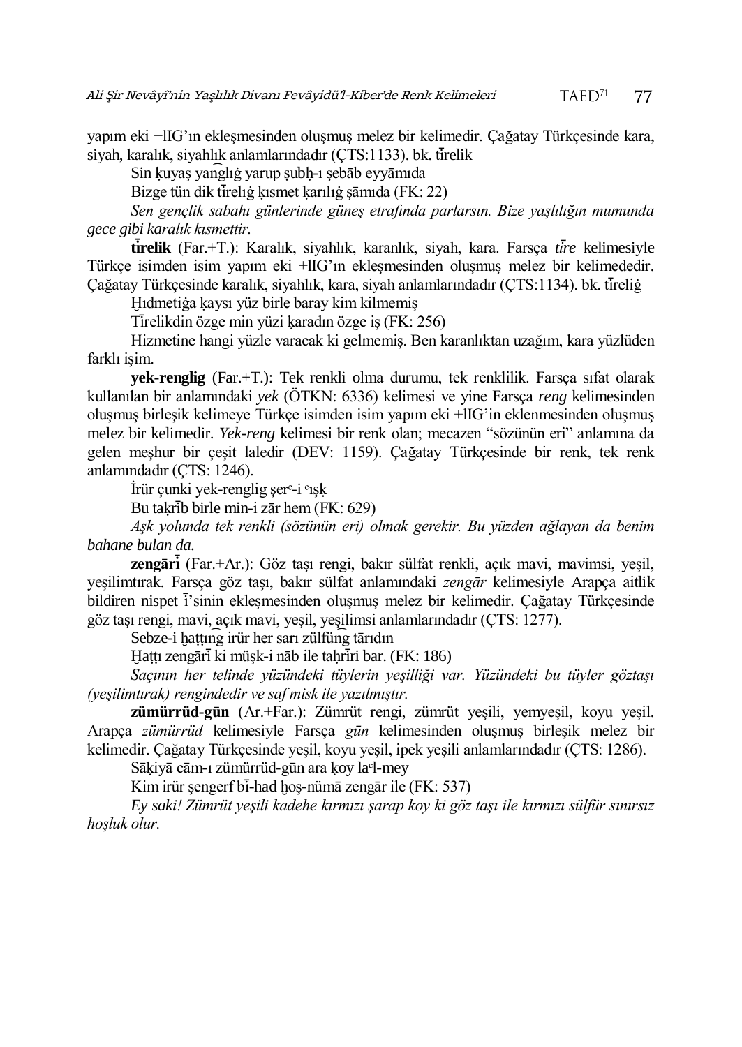yapım eki +lIG'ın ekleşmesinden oluşmuş melez bir kelimedir. Çağatay Türkçesinde kara, siyah, karalık, siyahlık anlamlarındadır (ÇTS:1133). bk. tirelik

Sin kuyaş yanglığ yarup subh-ı şebāb eyyāmıda

Bizge tün dik tireliğ kısmet karılığ şāmıda (FK: 22)

*Sen gençlik sabahı günlerinde güneş etrafında parlarsın. Bize yaşlılığın mumunda gece gibi karalık kısmettir.* 

**tı ̇̄relik** (Far.+T.): Karalık, siyahlık, karanlık, siyah, kara. Farsça *tı ̇̄re* kelimesiyle Türkçe isimden isim yapım eki +lIG'ın ekleşmesinden oluşmuş melez bir kelimededir. Cağatay Türkçesinde karalık, siyahlık, kara, siyah anlamlarındadır (CTS:1134), bk. tireliğ

Ḫıdmetiġa ḳaysı yüz birle baray kim kilmemiş

Tirelikdin özge min yüzi karadın özge iş (FK: 256)

Hizmetine hangi yüzle varacak ki gelmemiş. Ben karanlıktan uzağım, kara yüzlüden farklı işim.

**yek-renglig** (Far.+T.): Tek renkli olma durumu, tek renklilik. Farsça sıfat olarak kullanılan bir anlamındaki *yek* (ÖTKN: 6336) kelimesi ve yine Farsça *reng* kelimesinden oluşmuş birleşik kelimeye Türkçe isimden isim yapım eki +lIG'in eklenmesinden oluşmuş melez bir kelimedir. *Yek-reng* kelimesi bir renk olan; mecazen "sözünün eri" anlamına da gelen meşhur bir çeşit laledir (DEV: 1159). Çağatay Türkçesinde bir renk, tek renk anlamındadır (ÇTS: 1246).

İrür çunki yek-renglig şerᶜ-i ᶜışḳ

Bu takrib birle min-i zār hem  $(FK: 629)$ 

*Aşk yolunda tek renkli (sözünün eri) olmak gerekir. Bu yüzden ağlayan da benim bahane bulan da.*

**zengārı ̇̄** (Far.+Ar.): Göz taşı rengi, bakır sülfat renkli, açık mavi, mavimsi, yeşil, yeşilimtırak. Farsça göz taşı, bakır sülfat anlamındaki *zengār* kelimesiyle Arapça aitlik bildiren nispet i 'sinin eklesmesinden oluşmuş melez bir kelimedir. Cağatay Türkçesinde göz taşı rengi, mavi, açık mavi, yeşil, yeşilimsi anlamlarındadır (ÇTS: 1277).

Sebze-i hattıng irür her sarı zülfüng tārıdın

Hattı zengāri ki müşk-i nāb ile tahriri bar. (FK: 186)

*Saçının her telinde yüzündeki tüylerin yeşilliği var. Yüzündeki bu tüyler göztaşı (yeşilimtırak) rengindedir ve saf misk ile yazılmıştır.*

**zümürrüd-gūn** (Ar.+Far.): Zümrüt rengi, zümrüt yeşili, yemyeşil, koyu yeşil. Arapça *zümürrüd* kelimesiyle Farsça *gūn* kelimesinden oluşmuş birleşik melez bir kelimedir. Çağatay Türkçesinde yeşil, koyu yeşil, ipek yeşili anlamlarındadır (ÇTS: 1286).

Sāḳiyā cām-ı zümürrüd-gūn ara ḳoy laᶜl-mey

Kim irür şengerf bi-had hoş-nümā zengār ile (FK: 537)

*Ey saki! Zümrüt yeşili kadehe kırmızı şarap koy ki göz taşı ile kırmızı sülfür sınırsız hoşluk olur.*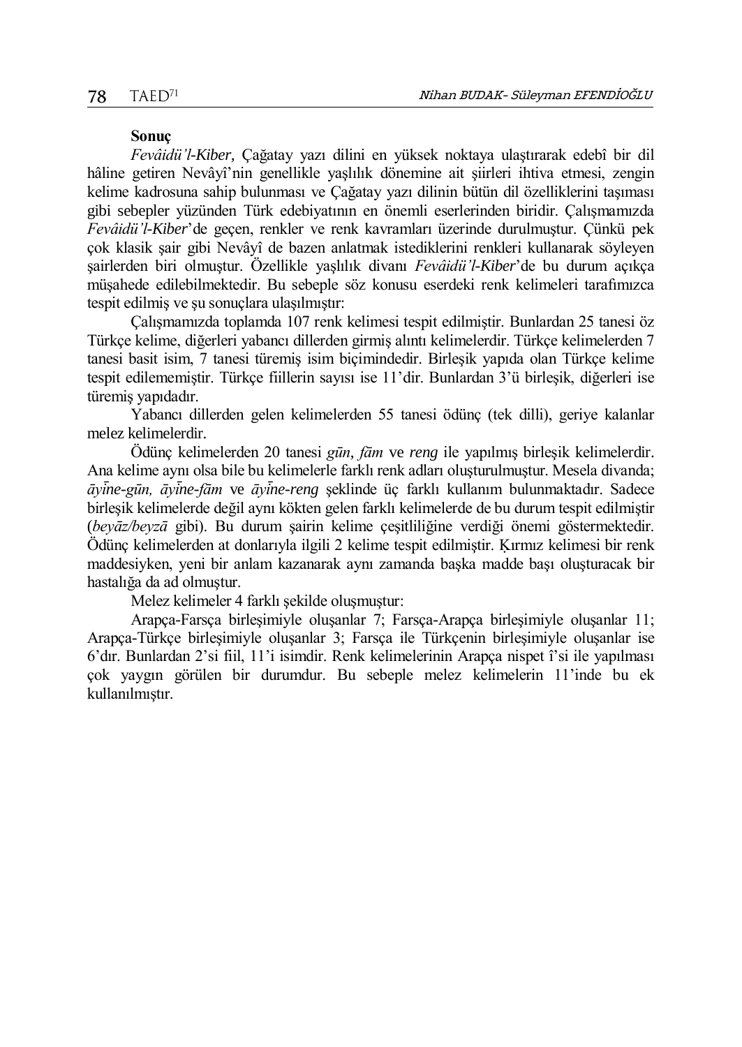### **Sonuç**

*Fevâidü'l-Kiber,* Çağatay yazı dilini en yüksek noktaya ulaştırarak edebî bir dil hâline getiren Nevâyî'nin genellikle yaşlılık dönemine ait şiirleri ihtiva etmesi, zengin kelime kadrosuna sahip bulunması ve Çağatay yazı dilinin bütün dil özelliklerini taşıması gibi sebepler yüzünden Türk edebiyatının en önemli eserlerinden biridir. Çalışmamızda *Fevâidü'l-Kiber*'de geçen, renkler ve renk kavramları üzerinde durulmuştur. Çünkü pek çok klasik şair gibi Nevâyî de bazen anlatmak istediklerini renkleri kullanarak söyleyen şairlerden biri olmuştur. Özellikle yaşlılık divanı *Fevâidü'l-Kiber*'de bu durum açıkça müşahede edilebilmektedir. Bu sebeple söz konusu eserdeki renk kelimeleri tarafımızca tespit edilmiş ve şu sonuçlara ulaşılmıştır:

Çalışmamızda toplamda 107 renk kelimesi tespit edilmiştir. Bunlardan 25 tanesi öz Türkçe kelime, diğerleri yabancı dillerden girmiş alıntı kelimelerdir. Türkçe kelimelerden 7 tanesi basit isim, 7 tanesi türemiş isim biçimindedir. Birleşik yapıda olan Türkçe kelime tespit edilememiştir. Türkçe fiillerin sayısı ise 11'dir. Bunlardan 3'ü birleşik, diğerleri ise türemiş yapıdadır.

Yabancı dillerden gelen kelimelerden 55 tanesi ödünç (tek dilli), geriye kalanlar melez kelimelerdir.

Ödünç kelimelerden 20 tanesi *gūn*, *fām* ve *reng* ile yapılmış birleşik kelimelerdir. Ana kelime aynı olsa bile bu kelimelerle farklı renk adları oluşturulmuştur. Mesela divanda; *āyı ̇̄ne-gūn, āyı ̇̄ne-fām* ve *āyı ̇̄ne-reng* şeklinde üç farklı kullanım bulunmaktadır. Sadece birleşik kelimelerde değil aynı kökten gelen farklı kelimelerde de bu durum tespit edilmiştir (*beyāz/beyzā* gibi). Bu durum şairin kelime çeşitliliğine verdiği önemi göstermektedir. Ödünç kelimelerden at donlarıyla ilgili 2 kelime tespit edilmiştir. Ḳırmız kelimesi bir renk maddesiyken, yeni bir anlam kazanarak aynı zamanda başka madde başı oluşturacak bir hastalığa da ad olmuştur.

Melez kelimeler 4 farklı şekilde oluşmuştur:

Arapça-Farsça birleşimiyle oluşanlar 7; Farsça-Arapça birleşimiyle oluşanlar 11; Arapça-Türkçe birleşimiyle oluşanlar 3; Farsça ile Türkçenin birleşimiyle oluşanlar ise 6'dır. Bunlardan 2'si fiil, 11'i isimdir. Renk kelimelerinin Arapça nispet î'si ile yapılması çok yaygın görülen bir durumdur. Bu sebeple melez kelimelerin 11'inde bu ek kullanılmıştır.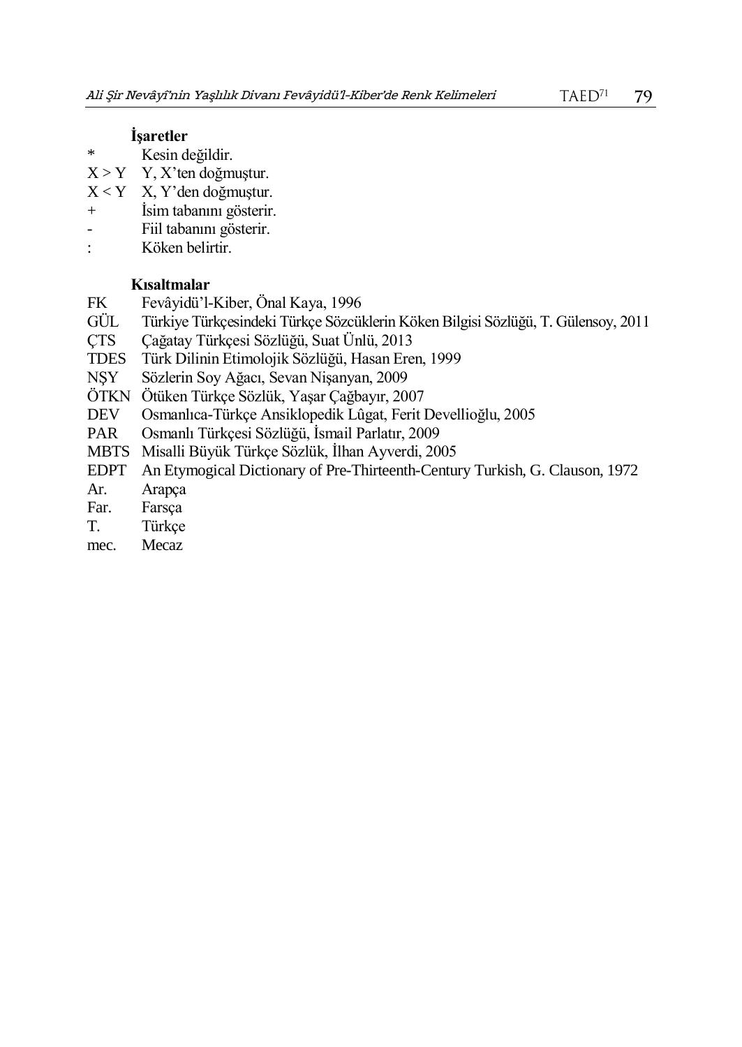## **İşaretler**

- \* Kesin değildir.
- $X > Y$  Y, X'ten doğmuştur.
- X < Y X, Y'den doğmuştur.
- + İsim tabanını gösterir.
- Fiil tabanını gösterir.
- : Köken belirtir.

## **Kısaltmalar**

- FK Fevâyidü'l-Kiber, Önal Kaya, 1996
- GÜL Türkiye Türkçesindeki Türkçe Sözcüklerin Köken Bilgisi Sözlüğü, T. Gülensoy, 2011
- ÇTS Çağatay Türkçesi Sözlüğü, Suat Ünlü, 2013
- TDES Türk Dilinin Etimolojik Sözlüğü, Hasan Eren, 1999
- Sözlerin Soy Ağacı, Sevan Nişanyan, 2009
- ÖTKN Ötüken Türkçe Sözlük, Yaşar Çağbayır, 2007
- DEV Osmanlıca-Türkçe Ansiklopedik Lûgat, Ferit Devellioğlu, 2005
- PAR Osmanlı Türkçesi Sözlüğü, İsmail Parlatır, 2009
- MBTS Misalli Büyük Türkçe Sözlük, İlhan Ayverdi, 2005
- EDPT An Etymogical Dictionary of Pre-Thirteenth-Century Turkish, G. Clauson, 1972
- Ar. Arapça
- Far. Farsça
- T. Türkçe
- mec. Mecaz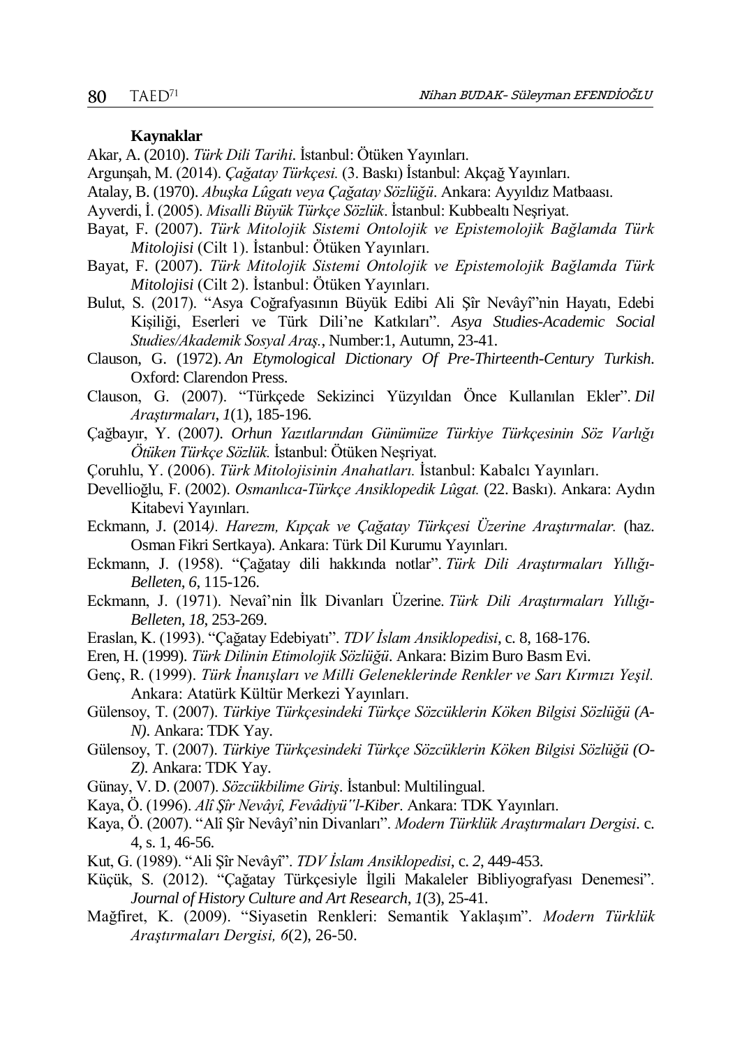#### **Kaynaklar**

Akar, A. (2010). *Türk Dili Tarihi*. İstanbul: Ötüken Yayınları.

- Argunşah, M. (2014). *Çağatay Türkçesi.* (3. Baskı) İstanbul: Akçağ Yayınları.
- Atalay, B. (1970). *Abuşka Lûgatı veya Çağatay Sözlüğü*. Ankara: Ayyıldız Matbaası.
- Ayverdi, İ. (2005). *Misalli Büyük Türkçe Sözlük*. İstanbul: Kubbealtı Neşriyat.
- Bayat, F. (2007). *Türk Mitolojik Sistemi Ontolojik ve Epistemolojik Bağlamda Türk Mitolojisi* (Cilt 1). İstanbul: Ötüken Yayınları.
- Bayat, F. (2007). *Türk Mitolojik Sistemi Ontolojik ve Epistemolojik Bağlamda Türk Mitolojisi* (Cilt 2). İstanbul: Ötüken Yayınları.
- Bulut, S. (2017). "Asya Coğrafyasının Büyük Edibi Ali Şîr Nevâyî"nin Hayatı, Edebi Kişiliği, Eserleri ve Türk Dili'ne Katkıları". *Asya Studies-Academic Social Studies/Akademik Sosyal Araş.*, Number:1, Autumn, 23-41.
- Clauson, G. (1972). *An Etymological Dictionary Of Pre-Thirteenth-Century Turkish*. Oxford: Clarendon Press.
- Clauson, G. (2007). "Türkçede Sekizinci Yüzyıldan Önce Kullanılan Ekler". *Dil Araştırmaları*, *1*(1), 185-196.
- Çağbayır, Y. (2007*). Orhun Yazıtlarından Günümüze Türkiye Türkçesinin Söz Varlığı Ötüken Türkçe Sözlük.* İstanbul: Ötüken Neşriyat.
- Çoruhlu, Y. (2006). *Türk Mitolojisinin Anahatları.* İstanbul: Kabalcı Yayınları.
- Devellioğlu, F. (2002). *Osmanlıca-Türkçe Ansiklopedik Lûgat.* (22. Baskı). Ankara: Aydın Kitabevi Yayınları.
- Eckmann, J. (2014*). Harezm, Kıpçak ve Çağatay Türkçesi Üzerine Araştırmalar.* (haz. Osman Fikri Sertkaya). Ankara: Türk Dil Kurumu Yayınları.
- Eckmann, J. (1958). "Çağatay dili hakkında notlar". *Türk Dili Araştırmaları Yıllığı-Belleten*, *6*, 115-126.
- Eckmann, J. (1971). Nevaî'nin İlk Divanları Üzerine. *Türk Dili Araştırmaları Yıllığı-Belleten*, *18*, 253-269.
- Eraslan, K. (1993). "Çağatay Edebiyatı". *TDV İslam Ansiklopedisi*, c. 8, 168-176.
- Eren, H. (1999). *Türk Dilinin Etimolojik Sözlüğü*. Ankara: Bizim Buro Basm Evi.
- Genç, R. (1999). *Türk İnanışları ve Milli Geleneklerinde Renkler ve Sarı Kırmızı Yeşil.* Ankara: Atatürk Kültür Merkezi Yayınları.
- Gülensoy, T. (2007). *Türkiye Türkçesindeki Türkçe Sözcüklerin Köken Bilgisi Sözlüğü (A-N).* Ankara: TDK Yay.
- Gülensoy, T. (2007). *Türkiye Türkçesindeki Türkçe Sözcüklerin Köken Bilgisi Sözlüğü (O-Z).* Ankara: TDK Yay.
- Günay, V. D. (2007). *Sözcükbilime Giriş*. İstanbul: Multilingual.
- Kaya, Ö. (1996). *Alî Şîr Nevâyî, Fevâdiyü"l-Kiber*. Ankara: TDK Yayınları.
- Kaya, Ö. (2007). "Alî Şîr Nevâyî'nin Divanları". *Modern Türklük Araştırmaları Dergisi*. c. 4, s. 1, 46-56.
- Kut, G. (1989). "Ali Şîr Nevâyî". *TDV İslam Ansiklopedisi*, c. *2*, 449-453.
- Küçük, S. (2012). "Çağatay Türkçesiyle İlgili Makaleler Bibliyografyası Denemesi". *Journal of History Culture and Art Research*, *1*(3), 25-41.
- Mağfiret, K. (2009). "Siyasetin Renkleri: Semantik Yaklaşım". *Modern Türklük Araştırmaları Dergisi, 6*(2), 26-50.